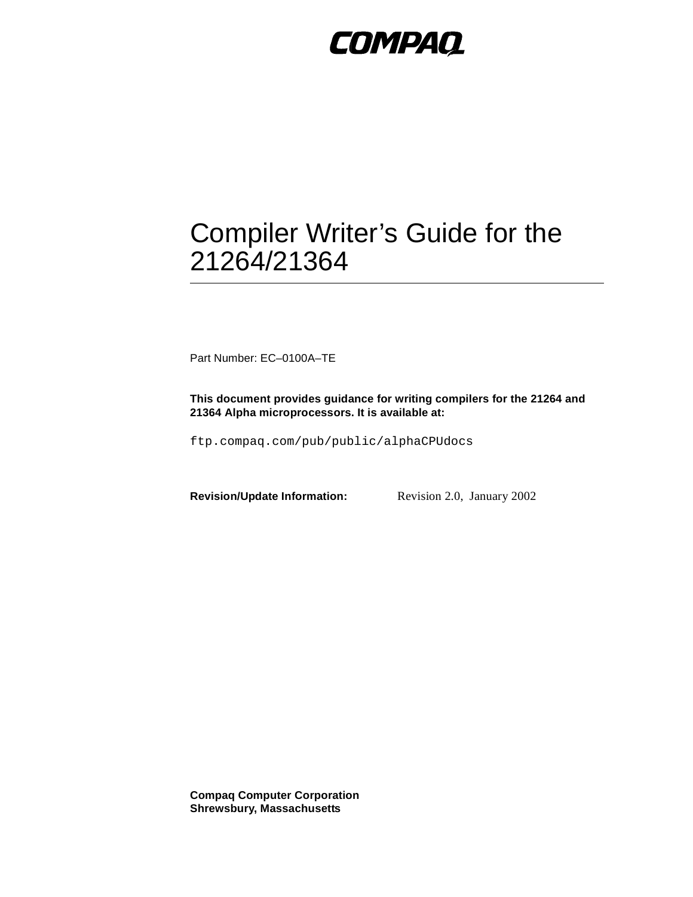# **COMPAQ**

# Compiler Writer's Guide for the 21264/21364

Part Number: EC–0100A–TE

**This document provides guidance for writing compilers for the 21264 and 21364 Alpha microprocessors. It is available at:**

ftp.compaq.com/pub/public/alphaCPUdocs

**Revision/Update Information:** Revision 2.0, January 2002

**Compaq Computer Corporation Shrewsbury, Massachusetts**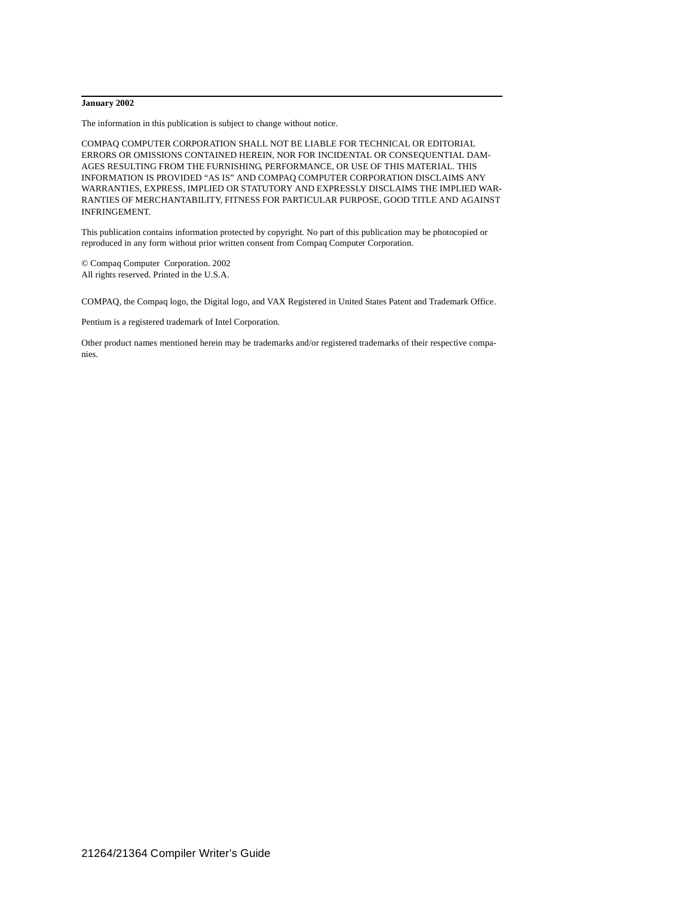#### **January 2002**

The information in this publication is subject to change without notice.

COMPAQ COMPUTER CORPORATION SHALL NOT BE LIABLE FOR TECHNICAL OR EDITORIAL ERRORS OR OMISSIONS CONTAINED HEREIN, NOR FOR INCIDENTAL OR CONSEQUENTIAL DAM-AGES RESULTING FROM THE FURNISHING, PERFORMANCE, OR USE OF THIS MATERIAL. THIS INFORMATION IS PROVIDED "AS IS" AND COMPAQ COMPUTER CORPORATION DISCLAIMS ANY WARRANTIES, EXPRESS, IMPLIED OR STATUTORY AND EXPRESSLY DISCLAIMS THE IMPLIED WAR-RANTIES OF MERCHANTABILITY, FITNESS FOR PARTICULAR PURPOSE, GOOD TITLE AND AGAINST INFRINGEMENT.

This publication contains information protected by copyright. No part of this publication may be photocopied or reproduced in any form without prior written consent from Compaq Computer Corporation.

© Compaq Computer Corporation. 2002 All rights reserved. Printed in the U.S.A.

COMPAQ, the Compaq logo, the Digital logo, and VAX Registered in United States Patent and Trademark Office.

Pentium is a registered trademark of Intel Corporation.

Other product names mentioned herein may be trademarks and/or registered trademarks of their respective companies.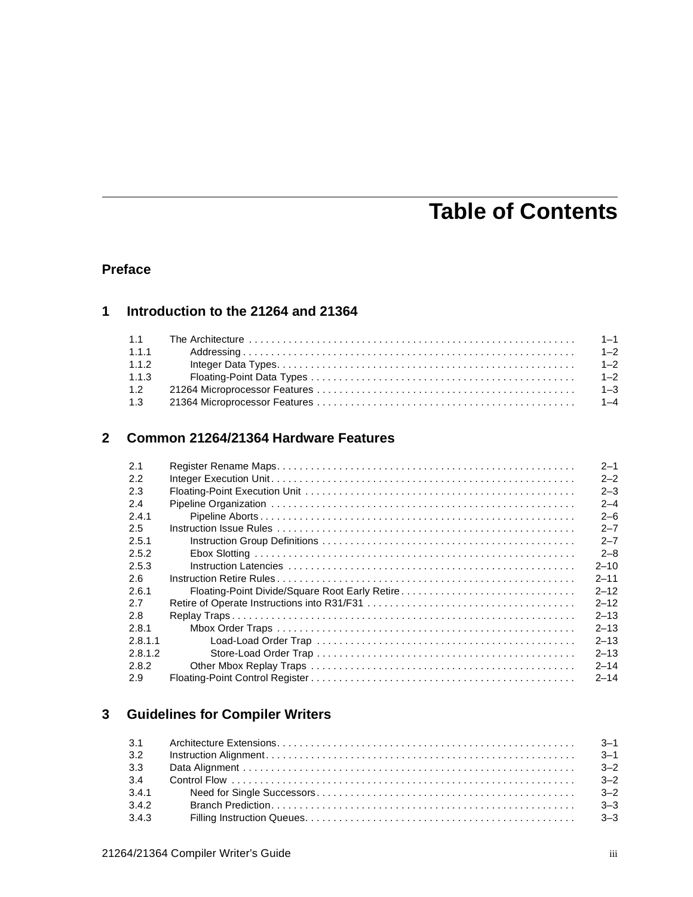## **Table of Contents**

### **[Preface](#page-6-0)**

## **[1](#page-12-0) [Introduction to the 21264 and 21364](#page-12-1)**

| 1.1.1 | $Addressing \dots 1-2$ |  |
|-------|------------------------|--|
| 1.1.2 |                        |  |
| 1.1.3 |                        |  |
| 1.2   |                        |  |
| 1.3   |                        |  |

## **[2](#page-18-0) [Common 21264/21364 Hardware Features](#page-18-1)**

| 2.1     | $2 - 1$  |
|---------|----------|
| 2.2     | $2 - 2$  |
| 2.3     | $2 - 3$  |
| 2.4     | $2 - 4$  |
| 2.4.1   | $2 - 6$  |
| 2.5     | $2 - 7$  |
| 2.5.1   | $2 - 7$  |
| 2.5.2   | $2 - 8$  |
| 2.5.3   | $2 - 10$ |
| 2.6     | $2 - 11$ |
| 2.6.1   | $2 - 12$ |
| 2.7     | $2 - 12$ |
| 2.8     | $2 - 13$ |
| 2.8.1   | $2 - 13$ |
| 2.8.1.1 | $2 - 13$ |
| 2.8.1.2 | $2 - 13$ |
| 2.8.2   | $2 - 14$ |
| 2.9     | $2 - 14$ |

## **[3](#page-34-0) [Guidelines for Compiler Writers](#page-34-1)**

| 3.2   |  |
|-------|--|
| 3.3   |  |
|       |  |
|       |  |
| 3.4.2 |  |
| 3.4.3 |  |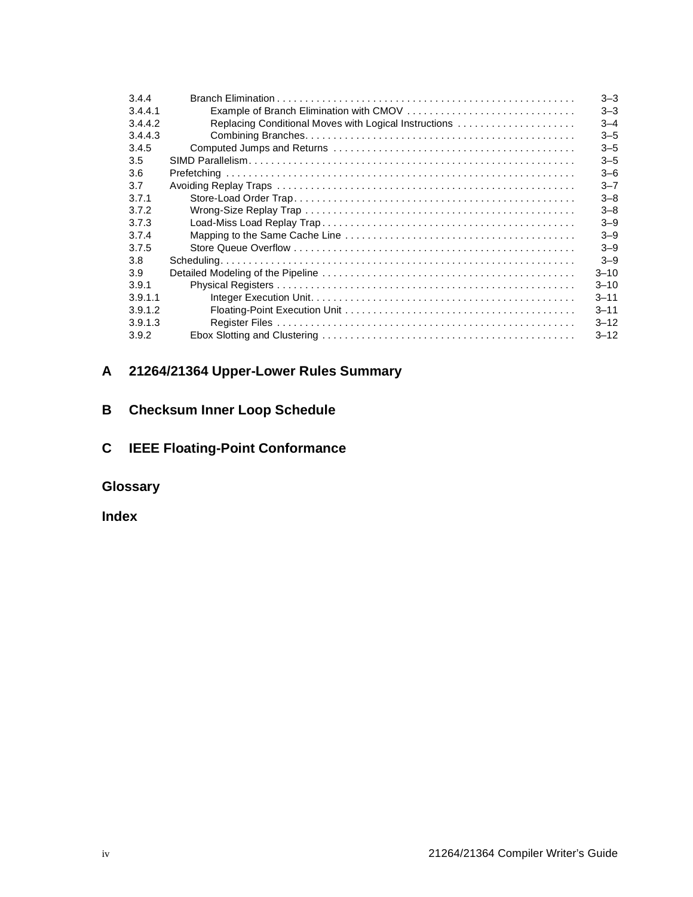| 3.4.4   |                                                       | $3 - 3$  |
|---------|-------------------------------------------------------|----------|
| 3.4.4.1 |                                                       | $3 - 3$  |
| 3.4.4.2 | Replacing Conditional Moves with Logical Instructions | $3 - 4$  |
| 3.4.4.3 |                                                       | $3 - 5$  |
| 3.4.5   |                                                       | $3 - 5$  |
| 3.5     |                                                       | $3 - 5$  |
| 3.6     |                                                       | $3 - 6$  |
| 3.7     |                                                       | $3 - 7$  |
| 3.7.1   |                                                       | $3 - 8$  |
| 3.7.2   |                                                       | $3 - 8$  |
| 3.7.3   |                                                       | $3 - 9$  |
| 3.7.4   |                                                       | $3 - 9$  |
| 3.7.5   |                                                       | $3 - 9$  |
| 3.8     |                                                       | $3 - 9$  |
| 3.9     |                                                       | $3 - 10$ |
| 3.9.1   |                                                       | $3 - 10$ |
| 3.9.1.1 |                                                       | $3 - 11$ |
| 3.9.1.2 |                                                       | $3 - 11$ |
| 3.9.1.3 |                                                       | $3 - 12$ |
| 3.9.2   |                                                       | $3 - 12$ |

## **[A](#page-48-0) [21264/21364 Upper-Lower Rules Summary](#page-48-1)**

## **[B](#page-50-0) [Checksum Inner Loop Schedule](#page-50-1)**

## **[C](#page-54-0) [IEEE Floating-Point Conformance](#page-54-1)**

**Glossary**

**[Index](#page-76-0)**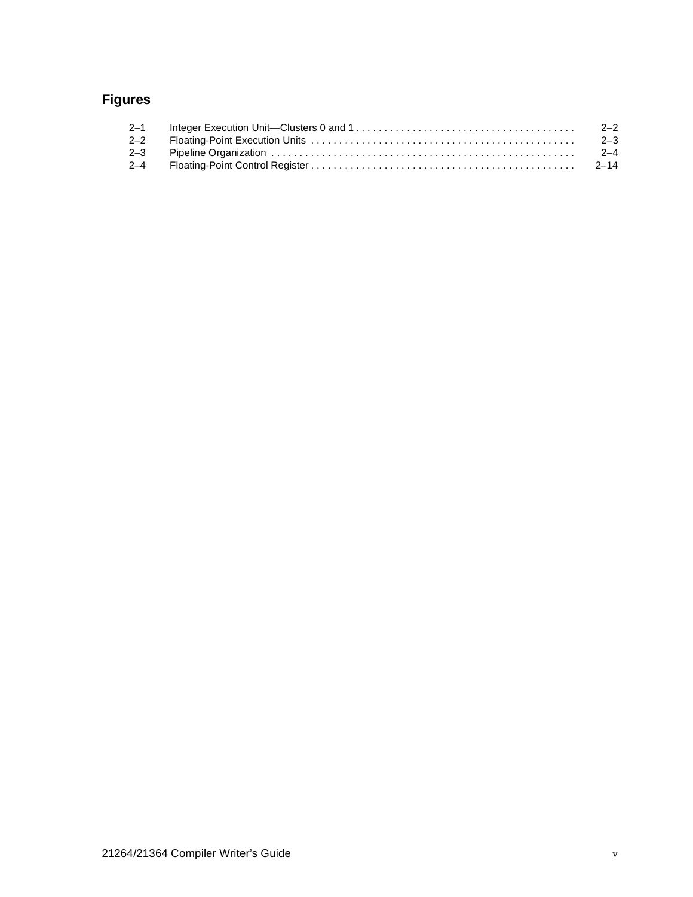## **Figures**

| $2 - 1$ | $2 - 2$ |
|---------|---------|
| $2 - 2$ | $2 - 3$ |
| $2 - 3$ | $2 - 4$ |
| $2 - 4$ |         |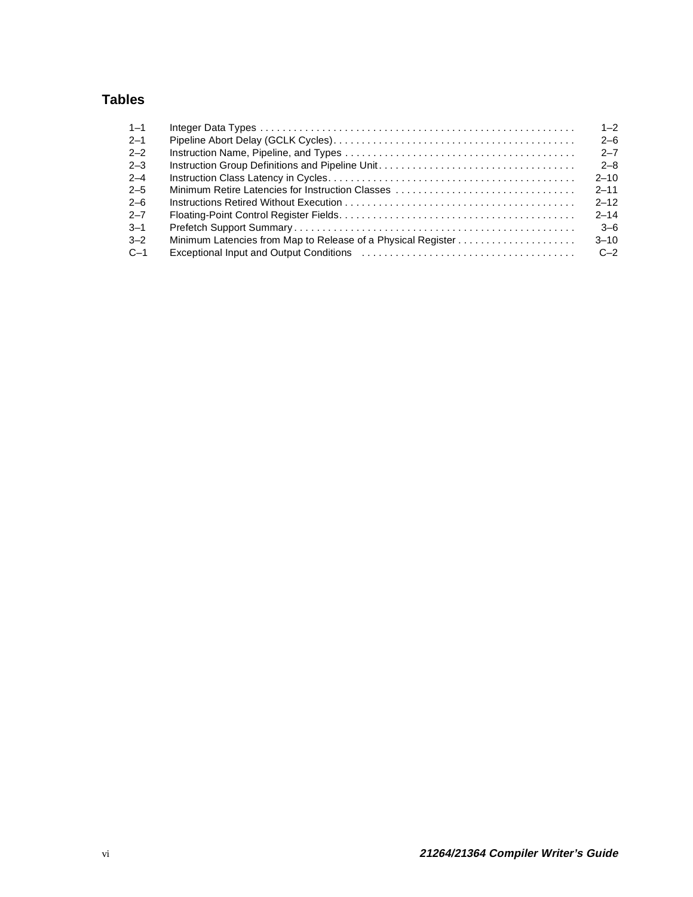## **Tables**

| $1 - 1$ |                                                  | $1 - 2$  |
|---------|--------------------------------------------------|----------|
| $2 - 1$ |                                                  | $2 - 6$  |
| $2 - 2$ |                                                  | $2 - 7$  |
| $2 - 3$ |                                                  | $2 - 8$  |
| $2 - 4$ |                                                  | $2 - 10$ |
| $2 - 5$ | Minimum Retire Latencies for Instruction Classes | $2 - 11$ |
| $2 - 6$ |                                                  | $2 - 12$ |
| $2 - 7$ |                                                  | $2 - 14$ |
| $3 - 1$ |                                                  | $3-6$    |
| $3 - 2$ |                                                  | $3 - 10$ |
| $C-1$   |                                                  | $C-2$    |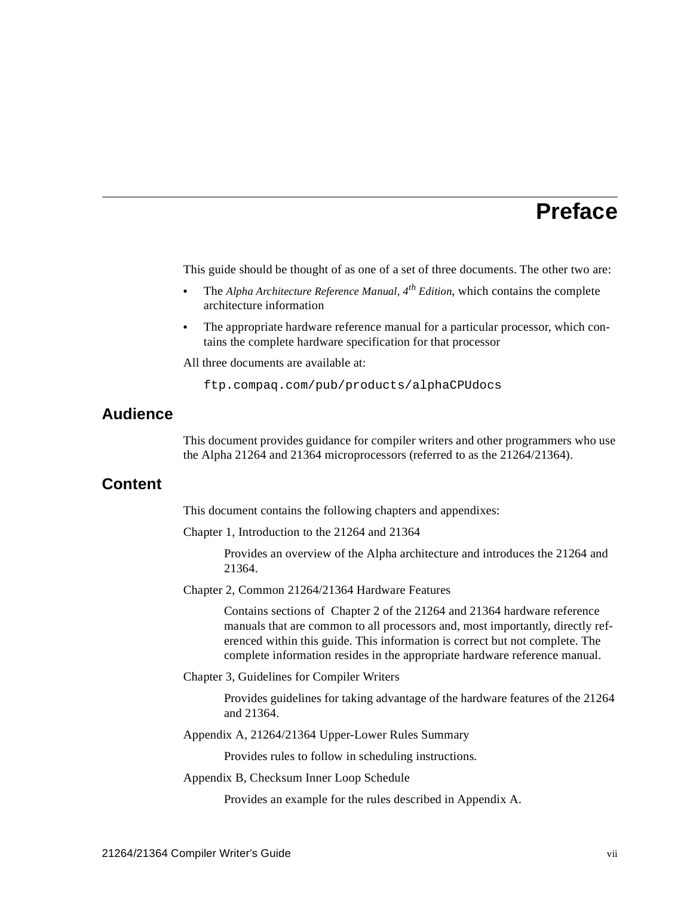## **Preface**

<span id="page-6-0"></span>This guide should be thought of as one of a set of three documents. The other two are:

- **•** The *Alpha Architecture Reference Manual, 4th Edition*, which contains the complete architecture information
- The appropriate hardware reference manual for a particular processor, which contains the complete hardware specification for that processor

All three documents are available at:

ftp.compaq.com/pub/products/alphaCPUdocs

## **Audience**

This document provides guidance for compiler writers and other programmers who use the Alpha 21264 and 21364 microprocessors (referred to as the 21264/21364).

### **Content**

This document contains the following chapters and appendixes:

[Chapter 1,](#page-12-3) [Introduction to the 21264 and 21364](#page-12-4)

Provides an overview of the Alpha architecture and introduces the 21264 and 21364.

[Chapter 2,](#page-18-3) [Common 21264/21364 Hardware Features](#page-18-4)

Contains sections of Chapter 2 of the 21264 and 21364 hardware reference manuals that are common to all processors and, most importantly, directly referenced within this guide. This information is correct but not complete. The complete information resides in the appropriate hardware reference manual.

[Chapter 3,](#page-34-4) [Guidelines for Compiler Writers](#page-34-5)

Provides guidelines for taking advantage of the hardware features of the 21264 and 21364.

[Appendix A](#page-48-2), [21264/21364 Upper-Lower Rules Summary](#page-48-3)

Provides rules to follow in scheduling instructions.

[Appendix B,](#page-50-2) [Checksum Inner Loop Schedule](#page-50-3)

Provides an example for the rules described in Appendix A.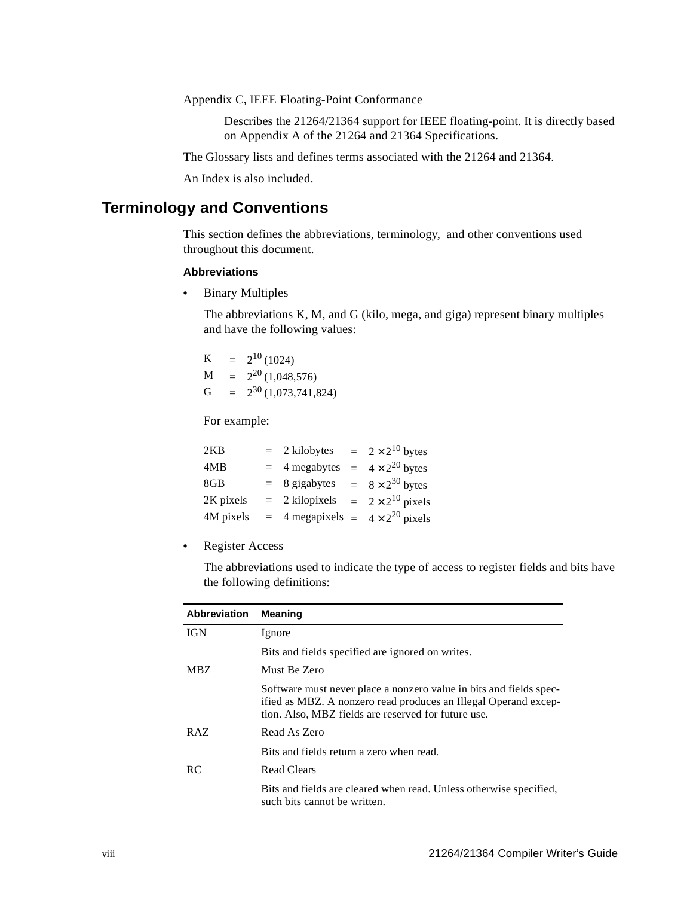[Appendix C,](#page-54-2) [IEEE Floating-Point Conformance](#page-54-3)

Describes the 21264/21364 support for IEEE floating-point. It is directly based on Appendix A of the 21264 and 21364 Specifications.

The [Glossary](#page-58-0) lists and defines terms associated with the 21264 and 21364.

An [Index](#page-76-1) is also included.

## **Terminology and Conventions**

This section defines the abbreviations, terminology, and other conventions used throughout this document.

#### **Abbreviations**

**•** Binary Multiples

The abbreviations K, M, and G (kilo, mega, and giga) represent binary multiples and have the following values:

| K | $=$ | $2^{10}(1024)$           |
|---|-----|--------------------------|
| M | $=$ | $2^{20}$ (1,048,576)     |
| G | $=$ | $2^{30}$ (1,073,741,824) |

For example:

| 2KB       | $= 2$ kilobytes                                 | $= 2 \times 2^{10}$ bytes  |
|-----------|-------------------------------------------------|----------------------------|
| 4MB       | $=$ 4 megabytes                                 | $= 4 \times 2^{20}$ bytes  |
| 8GB       | $= 8$ gigabytes                                 | $= 8 \times 2^{30}$ bytes  |
| 2K pixels | $= 2$ kilopixels                                | $= 2 \times 2^{10}$ pixels |
| 4M pixels | $=$ 4 megapixels $=$ 4 × 2 <sup>20</sup> pixels |                            |

**•** Register Access

The abbreviations used to indicate the type of access to register fields and bits have the following definitions:

| <b>Abbreviation</b> | <b>Meaning</b>                                                                                                                                                                               |
|---------------------|----------------------------------------------------------------------------------------------------------------------------------------------------------------------------------------------|
| <b>IGN</b>          | Ignore                                                                                                                                                                                       |
|                     | Bits and fields specified are ignored on writes.                                                                                                                                             |
| MBZ.                | Must Be Zero                                                                                                                                                                                 |
|                     | Software must never place a nonzero value in bits and fields spec-<br>ified as MBZ. A nonzero read produces an Illegal Operand excep-<br>tion. Also, MBZ fields are reserved for future use. |
| RAZ                 | Read As Zero                                                                                                                                                                                 |
|                     | Bits and fields return a zero when read.                                                                                                                                                     |
| RC.                 | <b>Read Clears</b>                                                                                                                                                                           |
|                     | Bits and fields are cleared when read. Unless otherwise specified,<br>such bits cannot be written.                                                                                           |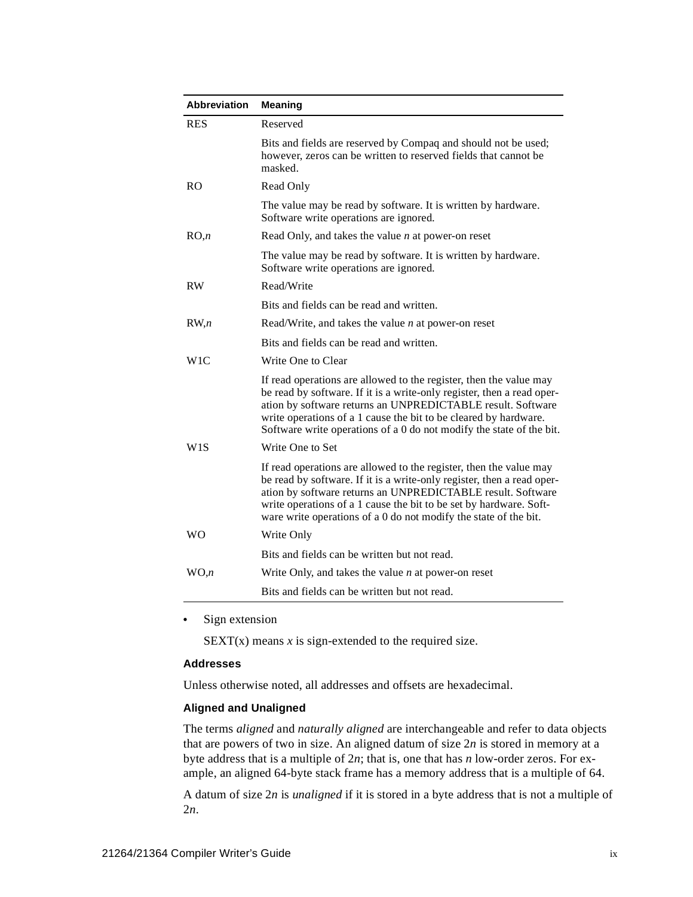| <b>Abbreviation</b> | <b>Meaning</b>                                                                                                                                                                                                                                                                                                                                          |
|---------------------|---------------------------------------------------------------------------------------------------------------------------------------------------------------------------------------------------------------------------------------------------------------------------------------------------------------------------------------------------------|
| <b>RES</b>          | Reserved                                                                                                                                                                                                                                                                                                                                                |
|                     | Bits and fields are reserved by Compaq and should not be used;<br>however, zeros can be written to reserved fields that cannot be<br>masked.                                                                                                                                                                                                            |
| <sub>RO</sub>       | Read Only                                                                                                                                                                                                                                                                                                                                               |
|                     | The value may be read by software. It is written by hardware.<br>Software write operations are ignored.                                                                                                                                                                                                                                                 |
| RO, n               | Read Only, and takes the value $n$ at power-on reset                                                                                                                                                                                                                                                                                                    |
|                     | The value may be read by software. It is written by hardware.<br>Software write operations are ignored.                                                                                                                                                                                                                                                 |
| <b>RW</b>           | Read/Write                                                                                                                                                                                                                                                                                                                                              |
|                     | Bits and fields can be read and written.                                                                                                                                                                                                                                                                                                                |
| RW, n               | Read/Write, and takes the value $n$ at power-on reset                                                                                                                                                                                                                                                                                                   |
|                     | Bits and fields can be read and written.                                                                                                                                                                                                                                                                                                                |
| W1C                 | Write One to Clear                                                                                                                                                                                                                                                                                                                                      |
|                     | If read operations are allowed to the register, then the value may<br>be read by software. If it is a write-only register, then a read oper-<br>ation by software returns an UNPREDICTABLE result. Software<br>write operations of a 1 cause the bit to be cleared by hardware.<br>Software write operations of a 0 do not modify the state of the bit. |
| W1S                 | Write One to Set                                                                                                                                                                                                                                                                                                                                        |
|                     | If read operations are allowed to the register, then the value may<br>be read by software. If it is a write-only register, then a read oper-<br>ation by software returns an UNPREDICTABLE result. Software<br>write operations of a 1 cause the bit to be set by hardware. Soft-<br>ware write operations of a 0 do not modify the state of the bit.   |
| <b>WO</b>           | Write Only                                                                                                                                                                                                                                                                                                                                              |
|                     | Bits and fields can be written but not read.                                                                                                                                                                                                                                                                                                            |
| WO.n                | Write Only, and takes the value $n$ at power-on reset                                                                                                                                                                                                                                                                                                   |
|                     | Bits and fields can be written but not read.                                                                                                                                                                                                                                                                                                            |

**•** Sign extension

 $SEXT(x)$  means  $x$  is sign-extended to the required size.

#### **Addresses**

Unless otherwise noted, all addresses and offsets are hexadecimal.

#### **Aligned and Unaligned**

The terms *aligned* and *naturally aligned* are interchangeable and refer to data objects that are powers of two in size. An aligned datum of size 2*n* is stored in memory at a byte address that is a multiple of 2*n*; that is, one that has *n* low-order zeros. For example, an aligned 64-byte stack frame has a memory address that is a multiple of 64.

A datum of size 2*n* is *unaligned* if it is stored in a byte address that is not a multiple of 2*n*.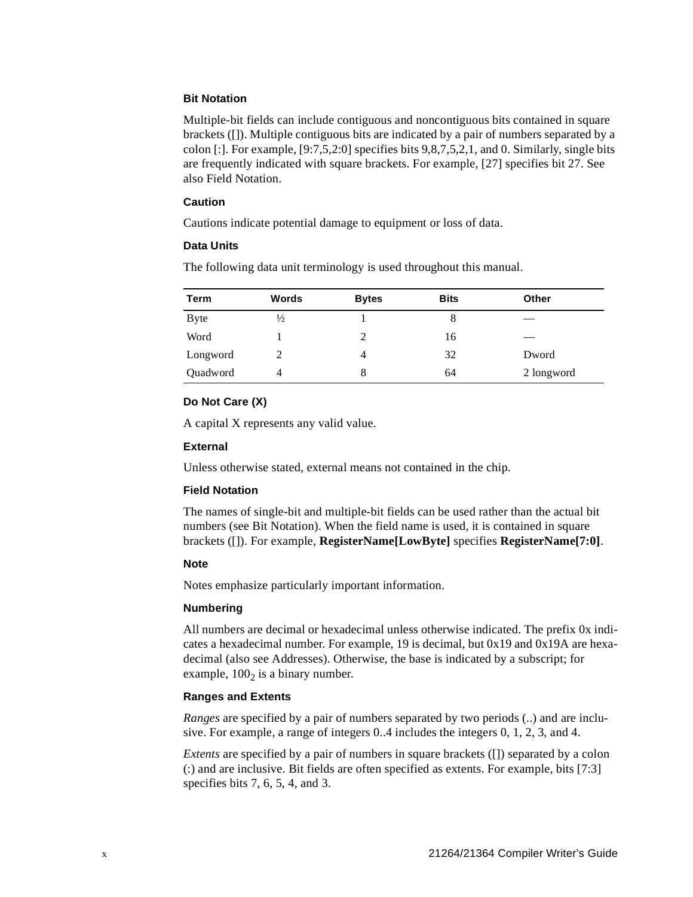#### **Bit Notation**

Multiple-bit fields can include contiguous and noncontiguous bits contained in square brackets ([]). Multiple contiguous bits are indicated by a pair of numbers separated by a colon [:]. For example, [9:7,5,2:0] specifies bits 9,8,7,5,2,1, and 0. Similarly, single bits are frequently indicated with square brackets. For example, [27] specifies bit 27. See also Field Notation.

#### **Caution**

Cautions indicate potential damage to equipment or loss of data.

#### **Data Units**

The following data unit terminology is used throughout this manual.

| Term        | Words         | <b>Bytes</b> | <b>Bits</b> | Other      |
|-------------|---------------|--------------|-------------|------------|
| <b>Byte</b> | $\frac{1}{2}$ |              | 8           |            |
| Word        |               |              | 16          |            |
| Longword    |               | 4            | 32          | Dword      |
| Quadword    | 4             | 8            | 64          | 2 longword |

#### **Do Not Care (X)**

A capital X represents any valid value.

#### **External**

Unless otherwise stated, external means not contained in the chip.

#### **Field Notation**

The names of single-bit and multiple-bit fields can be used rather than the actual bit numbers (see Bit Notation). When the field name is used, it is contained in square brackets ([]). For example, **RegisterName[LowByte]** specifies **RegisterName[7:0]**.

#### **Note**

Notes emphasize particularly important information.

#### **Numbering**

All numbers are decimal or hexadecimal unless otherwise indicated. The prefix 0x indicates a hexadecimal number. For example, 19 is decimal, but 0x19 and 0x19A are hexadecimal (also see Addresses). Otherwise, the base is indicated by a subscript; for example,  $100<sub>2</sub>$  is a binary number.

#### **Ranges and Extents**

*Ranges* are specified by a pair of numbers separated by two periods (..) and are inclusive. For example, a range of integers 0..4 includes the integers 0, 1, 2, 3, and 4.

*Extents* are specified by a pair of numbers in square brackets ([]) separated by a colon (:) and are inclusive. Bit fields are often specified as extents. For example, bits [7:3] specifies bits 7, 6, 5, 4, and 3.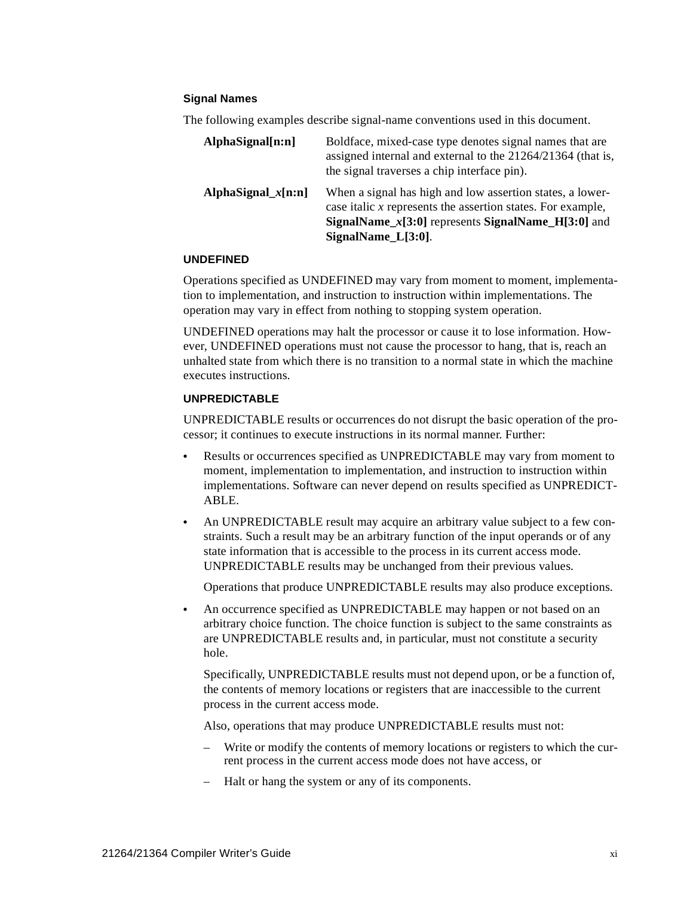#### **Signal Names**

The following examples describe signal-name conventions used in this document.

| AlphaSignal[n:n]       | Boldface, mixed-case type denotes signal names that are<br>assigned internal and external to the 21264/21364 (that is,<br>the signal traverses a chip interface pin).                                                              |
|------------------------|------------------------------------------------------------------------------------------------------------------------------------------------------------------------------------------------------------------------------------|
| AlphaSignal_ $x$ [n:n] | When a signal has high and low assertion states, a lower-<br>case italic x represents the assertion states. For example,<br><b>SignalName_<math>x[3:0]</math></b> represents <b>SignalName_H</b> [3:0] and<br>$SignalName_L[3:0].$ |

#### **UNDEFINED**

Operations specified as UNDEFINED may vary from moment to moment, implementation to implementation, and instruction to instruction within implementations. The operation may vary in effect from nothing to stopping system operation.

UNDEFINED operations may halt the processor or cause it to lose information. However, UNDEFINED operations must not cause the processor to hang, that is, reach an unhalted state from which there is no transition to a normal state in which the machine executes instructions.

#### **UNPREDICTABLE**

UNPREDICTABLE results or occurrences do not disrupt the basic operation of the processor; it continues to execute instructions in its normal manner. Further:

- **•** Results or occurrences specified as UNPREDICTABLE may vary from moment to moment, implementation to implementation, and instruction to instruction within implementations. Software can never depend on results specified as UNPREDICT-ABLE.
- An UNPREDICTABLE result may acquire an arbitrary value subject to a few constraints. Such a result may be an arbitrary function of the input operands or of any state information that is accessible to the process in its current access mode. UNPREDICTABLE results may be unchanged from their previous values.

Operations that produce UNPREDICTABLE results may also produce exceptions.

**•** An occurrence specified as UNPREDICTABLE may happen or not based on an arbitrary choice function. The choice function is subject to the same constraints as are UNPREDICTABLE results and, in particular, must not constitute a security hole.

Specifically, UNPREDICTABLE results must not depend upon, or be a function of, the contents of memory locations or registers that are inaccessible to the current process in the current access mode.

Also, operations that may produce UNPREDICTABLE results must not:

- Write or modify the contents of memory locations or registers to which the current process in the current access mode does not have access, or
- Halt or hang the system or any of its components.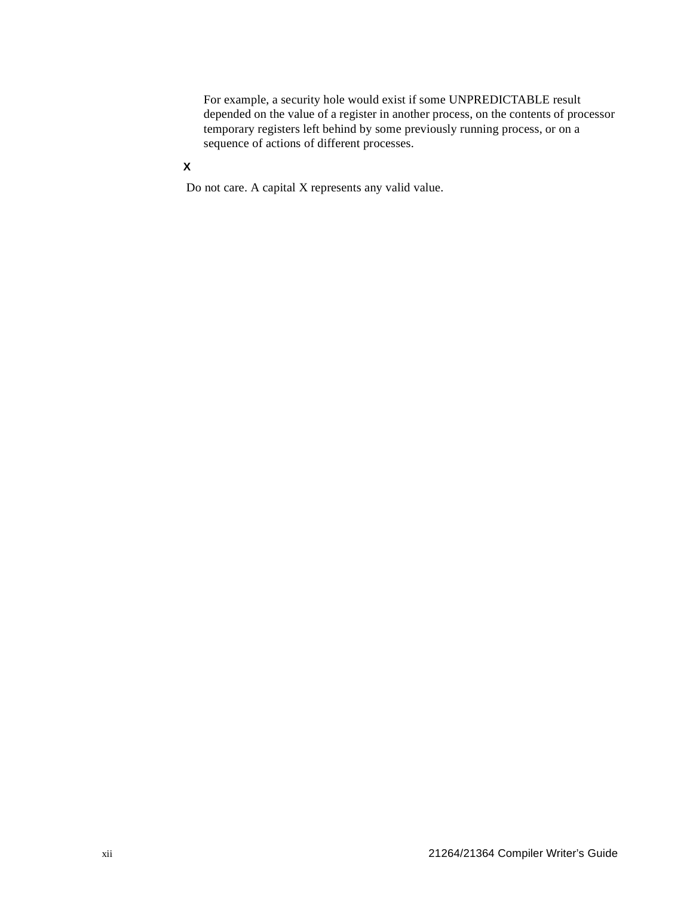For example, a security hole would exist if some UNPREDICTABLE result depended on the value of a register in another process, on the contents of processor temporary registers left behind by some previously running process, or on a sequence of actions of different processes.

## **X**

Do not care. A capital X represents any valid value.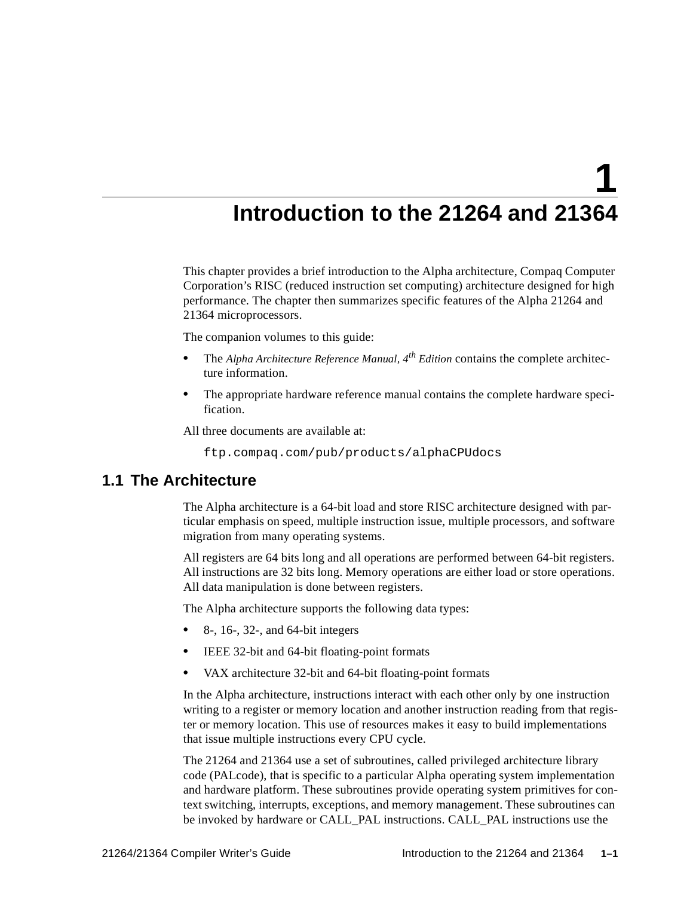<span id="page-12-3"></span>**1**

## <span id="page-12-4"></span>**Introduction to the 21264 and 21364**

<span id="page-12-1"></span><span id="page-12-0"></span>This chapter provides a brief introduction to the Alpha architecture, Compaq Computer Corporation's RISC (reduced instruction set computing) architecture designed for high performance. The chapter then summarizes specific features of the Alpha 21264 and 21364 microprocessors.

The companion volumes to this guide:

- **•** The *Alpha Architecture Reference Manual, 4th Edition* contains the complete architecture information.
- **•** The appropriate hardware reference manual contains the complete hardware specification.

All three documents are available at:

ftp.compaq.com/pub/products/alphaCPUdocs

## <span id="page-12-2"></span>**1.1 The Architecture**

The Alpha architecture is a 64-bit load and store RISC architecture designed with particular emphasis on speed, multiple instruction issue, multiple processors, and software migration from many operating systems.

All registers are 64 bits long and all operations are performed between 64-bit registers. All instructions are 32 bits long. Memory operations are either load or store operations. All data manipulation is done between registers.

The Alpha architecture supports the following data types:

- **•** 8-, 16-, 32-, and 64-bit integers
- **IEEE 32-bit and 64-bit floating-point formats**
- **•** VAX architecture 32-bit and 64-bit floating-point formats

In the Alpha architecture, instructions interact with each other only by one instruction writing to a register or memory location and another instruction reading from that register or memory location. This use of resources makes it easy to build implementations that issue multiple instructions every CPU cycle.

The 21264 and 21364 use a set of subroutines, called privileged architecture library code (PALcode), that is specific to a particular Alpha operating system implementation and hardware platform. These subroutines provide operating system primitives for context switching, interrupts, exceptions, and memory management. These subroutines can be invoked by hardware or CALL\_PAL instructions. CALL\_PAL instructions use the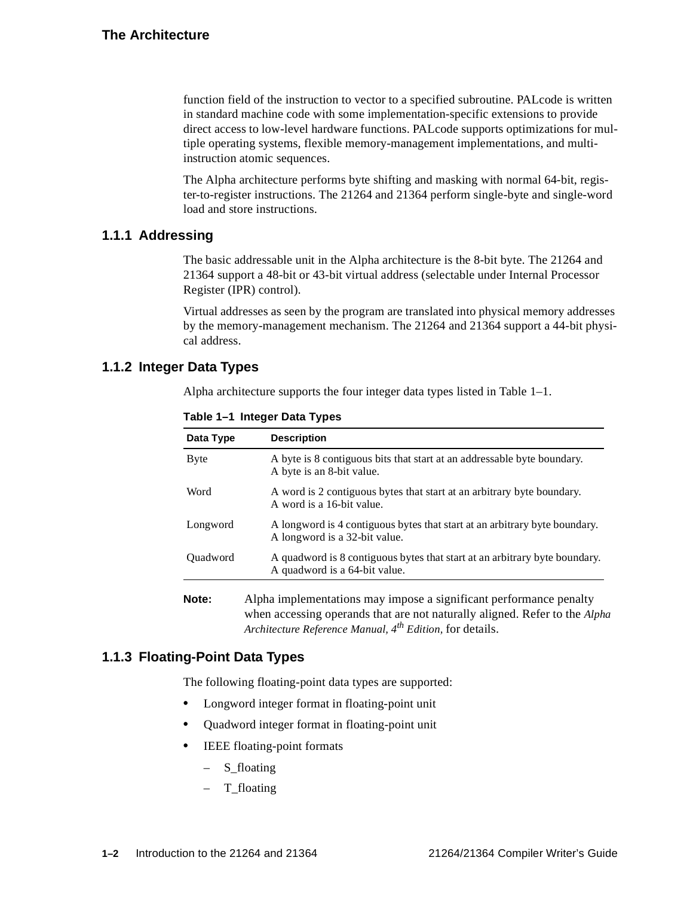function field of the instruction to vector to a specified subroutine. PALcode is written in standard machine code with some implementation-specific extensions to provide direct access to low-level hardware functions. PALcode supports optimizations for multiple operating systems, flexible memory-management implementations, and multiinstruction atomic sequences.

The Alpha architecture performs byte shifting and masking with normal 64-bit, register-to-register instructions. The 21264 and 21364 perform single-byte and single-word load and store instructions.

#### <span id="page-13-0"></span>**1.1.1 Addressing**

The basic addressable unit in the Alpha architecture is the 8-bit byte. The 21264 and 21364 support a 48-bit or 43-bit virtual address (selectable under Internal Processor Register (IPR) control).

Virtual addresses as seen by the program are translated into physical memory addresses by the memory-management mechanism. The 21264 and 21364 support a 44-bit physical address.

## <span id="page-13-3"></span><span id="page-13-1"></span>**1.1.2 Integer Data Types**

Alpha architecture supports the four integer data types listed in [Table 1–1](#page-13-3).

| A byte is 8 contiguous bits that start at an addressable byte boundary.                                     |
|-------------------------------------------------------------------------------------------------------------|
| A byte is an 8-bit value.                                                                                   |
| A word is 2 contiguous bytes that start at an arbitrary byte boundary.<br>A word is a 16-bit value.         |
| A longword is 4 contiguous bytes that start at an arbitrary byte boundary.<br>A longword is a 32-bit value. |
| A quadword is 8 contiguous bytes that start at an arbitrary byte boundary.<br>A quadword is a 64-bit value. |
|                                                                                                             |

*Architecture Reference Manual, 4th Edition,* for details.

when accessing operands that are not naturally aligned. Refer to the *Alpha*

**Table 1–1 Integer Data Types**

### <span id="page-13-2"></span>**1.1.3 Floating-Point Data Types**

The following floating-point data types are supported:

- **•** Longword integer format in floating-point unit
- **•** Quadword integer format in floating-point unit
- **IEEE** floating-point formats
	- S\_floating
	- T\_floating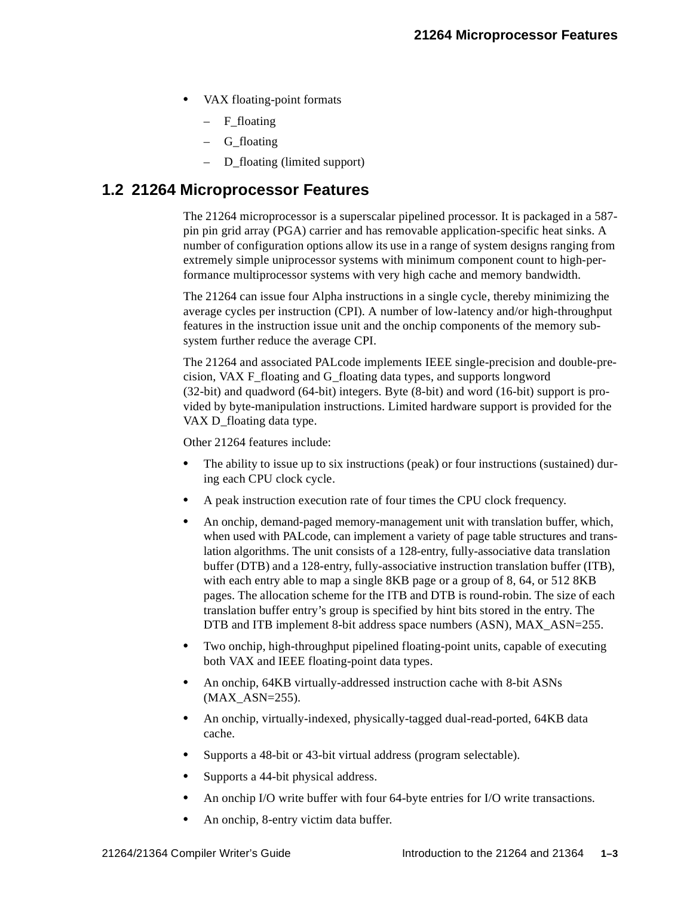- **•** VAX floating-point formats
	- $-$  F floating
	- G\_floating
	- D\_floating (limited support)

## <span id="page-14-0"></span>**1.2 21264 Microprocessor Features**

The 21264 microprocessor is a superscalar pipelined processor. It is packaged in a 587 pin pin grid array (PGA) carrier and has removable application-specific heat sinks. A number of configuration options allow its use in a range of system designs ranging from extremely simple uniprocessor systems with minimum component count to high-performance multiprocessor systems with very high cache and memory bandwidth.

The 21264 can issue four Alpha instructions in a single cycle, thereby minimizing the average cycles per instruction (CPI). A number of low-latency and/or high-throughput features in the instruction issue unit and the onchip components of the memory subsystem further reduce the average CPI.

The 21264 and associated PALcode implements IEEE single-precision and double-precision, VAX F\_floating and G\_floating data types, and supports longword (32-bit) and quadword (64-bit) integers. Byte (8-bit) and word (16-bit) support is provided by byte-manipulation instructions. Limited hardware support is provided for the VAX D floating data type.

Other 21264 features include:

- The ability to issue up to six instructions (peak) or four instructions (sustained) during each CPU clock cycle.
- **•** A peak instruction execution rate of four times the CPU clock frequency.
- **•** An onchip, demand-paged memory-management unit with translation buffer, which, when used with PALcode, can implement a variety of page table structures and translation algorithms. The unit consists of a 128-entry, fully-associative data translation buffer (DTB) and a 128-entry, fully-associative instruction translation buffer (ITB), with each entry able to map a single 8KB page or a group of 8, 64, or 512 8KB pages. The allocation scheme for the ITB and DTB is round-robin. The size of each translation buffer entry's group is specified by hint bits stored in the entry. The DTB and ITB implement 8-bit address space numbers (ASN), MAX\_ASN=255.
- **•** Two onchip, high-throughput pipelined floating-point units, capable of executing both VAX and IEEE floating-point data types.
- **•** An onchip, 64KB virtually-addressed instruction cache with 8-bit ASNs (MAX\_ASN=255).
- **•** An onchip, virtually-indexed, physically-tagged dual-read-ported, 64KB data cache.
- **•** Supports a 48-bit or 43-bit virtual address (program selectable).
- **•** Supports a 44-bit physical address.
- **•** An onchip I/O write buffer with four 64-byte entries for I/O write transactions.
- **•** An onchip, 8-entry victim data buffer.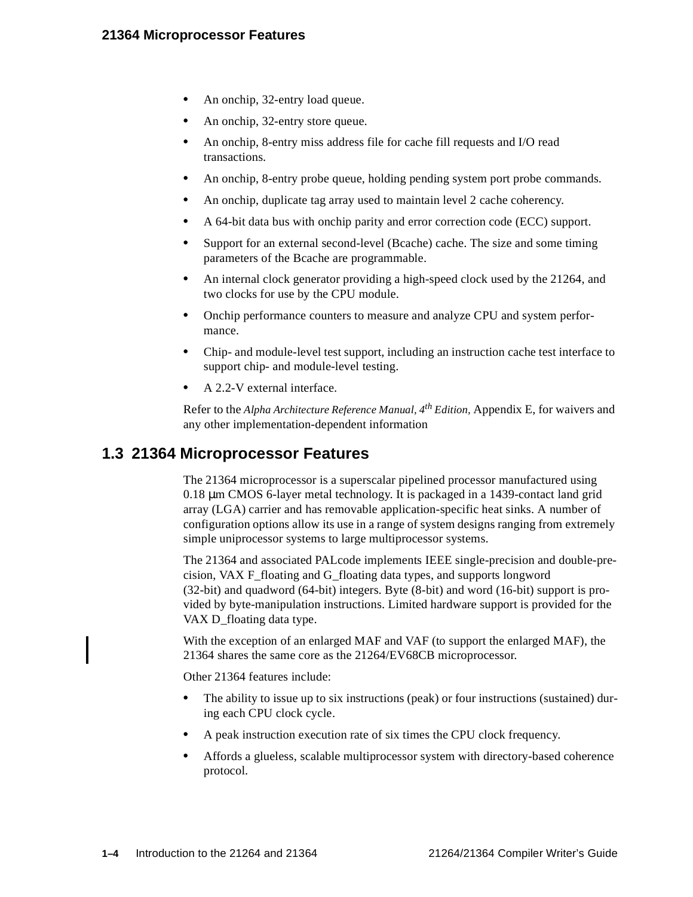- **•** An onchip, 32-entry load queue.
- **•** An onchip, 32-entry store queue.
- **•** An onchip, 8-entry miss address file for cache fill requests and I/O read transactions.
- **•** An onchip, 8-entry probe queue, holding pending system port probe commands.
- **•** An onchip, duplicate tag array used to maintain level 2 cache coherency.
- **•** A 64-bit data bus with onchip parity and error correction code (ECC) support.
- **•** Support for an external second-level (Bcache) cache. The size and some timing parameters of the Bcache are programmable.
- **•** An internal clock generator providing a high-speed clock used by the 21264, and two clocks for use by the CPU module.
- **•** Onchip performance counters to measure and analyze CPU and system performance.
- **•** Chip- and module-level test support, including an instruction cache test interface to support chip- and module-level testing.
- **•** A 2.2-V external interface.

Refer to the *Alpha Architecture Reference Manual, 4th Edition,* Appendix E, for waivers and any other implementation-dependent information

## <span id="page-15-0"></span>**1.3 21364 Microprocessor Features**

The 21364 microprocessor is a superscalar pipelined processor manufactured using 0.18 µm CMOS 6-layer metal technology. It is packaged in a 1439-contact land grid array (LGA) carrier and has removable application-specific heat sinks. A number of configuration options allow its use in a range of system designs ranging from extremely simple uniprocessor systems to large multiprocessor systems.

The 21364 and associated PALcode implements IEEE single-precision and double-precision, VAX F\_floating and G\_floating data types, and supports longword (32-bit) and quadword (64-bit) integers. Byte (8-bit) and word (16-bit) support is provided by byte-manipulation instructions. Limited hardware support is provided for the VAX D\_floating data type.

With the exception of an enlarged MAF and VAF (to support the enlarged MAF), the 21364 shares the same core as the 21264/EV68CB microprocessor.

Other 21364 features include:

- The ability to issue up to six instructions (peak) or four instructions (sustained) during each CPU clock cycle.
- **•** A peak instruction execution rate of six times the CPU clock frequency.
- **•** Affords a glueless, scalable multiprocessor system with directory-based coherence protocol.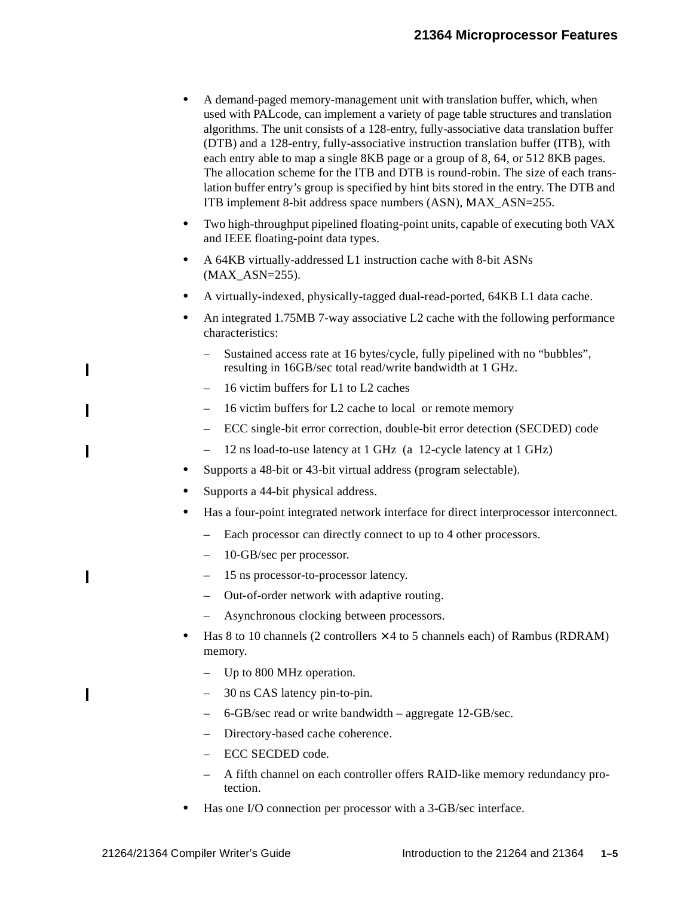- **•** A demand-paged memory-management unit with translation buffer, which, when used with PALcode, can implement a variety of page table structures and translation algorithms. The unit consists of a 128-entry, fully-associative data translation buffer (DTB) and a 128-entry, fully-associative instruction translation buffer (ITB), with each entry able to map a single 8KB page or a group of 8, 64, or 512 8KB pages. The allocation scheme for the ITB and DTB is round-robin. The size of each translation buffer entry's group is specified by hint bits stored in the entry. The DTB and ITB implement 8-bit address space numbers (ASN), MAX\_ASN=255.
- **•** Two high-throughput pipelined floating-point units, capable of executing both VAX and IEEE floating-point data types.
- **•** A 64KB virtually-addressed L1 instruction cache with 8-bit ASNs  $(MAX ASN=255)$ .
- **•** A virtually-indexed, physically-tagged dual-read-ported, 64KB L1 data cache.
- **•** An integrated 1.75MB 7-way associative L2 cache with the following performance characteristics:
	- Sustained access rate at 16 bytes/cycle, fully pipelined with no "bubbles", resulting in 16GB/sec total read/write bandwidth at 1 GHz.
	- 16 victim buffers for L1 to L2 caches
	- 16 victim buffers for L2 cache to local or remote memory
	- ECC single-bit error correction, double-bit error detection (SECDED) code
	- 12 ns load-to-use latency at 1 GHz (a 12-cycle latency at 1 GHz)
- **•** Supports a 48-bit or 43-bit virtual address (program selectable).
- **•** Supports a 44-bit physical address.
- **•** Has a four-point integrated network interface for direct interprocessor interconnect.
	- Each processor can directly connect to up to 4 other processors.
	- 10-GB/sec per processor.
	- 15 ns processor-to-processor latency.
	- Out-of-order network with adaptive routing.
	- Asynchronous clocking between processors.
- **Has 8 to 10 channels (2 controllers**  $\times$  **4 to 5 channels each) of Rambus (RDRAM)** memory.
	- Up to 800 MHz operation.
	- 30 ns CAS latency pin-to-pin.
	- 6-GB/sec read or write bandwidth aggregate 12-GB/sec.
	- Directory-based cache coherence.
	- ECC SECDED code.
	- A fifth channel on each controller offers RAID-like memory redundancy protection.
- **•** Has one I/O connection per processor with a 3-GB/sec interface.

 $\mathbf I$ 

Π

 $\overline{\phantom{a}}$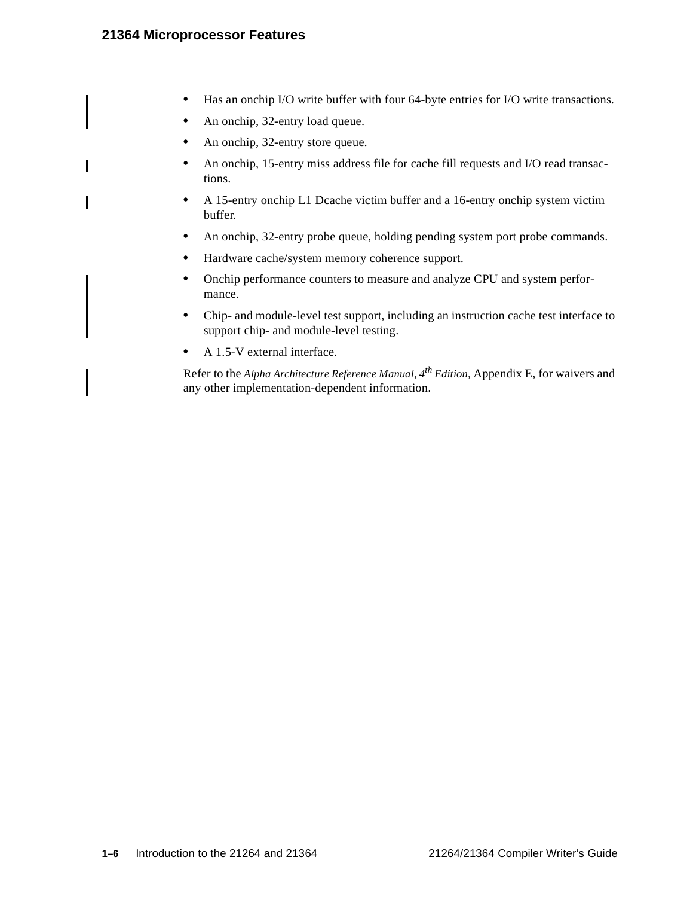Π

- **•** Has an onchip I/O write buffer with four 64-byte entries for I/O write transactions.
- **•** An onchip, 32-entry load queue.
- **•** An onchip, 32-entry store queue.
- **•** An onchip, 15-entry miss address file for cache fill requests and I/O read transactions.
- **•** A 15-entry onchip L1 Dcache victim buffer and a 16-entry onchip system victim buffer.
- An onchip, 32-entry probe queue, holding pending system port probe commands.
- **•** Hardware cache/system memory coherence support.
- **•** Onchip performance counters to measure and analyze CPU and system performance.
- **•** Chip- and module-level test support, including an instruction cache test interface to support chip- and module-level testing.
- **•** A 1.5-V external interface.

Refer to the *Alpha Architecture Reference Manual, 4th Edition,* Appendix E, for waivers and any other implementation-dependent information.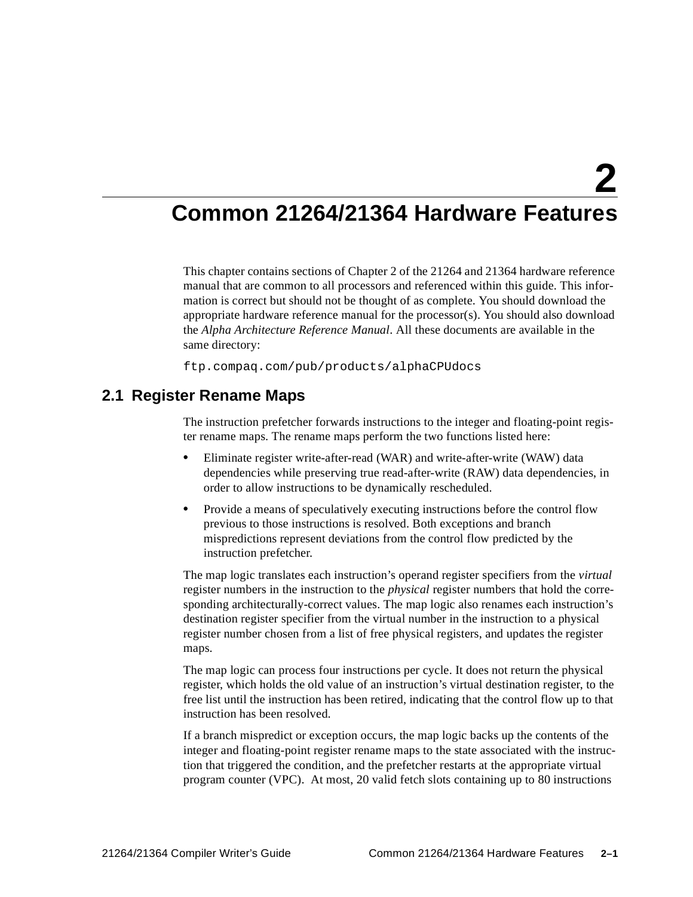## <span id="page-18-4"></span><span id="page-18-3"></span><span id="page-18-1"></span><span id="page-18-0"></span>**Common 21264/21364 Hardware Features**

This chapter contains sections of Chapter 2 of the 21264 and 21364 hardware reference manual that are common to all processors and referenced within this guide. This information is correct but should not be thought of as complete. You should download the appropriate hardware reference manual for the processor(s). You should also download the *Alpha Architecture Reference Manual*. All these documents are available in the same directory:

ftp.compaq.com/pub/products/alphaCPUdocs

## <span id="page-18-2"></span>**2.1 Register Rename Maps**

The instruction prefetcher forwards instructions to the integer and floating-point register rename maps. The rename maps perform the two functions listed here:

- **•** Eliminate register write-after-read (WAR) and write-after-write (WAW) data dependencies while preserving true read-after-write (RAW) data dependencies, in order to allow instructions to be dynamically rescheduled.
- **•** Provide a means of speculatively executing instructions before the control flow previous to those instructions is resolved. Both exceptions and branch mispredictions represent deviations from the control flow predicted by the instruction prefetcher.

The map logic translates each instruction's operand register specifiers from the *virtual* register numbers in the instruction to the *physical* register numbers that hold the corresponding architecturally-correct values. The map logic also renames each instruction's destination register specifier from the virtual number in the instruction to a physical register number chosen from a list of free physical registers, and updates the register maps.

The map logic can process four instructions per cycle. It does not return the physical register, which holds the old value of an instruction's virtual destination register, to the free list until the instruction has been retired, indicating that the control flow up to that instruction has been resolved.

If a branch mispredict or exception occurs, the map logic backs up the contents of the integer and floating-point register rename maps to the state associated with the instruction that triggered the condition, and the prefetcher restarts at the appropriate virtual program counter (VPC). At most, 20 valid fetch slots containing up to 80 instructions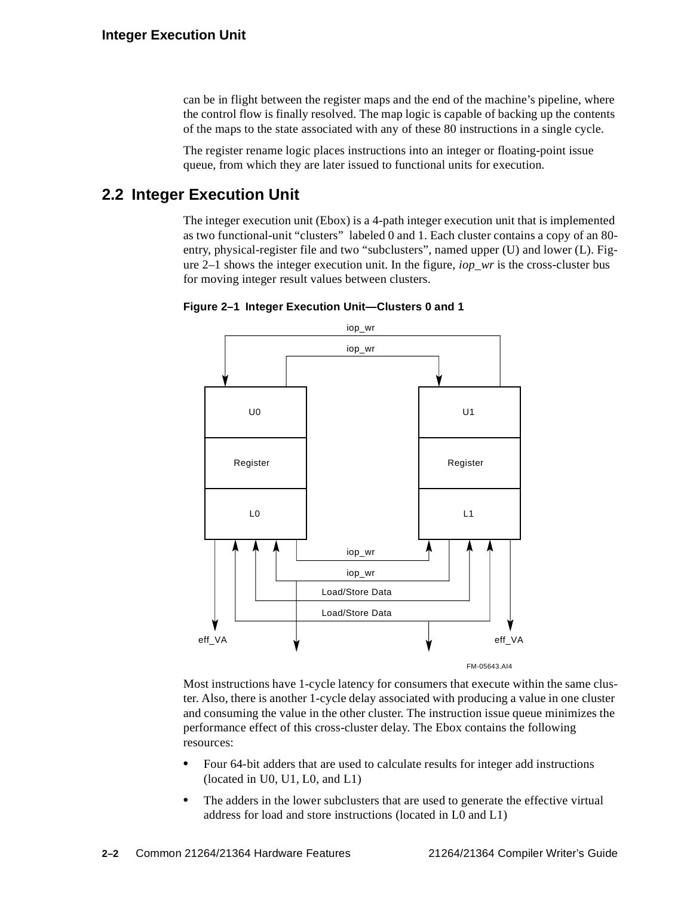can be in flight between the register maps and the end of the machine's pipeline, where the control flow is finally resolved. The map logic is capable of backing up the contents of the maps to the state associated with any of these 80 instructions in a single cycle.

The register rename logic places instructions into an integer or floating-point issue queue, from which they are later issued to functional units for execution.

## <span id="page-19-0"></span>**2.2 Integer Execution Unit**

The integer execution unit (Ebox) is a 4-path integer execution unit that is implemented as two functional-unit "clusters" labeled 0 and 1. Each cluster contains a copy of an 80 entry, physical-register file and two "subclusters", named upper (U) and lower (L). [Fig](#page-19-1)[ure 2–1](#page-19-1) shows the integer execution unit. In the figure, *iop\_wr* is the cross-cluster bus for moving integer result values between clusters.

<span id="page-19-1"></span>



Most instructions have 1-cycle latency for consumers that execute within the same cluster. Also, there is another 1-cycle delay associated with producing a value in one cluster and consuming the value in the other cluster. The instruction issue queue minimizes the performance effect of this cross-cluster delay. The Ebox contains the following resources:

- **•** Four 64-bit adders that are used to calculate results for integer add instructions (located in U0, U1, L0, and L1)
- The adders in the lower subclusters that are used to generate the effective virtual address for load and store instructions (located in L0 and L1)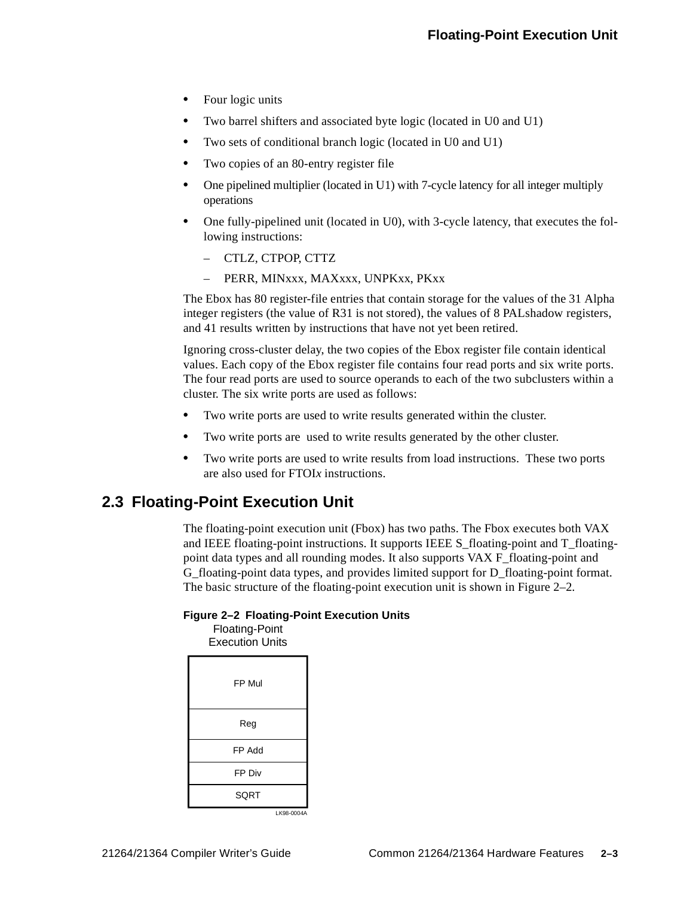- **•** Four logic units
- **•** Two barrel shifters and associated byte logic (located in U0 and U1)
- **•** Two sets of conditional branch logic (located in U0 and U1)
- **•** Two copies of an 80-entry register file
- **•** One pipelined multiplier (located in U1) with 7-cycle latency for all integer multiply operations
- **•** One fully-pipelined unit (located in U0), with 3-cycle latency, that executes the following instructions:
	- CTLZ, CTPOP, CTTZ
	- PERR, MINxxx, MAXxxx, UNPKxx, PKxx

The Ebox has 80 register-file entries that contain storage for the values of the 31 Alpha integer registers (the value of R31 is not stored), the values of 8 PALshadow registers, and 41 results written by instructions that have not yet been retired.

Ignoring cross-cluster delay, the two copies of the Ebox register file contain identical values. Each copy of the Ebox register file contains four read ports and six write ports. The four read ports are used to source operands to each of the two subclusters within a cluster. The six write ports are used as follows:

- **•** Two write ports are used to write results generated within the cluster.
- **•** Two write ports are used to write results generated by the other cluster.
- **•** Two write ports are used to write results from load instructions. These two ports are also used for FTOI*x* instructions.

## <span id="page-20-0"></span>**2.3 Floating-Point Execution Unit**

The floating-point execution unit (Fbox) has two paths. The Fbox executes both VAX and IEEE floating-point instructions. It supports IEEE S\_floating-point and T\_floatingpoint data types and all rounding modes. It also supports VAX F\_floating-point and G\_floating-point data types, and provides limited support for D\_floating-point format. The basic structure of the floating-point execution unit is shown in [Figure 2–2.](#page-20-1)

#### <span id="page-20-1"></span>**Figure 2–2 Floating-Point Execution Units**

Floating-Point Execution Units

| FP Mul |                          |
|--------|--------------------------|
| Reg    |                          |
| FP Add |                          |
| FP Div |                          |
| SQRT   |                          |
|        | $I K$ <sub>08-0004</sub> |

LK98-0004A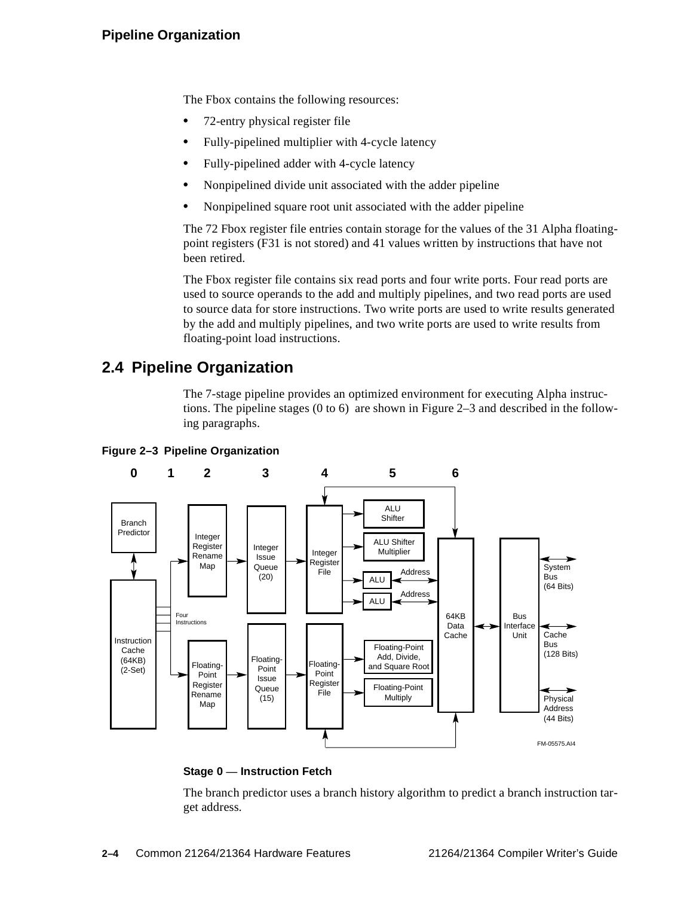### **Pipeline Organization**

The Fbox contains the following resources:

- **•** 72-entry physical register file
- **•** Fully-pipelined multiplier with 4-cycle latency
- **•** Fully-pipelined adder with 4-cycle latency
- **•** Nonpipelined divide unit associated with the adder pipeline
- **•** Nonpipelined square root unit associated with the adder pipeline

The 72 Fbox register file entries contain storage for the values of the 31 Alpha floatingpoint registers (F31 is not stored) and 41 values written by instructions that have not been retired.

The Fbox register file contains six read ports and four write ports. Four read ports are used to source operands to the add and multiply pipelines, and two read ports are used to source data for store instructions. Two write ports are used to write results generated by the add and multiply pipelines, and two write ports are used to write results from floating-point load instructions.

## <span id="page-21-0"></span>**2.4 Pipeline Organization**

The 7-stage pipeline provides an optimized environment for executing Alpha instructions. The pipeline stages (0 to 6) are shown in [Figure 2–3](#page-21-1) and described in the following paragraphs.



#### <span id="page-21-1"></span>**Figure 2–3 Pipeline Organization**

#### **Stage 0 — Instruction Fetch**

The branch predictor uses a branch history algorithm to predict a branch instruction target address.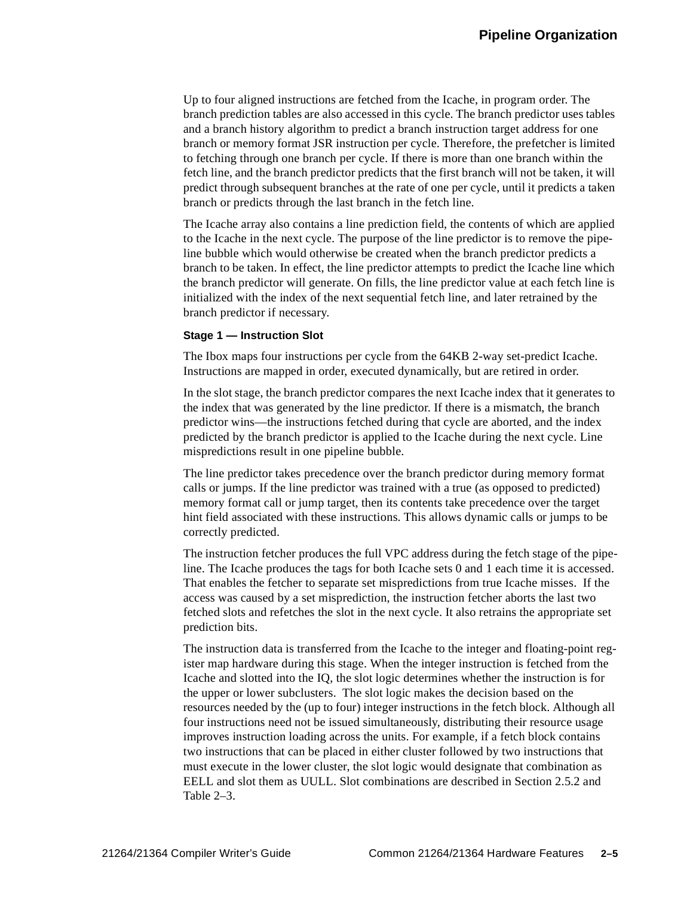Up to four aligned instructions are fetched from the Icache, in program order. The branch prediction tables are also accessed in this cycle. The branch predictor uses tables and a branch history algorithm to predict a branch instruction target address for one branch or memory format JSR instruction per cycle. Therefore, the prefetcher is limited to fetching through one branch per cycle. If there is more than one branch within the fetch line, and the branch predictor predicts that the first branch will not be taken, it will predict through subsequent branches at the rate of one per cycle, until it predicts a taken branch or predicts through the last branch in the fetch line.

The Icache array also contains a line prediction field, the contents of which are applied to the Icache in the next cycle. The purpose of the line predictor is to remove the pipeline bubble which would otherwise be created when the branch predictor predicts a branch to be taken. In effect, the line predictor attempts to predict the Icache line which the branch predictor will generate. On fills, the line predictor value at each fetch line is initialized with the index of the next sequential fetch line, and later retrained by the branch predictor if necessary.

#### **Stage 1 — Instruction Slot**

The Ibox maps four instructions per cycle from the 64KB 2-way set-predict Icache. Instructions are mapped in order, executed dynamically, but are retired in order.

In the slot stage, the branch predictor compares the next Icache index that it generates to the index that was generated by the line predictor. If there is a mismatch, the branch predictor wins—the instructions fetched during that cycle are aborted, and the index predicted by the branch predictor is applied to the Icache during the next cycle. Line mispredictions result in one pipeline bubble.

The line predictor takes precedence over the branch predictor during memory format calls or jumps. If the line predictor was trained with a true (as opposed to predicted) memory format call or jump target, then its contents take precedence over the target hint field associated with these instructions. This allows dynamic calls or jumps to be correctly predicted.

The instruction fetcher produces the full VPC address during the fetch stage of the pipeline. The Icache produces the tags for both Icache sets 0 and 1 each time it is accessed. That enables the fetcher to separate set mispredictions from true Icache misses. If the access was caused by a set misprediction, the instruction fetcher aborts the last two fetched slots and refetches the slot in the next cycle. It also retrains the appropriate set prediction bits.

The instruction data is transferred from the Icache to the integer and floating-point register map hardware during this stage. When the integer instruction is fetched from the Icache and slotted into the IQ, the slot logic determines whether the instruction is for the upper or lower subclusters. The slot logic makes the decision based on the resources needed by the (up to four) integer instructions in the fetch block. Although all four instructions need not be issued simultaneously, distributing their resource usage improves instruction loading across the units. For example, if a fetch block contains two instructions that can be placed in either cluster followed by two instructions that must execute in the lower cluster, the slot logic would designate that combination as EELL and slot them as UULL. Slot combinations are described in [Section 2.5.2](#page-25-0) and [Table 2–3](#page-25-1).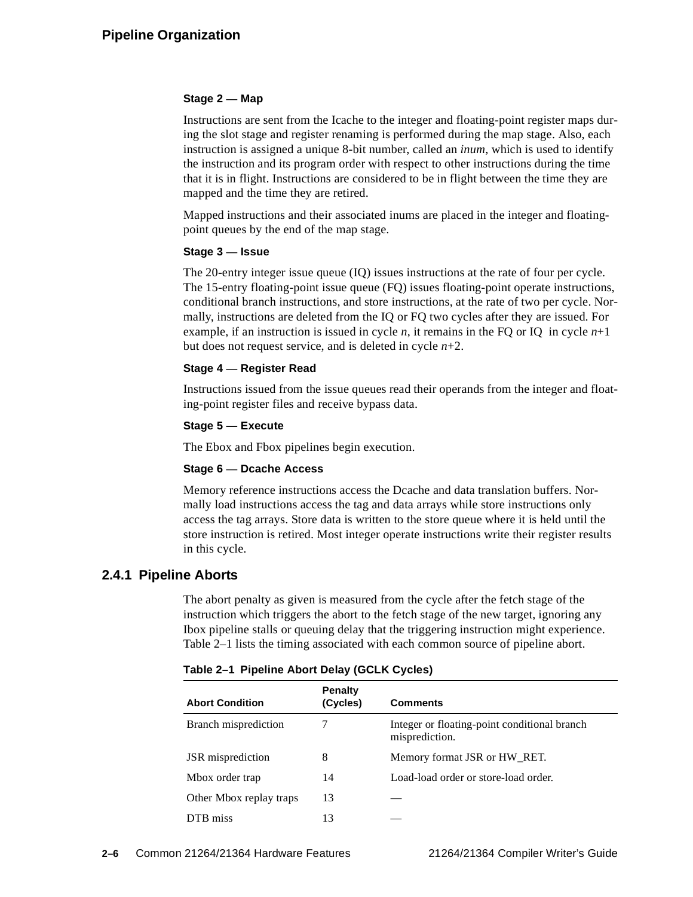#### **Stage 2 — Map**

Instructions are sent from the Icache to the integer and floating-point register maps during the slot stage and register renaming is performed during the map stage. Also, each instruction is assigned a unique 8-bit number, called an *inum*, which is used to identify the instruction and its program order with respect to other instructions during the time that it is in flight. Instructions are considered to be in flight between the time they are mapped and the time they are retired.

Mapped instructions and their associated inums are placed in the integer and floatingpoint queues by the end of the map stage.

#### **Stage 3 — Issue**

The 20-entry integer issue queue (IQ) issues instructions at the rate of four per cycle. The 15-entry floating-point issue queue (FQ) issues floating-point operate instructions, conditional branch instructions, and store instructions, at the rate of two per cycle. Normally, instructions are deleted from the IQ or FQ two cycles after they are issued. For example, if an instruction is issued in cycle *n*, it remains in the FQ or IQ in cycle  $n+1$ but does not request service, and is deleted in cycle *n*+2.

#### **Stage 4 — Register Read**

Instructions issued from the issue queues read their operands from the integer and floating-point register files and receive bypass data.

#### **Stage 5 — Execute**

The Ebox and Fbox pipelines begin execution.

#### **Stage 6 — Dcache Access**

Memory reference instructions access the Dcache and data translation buffers. Normally load instructions access the tag and data arrays while store instructions only access the tag arrays. Store data is written to the store queue where it is held until the store instruction is retired. Most integer operate instructions write their register results in this cycle.

#### <span id="page-23-0"></span>**2.4.1 Pipeline Aborts**

The abort penalty as given is measured from the cycle after the fetch stage of the instruction which triggers the abort to the fetch stage of the new target, ignoring any Ibox pipeline stalls or queuing delay that the triggering instruction might experience. [Table 2–1](#page-23-1) lists the timing associated with each common source of pipeline abort.

| <b>Abort Condition</b>  | <b>Penalty</b><br>(Cycles) | <b>Comments</b>                                                |
|-------------------------|----------------------------|----------------------------------------------------------------|
| Branch misprediction    | 7                          | Integer or floating-point conditional branch<br>misprediction. |
| JSR misprediction       | 8                          | Memory format JSR or HW RET.                                   |
| Mbox order trap         | 14                         | Load-load order or store-load order.                           |
| Other Mbox replay traps | 13                         |                                                                |
| DTB miss                | 13                         |                                                                |

<span id="page-23-1"></span>**Table 2–1 Pipeline Abort Delay (GCLK Cycles)**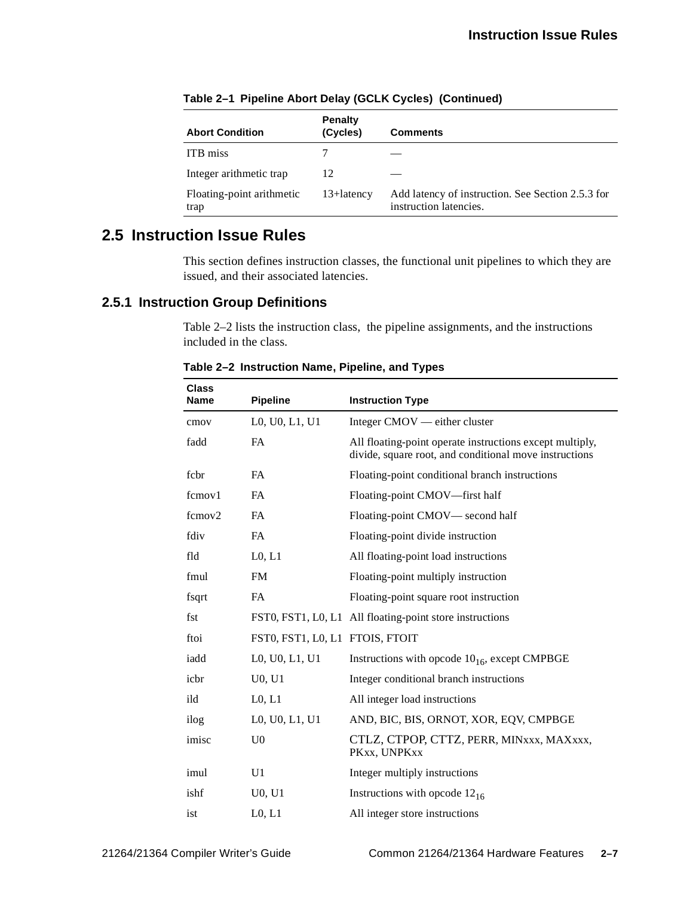| <b>Abort Condition</b>            | <b>Penalty</b><br>(Cycles) | <b>Comments</b>                                                             |
|-----------------------------------|----------------------------|-----------------------------------------------------------------------------|
| <b>ITB</b> miss                   |                            |                                                                             |
| Integer arithmetic trap           | 12                         |                                                                             |
| Floating-point arithmetic<br>trap | $13 +$ latency             | Add latency of instruction. See Section 2.5.3 for<br>instruction latencies. |

**Table 2–1 Pipeline Abort Delay (GCLK Cycles) (Continued)**

## <span id="page-24-0"></span>**2.5 Instruction Issue Rules**

This section defines instruction classes, the functional unit pipelines to which they are issued, and their associated latencies.

### <span id="page-24-2"></span><span id="page-24-1"></span>**2.5.1 Instruction Group Definitions**

[Table 2–2](#page-24-2) lists the instruction class, the pipeline assignments, and the instructions included in the class.

| <b>Class</b><br><b>Name</b> |                                 |                                                                                                                    |
|-----------------------------|---------------------------------|--------------------------------------------------------------------------------------------------------------------|
|                             | <b>Pipeline</b>                 | <b>Instruction Type</b>                                                                                            |
| cmov                        | L0, U0, L1, U1                  | Integer CMOV — either cluster                                                                                      |
| fadd                        | <b>FA</b>                       | All floating-point operate instructions except multiply,<br>divide, square root, and conditional move instructions |
| fcbr                        | <b>FA</b>                       | Floating-point conditional branch instructions                                                                     |
| fcmov1                      | <b>FA</b>                       | Floating-point CMOV-first half                                                                                     |
| fcmov2                      | <b>FA</b>                       | Floating-point CMOV— second half                                                                                   |
| fdiv                        | <b>FA</b>                       | Floating-point divide instruction                                                                                  |
| fld                         | L0, L1                          | All floating-point load instructions                                                                               |
| fmul                        | <b>FM</b>                       | Floating-point multiply instruction                                                                                |
| fsqrt                       | <b>FA</b>                       | Floating-point square root instruction                                                                             |
| fst                         |                                 | FST0, FST1, L0, L1 All floating-point store instructions                                                           |
| ftoi                        | FST0, FST1, L0, L1 FTOIS, FTOIT |                                                                                                                    |
| iadd                        | L0, U0, L1, U1                  | Instructions with opcode $10_{16}$ , except CMPBGE                                                                 |
| icbr                        | U0, U1                          | Integer conditional branch instructions                                                                            |
| ild                         | L <sub>0</sub> , L <sub>1</sub> | All integer load instructions                                                                                      |
| ilog                        | L0, U0, L1, U1                  | AND, BIC, BIS, ORNOT, XOR, EQV, CMPBGE                                                                             |
| imisc                       | U <sub>0</sub>                  | CTLZ, CTPOP, CTTZ, PERR, MINxxx, MAXxxx,<br>PKxx, UNPKxx                                                           |
| imul                        | U1                              | Integer multiply instructions                                                                                      |
| ishf                        | U <sub>0</sub> , U <sub>1</sub> | Instructions with opcode $12_{16}$                                                                                 |
| ist                         | L0, L1                          | All integer store instructions                                                                                     |

**Table 2–2 Instruction Name, Pipeline, and Types**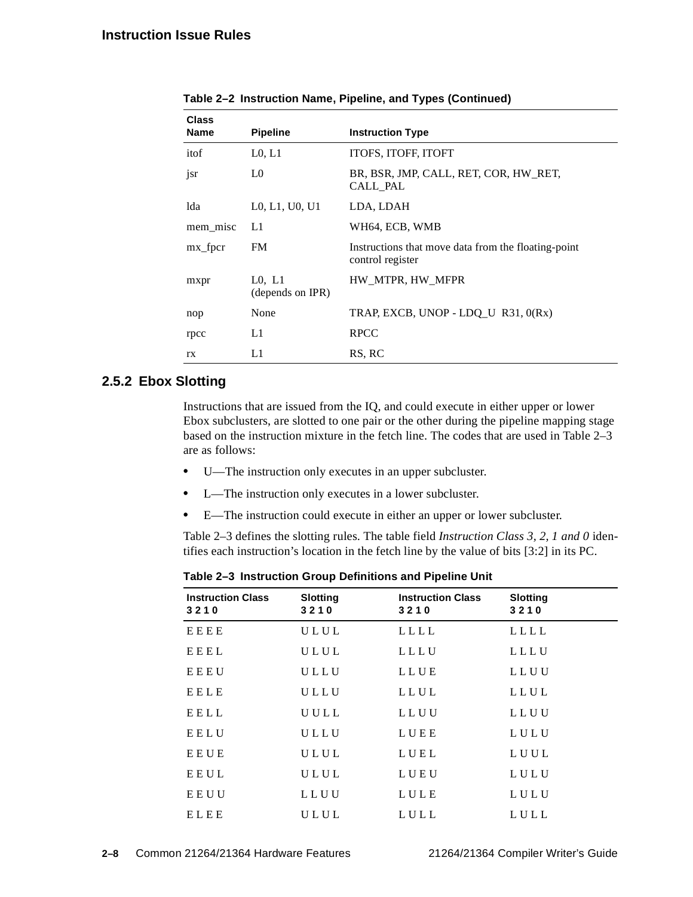| <b>Class</b><br><b>Name</b> | <b>Pipeline</b>                 | <b>Instruction Type</b>                                                 |
|-----------------------------|---------------------------------|-------------------------------------------------------------------------|
| itof                        | L0, L1                          | ITOFS, ITOFF, ITOFT                                                     |
| jsr                         | L0                              | BR, BSR, JMP, CALL, RET, COR, HW RET,<br>CALL PAL                       |
| lda                         | L0, L1, U0, U1                  | LDA, LDAH                                                               |
| mem misc                    | L1                              | WH64, ECB, WMB                                                          |
| mx_fpcr                     | <b>FM</b>                       | Instructions that move data from the floating-point<br>control register |
| mxpr                        | $L0$ , $L1$<br>(depends on IPR) | HW MTPR, HW MFPR                                                        |
| nop                         | None                            | TRAP, EXCB, UNOP - LDQ_U R31, 0(Rx)                                     |
| rpcc                        | L1                              | <b>RPCC</b>                                                             |
| rx                          | L1                              | RS, RC                                                                  |

**Table 2–2 Instruction Name, Pipeline, and Types (Continued)**

### <span id="page-25-0"></span>**2.5.2 Ebox Slotting**

Instructions that are issued from the IQ, and could execute in either upper or lower Ebox subclusters, are slotted to one pair or the other during the pipeline mapping stage based on the instruction mixture in the fetch line. The codes that are used in [Table 2–3](#page-25-1) are as follows:

- **•** U—The instruction only executes in an upper subcluster.
- **•** L—The instruction only executes in a lower subcluster.
- **•** E—The instruction could execute in either an upper or lower subcluster.

[Table 2–3](#page-25-1) defines the slotting rules. The table field *Instruction Class 3, 2, 1 and 0* identifies each instruction's location in the fetch line by the value of bits [3:2] in its PC.

<span id="page-25-1"></span>

| <b>Instruction Class</b><br>3210 | <b>Slotting</b><br>3210 | <b>Instruction Class</b><br>3210 | <b>Slotting</b><br>3210 |
|----------------------------------|-------------------------|----------------------------------|-------------------------|
| EEEE                             | ULUL                    | LLLL                             | LLLL                    |
| <b>EEEL</b>                      | ULUL                    | LLLU                             | LLLU                    |
| EEEU                             | ULLU                    | LLUE                             | LLUU                    |
| <b>EELE</b>                      | ULLU                    | LLUL                             | LLUL                    |
| EELL                             | UULL                    | LLUU                             | LLUU                    |
| EELU                             | ULLU                    | LUEE                             | LULU                    |
| EEUE                             | ULUL                    | LUEL                             | LUUL                    |
| EEUL                             | ULUL                    | LUEU                             | LULU                    |
| EEUU                             | LLUU                    | LULE                             | LULU                    |
| ELEE                             | ULUL                    | LULL                             | LULL                    |

**Table 2–3 Instruction Group Definitions and Pipeline Unit**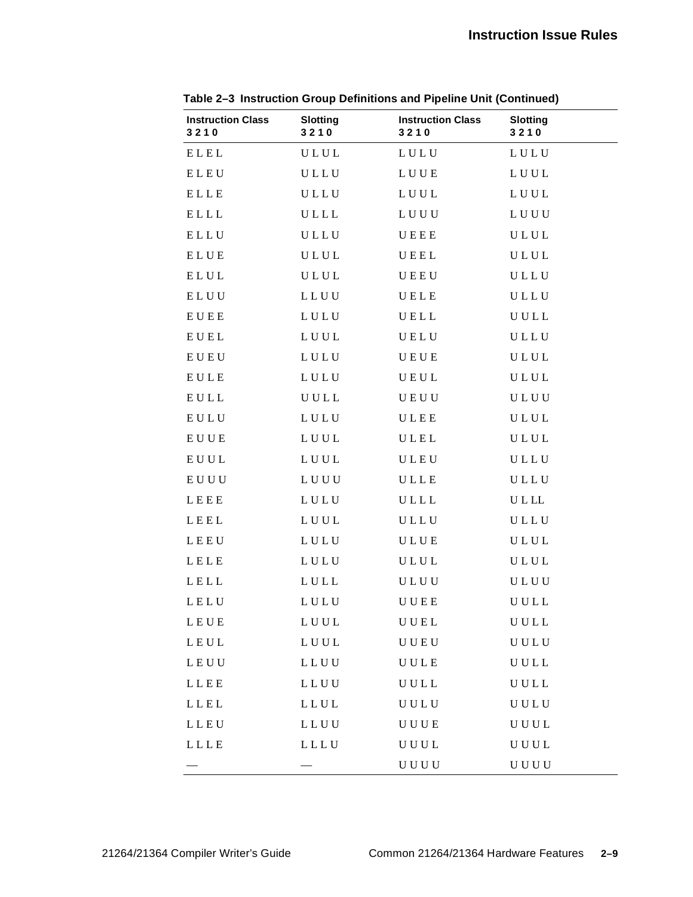| <b>Instruction Class</b><br>3210                 | <b>Slotting</b><br>3210 | <b>Instruction Class</b><br>3210 | <b>Slotting</b><br>3210 |
|--------------------------------------------------|-------------------------|----------------------------------|-------------------------|
| ELEL                                             | ULUL                    | LULU                             | LULU                    |
| ELEU                                             | ULLU                    | LUUE                             | LUUL                    |
| ELLE                                             | ULLU                    | LUUL                             | LUUL                    |
| ELLL                                             | ULLL                    | LUUU                             | LUUU                    |
| ELLU                                             | ULLU                    | UEEE                             | ULUL                    |
| ELUE                                             | ULUL                    | UEEL                             | ULUL                    |
| ELUL                                             | ULUL                    | UEEU                             | ULLU                    |
| ELUU                                             | LLUU                    | UELE                             | ULLU                    |
| EUEE                                             | LULU                    | UELL                             | UULL                    |
| EUEL                                             | LUUL                    | UELU                             | ULLU                    |
| ${\bf E} \, {\bf U} \, {\bf E} \, {\bf U}$       | LULU                    | UEUE                             | ULUL                    |
| EULE                                             | LULU                    | UEUL                             | ULUL                    |
| $\mathbf{E}\,\mathbf{U}\,\mathbf{L}\,\mathbf{L}$ | UULL                    | UEUU                             | ULUU                    |
| EULU                                             | LULU                    | ULEE                             | ULUL                    |
| EUUE                                             | LUUL                    | ULEL                             | ULUL                    |
| EUUL                                             | LUUL                    | ULEU                             | ULLU                    |
| EUUU                                             | LUUU                    | ULLE                             | ULLU                    |
| LEEE                                             | LULU                    | ULLL                             | <b>ULLL</b>             |
| LEEL                                             | LUUL                    | ULLU                             | ULLU                    |
| LEEU                                             | LULU                    | ULUE                             | ULUL                    |
| LELE                                             | LULU                    | ULUL                             | ULUL                    |
| LELL                                             | LULL                    | <b>ULUU</b>                      | <b>ULUU</b>             |
| LELU                                             | LULU                    | UUEE                             | UULL                    |
| LEUE                                             | ${\bf L}$ U U ${\bf L}$ | UUEL                             | UULL                    |
| LEUL                                             | LUUL                    | UUEU                             | U U L U                 |
| LEUU                                             | LLUU                    | UULE                             | UULL                    |
| LLEE                                             | LLUU                    | UULL                             | UULL                    |
| LLEL                                             | LLUL                    | U U L U                          | U U L U                 |
| LLEU                                             | LLUU                    | <b>UUUE</b>                      | UUUL                    |
| LLLE                                             | LLLU                    | UUUL                             | UUUL                    |
|                                                  |                         | U U U U                          | U U U U                 |

**Table 2–3 Instruction Group Definitions and Pipeline Unit (Continued)**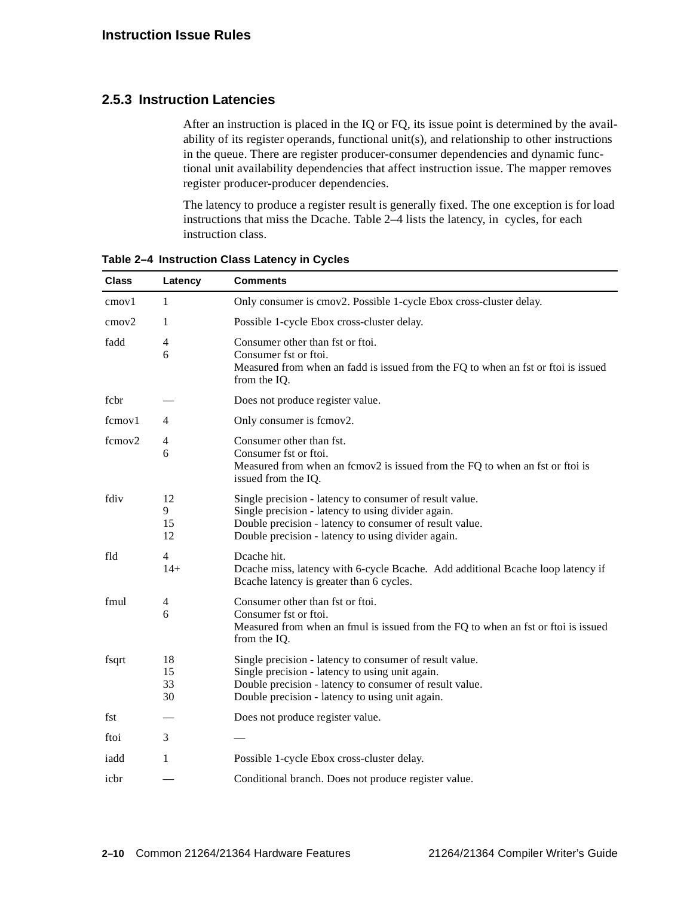#### <span id="page-27-0"></span>**2.5.3 Instruction Latencies**

After an instruction is placed in the IQ or FQ, its issue point is determined by the availability of its register operands, functional unit(s), and relationship to other instructions in the queue. There are register producer-consumer dependencies and dynamic functional unit availability dependencies that affect instruction issue. The mapper removes register producer-producer dependencies.

The latency to produce a register result is generally fixed. The one exception is for load instructions that miss the Dcache. [Table 2–4](#page-27-1) lists the latency, in cycles, for each instruction class.

| <b>Class</b>      | Latency                      | <b>Comments</b>                                                                                                                                                                                                                |  |  |
|-------------------|------------------------------|--------------------------------------------------------------------------------------------------------------------------------------------------------------------------------------------------------------------------------|--|--|
| cmov1             | 1                            | Only consumer is cmov2. Possible 1-cycle Ebox cross-cluster delay.                                                                                                                                                             |  |  |
| cmov <sub>2</sub> | 1                            | Possible 1-cycle Ebox cross-cluster delay.                                                                                                                                                                                     |  |  |
| fadd              | 4<br>6                       | Consumer other than fst or ftoi.<br>Consumer fst or ftoi.<br>Measured from when an fadd is issued from the FQ to when an fst or ftoi is issued<br>from the IQ.                                                                 |  |  |
| fcbr              |                              | Does not produce register value.                                                                                                                                                                                               |  |  |
| fcmov1            | 4                            | Only consumer is fcmov2.                                                                                                                                                                                                       |  |  |
| fcmov2            | 4<br>6                       | Consumer other than fst.<br>Consumer fst or ftoi.<br>Measured from when an fcmov2 is issued from the FQ to when an fst or ftoi is<br>issued from the IQ.                                                                       |  |  |
| fdiv              | 12<br>9<br>15<br>12          | Single precision - latency to consumer of result value.<br>Single precision - latency to using divider again.<br>Double precision - latency to consumer of result value.<br>Double precision - latency to using divider again. |  |  |
| fld               | 4<br>$14+$                   | Dcache hit.<br>Deache miss, latency with 6-cycle Beache. Add additional Beache loop latency if<br>Beache latency is greater than 6 cycles.                                                                                     |  |  |
| fmul              | $\overline{\mathbf{4}}$<br>6 | Consumer other than fst or ftoi.<br>Consumer fst or ftoi.<br>Measured from when an fmul is issued from the FQ to when an fst or ftoi is issued<br>from the IQ.                                                                 |  |  |
| fsqrt             | 18<br>15<br>33<br>30         | Single precision - latency to consumer of result value.<br>Single precision - latency to using unit again.<br>Double precision - latency to consumer of result value.<br>Double precision - latency to using unit again.       |  |  |
| fst               |                              | Does not produce register value.                                                                                                                                                                                               |  |  |
| ftoi              | 3                            |                                                                                                                                                                                                                                |  |  |
| iadd              | 1                            | Possible 1-cycle Ebox cross-cluster delay.                                                                                                                                                                                     |  |  |
| icbr              |                              | Conditional branch. Does not produce register value.                                                                                                                                                                           |  |  |

<span id="page-27-1"></span>**Table 2–4 Instruction Class Latency in Cycles**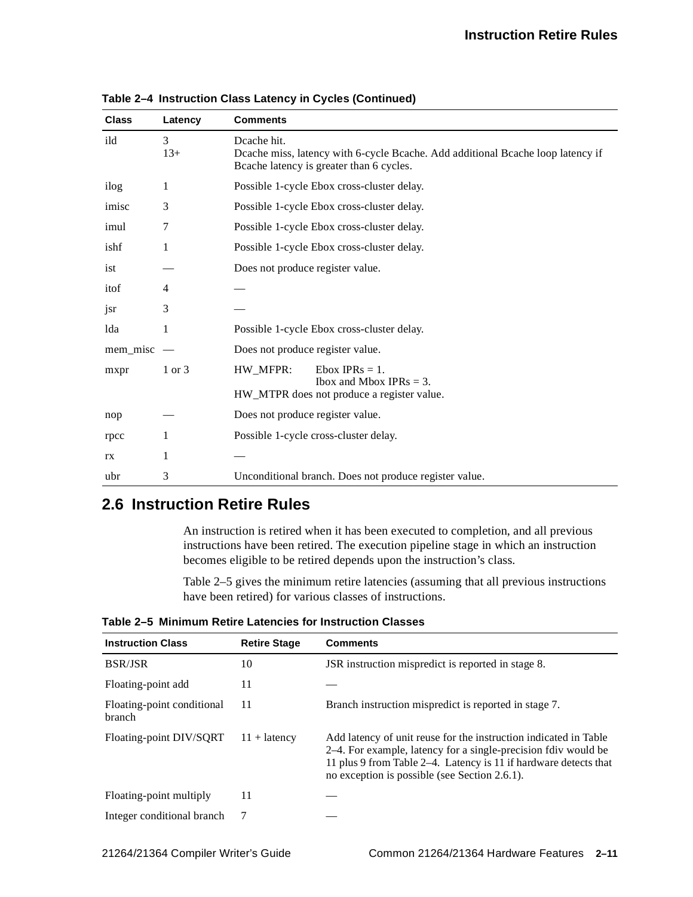| <b>Class</b> | Latency    | <b>Comments</b>                                                                                                                            |  |
|--------------|------------|--------------------------------------------------------------------------------------------------------------------------------------------|--|
| ild          | 3<br>$13+$ | Deache hit.<br>Deache miss, latency with 6-cycle Beache. Add additional Beache loop latency if<br>Beache latency is greater than 6 cycles. |  |
| ilog         | 1          | Possible 1-cycle Ebox cross-cluster delay.                                                                                                 |  |
| imisc        | 3          | Possible 1-cycle Ebox cross-cluster delay.                                                                                                 |  |
| imul         | 7          | Possible 1-cycle Ebox cross-cluster delay.                                                                                                 |  |
| ishf         | 1          | Possible 1-cycle Ebox cross-cluster delay.                                                                                                 |  |
| ist          |            | Does not produce register value.                                                                                                           |  |
| itof         | 4          |                                                                                                                                            |  |
| jsr          | 3          |                                                                                                                                            |  |
| lda          | 1          | Possible 1-cycle Ebox cross-cluster delay.                                                                                                 |  |
| mem misc     |            | Does not produce register value.                                                                                                           |  |
| mxpr         | 1 or 3     | HW MFPR:<br>Ebox IPRs $= 1$ .<br>Ibox and Mbox IPRs $=$ 3.<br>HW_MTPR does not produce a register value.                                   |  |
| nop          |            | Does not produce register value.                                                                                                           |  |
| rpcc         | 1          | Possible 1-cycle cross-cluster delay.                                                                                                      |  |
| rx           | 1          |                                                                                                                                            |  |
| ubr          | 3          | Unconditional branch. Does not produce register value.                                                                                     |  |

**Table 2–4 Instruction Class Latency in Cycles (Continued)**

## <span id="page-28-0"></span>**2.6 Instruction Retire Rules**

An instruction is retired when it has been executed to completion, and all previous instructions have been retired. The execution pipeline stage in which an instruction becomes eligible to be retired depends upon the instruction's class.

[Table 2–5](#page-28-1) gives the minimum retire latencies (assuming that all previous instructions have been retired) for various classes of instructions.

<span id="page-28-1"></span>**Table 2–5 Minimum Retire Latencies for Instruction Classes**

| <b>Instruction Class</b>                    | <b>Retire Stage</b> | <b>Comments</b>                                                                                                                                                                                                                                         |
|---------------------------------------------|---------------------|---------------------------------------------------------------------------------------------------------------------------------------------------------------------------------------------------------------------------------------------------------|
| <b>BSR/JSR</b>                              | 10                  | JSR instruction mispredict is reported in stage 8.                                                                                                                                                                                                      |
| Floating-point add                          | 11                  |                                                                                                                                                                                                                                                         |
| Floating-point conditional<br><b>branch</b> | 11                  | Branch instruction mispredict is reported in stage 7.                                                                                                                                                                                                   |
| Floating-point DIV/SQRT                     | $11 +$ latency      | Add latency of unit reuse for the instruction indicated in Table<br>2–4. For example, latency for a single-precision fdiv would be<br>11 plus 9 from Table 2–4. Latency is 11 if hardware detects that<br>no exception is possible (see Section 2.6.1). |
| Floating-point multiply                     | 11                  |                                                                                                                                                                                                                                                         |
| Integer conditional branch                  | 7                   |                                                                                                                                                                                                                                                         |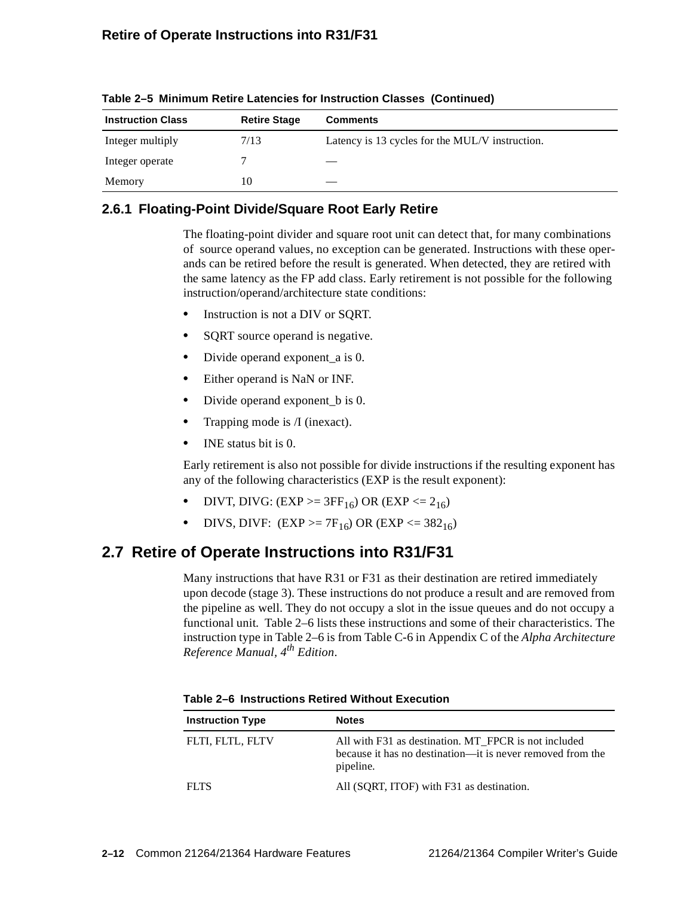| <b>Instruction Class</b> | <b>Retire Stage</b> | <b>Comments</b>                                 |
|--------------------------|---------------------|-------------------------------------------------|
| Integer multiply         | 7/13                | Latency is 13 cycles for the MUL/V instruction. |
| Integer operate          |                     |                                                 |
| Memory                   | 10                  |                                                 |

**Table 2–5 Minimum Retire Latencies for Instruction Classes (Continued)**

## <span id="page-29-0"></span>**2.6.1 Floating-Point Divide/Square Root Early Retire**

The floating-point divider and square root unit can detect that, for many combinations of source operand values, no exception can be generated. Instructions with these operands can be retired before the result is generated. When detected, they are retired with the same latency as the FP add class. Early retirement is not possible for the following instruction/operand/architecture state conditions:

- **•** Instruction is not a DIV or SQRT.
- SQRT source operand is negative.
- Divide operand exponent a is 0.
- **•** Either operand is NaN or INF.
- Divide operand exponent b is 0.
- **•** Trapping mode is /I (inexact).
- **•** INE status bit is 0.

Early retirement is also not possible for divide instructions if the resulting exponent has any of the following characteristics (EXP is the result exponent):

- **DIVT, DIVG: (EXP >=**  $3FF_{16}$ **) OR (EXP <=**  $2_{16}$ **)**
- **DIVS, DIVF:**  $(EXP \ge 7F_{16})$  OR  $(EXP \le 382_{16})$

## <span id="page-29-1"></span>**2.7 Retire of Operate Instructions into R31/F31**

Many instructions that have R31 or F31 as their destination are retired immediately upon decode (stage 3). These instructions do not produce a result and are removed from the pipeline as well. They do not occupy a slot in the issue queues and do not occupy a functional unit. [Table 2–6](#page-29-2) lists these instructions and some of their characteristics. The instruction type in [Table 2–6](#page-29-2) is from Table C-6 in Appendix C of the *Alpha Architecture Reference Manual, 4th Edition*.

<span id="page-29-2"></span>

| <b>Instruction Type</b> | <b>Notes</b>                                                                                                                    |
|-------------------------|---------------------------------------------------------------------------------------------------------------------------------|
| FLTI, FLTL, FLTV        | All with F31 as destination. MT FPCR is not included<br>because it has no destination—it is never removed from the<br>pipeline. |
| <b>FLTS</b>             | All (SQRT, ITOF) with F31 as destination.                                                                                       |

**Table 2–6 Instructions Retired Without Execution**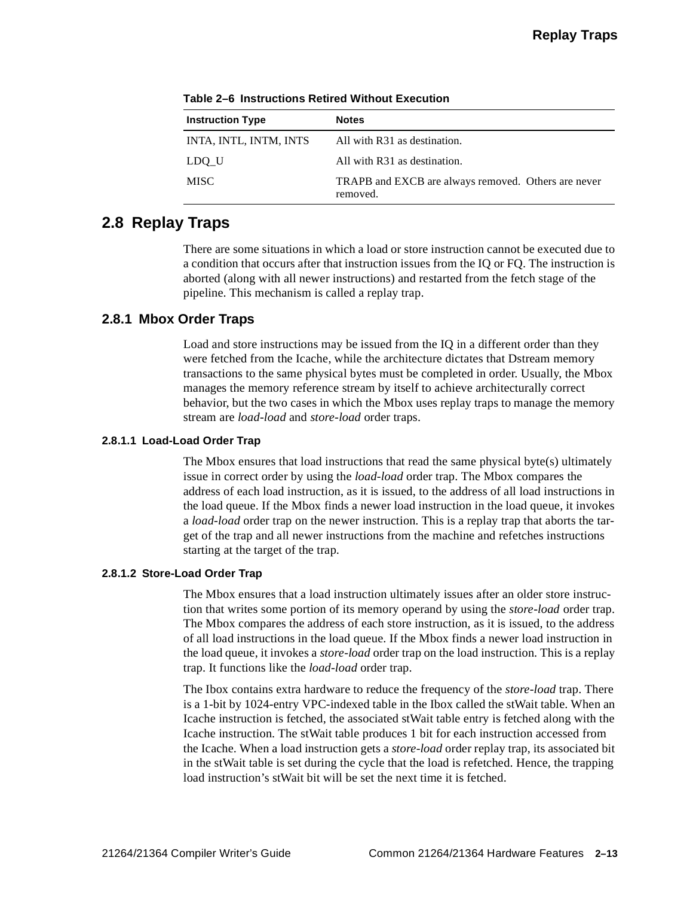| <b>Instruction Type</b> | <b>Notes</b>                                                    |
|-------------------------|-----------------------------------------------------------------|
| INTA, INTL, INTM, INTS  | All with R31 as destination.                                    |
| LDO U                   | All with R31 as destination.                                    |
| <b>MISC</b>             | TRAPB and EXCB are always removed. Others are never<br>removed. |

**Table 2–6 Instructions Retired Without Execution**

## <span id="page-30-0"></span>**2.8 Replay Traps**

There are some situations in which a load or store instruction cannot be executed due to a condition that occurs after that instruction issues from the IQ or FQ. The instruction is aborted (along with all newer instructions) and restarted from the fetch stage of the pipeline. This mechanism is called a replay trap.

### <span id="page-30-1"></span>**2.8.1 Mbox Order Traps**

Load and store instructions may be issued from the IQ in a different order than they were fetched from the Icache, while the architecture dictates that Dstream memory transactions to the same physical bytes must be completed in order. Usually, the Mbox manages the memory reference stream by itself to achieve architecturally correct behavior, but the two cases in which the Mbox uses replay traps to manage the memory stream are *load-load* and *store-load* order traps.

#### <span id="page-30-2"></span>**2.8.1.1 Load-Load Order Trap**

The Mbox ensures that load instructions that read the same physical byte(s) ultimately issue in correct order by using the *load-load* order trap. The Mbox compares the address of each load instruction, as it is issued, to the address of all load instructions in the load queue. If the Mbox finds a newer load instruction in the load queue, it invokes a *load-load* order trap on the newer instruction. This is a replay trap that aborts the target of the trap and all newer instructions from the machine and refetches instructions starting at the target of the trap.

#### <span id="page-30-3"></span>**2.8.1.2 Store-Load Order Trap**

The Mbox ensures that a load instruction ultimately issues after an older store instruction that writes some portion of its memory operand by using the *store-load* order trap. The Mbox compares the address of each store instruction, as it is issued, to the address of all load instructions in the load queue. If the Mbox finds a newer load instruction in the load queue, it invokes a *store-load* order trap on the load instruction. This is a replay trap. It functions like the *load-load* order trap.

The Ibox contains extra hardware to reduce the frequency of the *store-load* trap. There is a 1-bit by 1024-entry VPC-indexed table in the Ibox called the stWait table. When an Icache instruction is fetched, the associated stWait table entry is fetched along with the Icache instruction. The stWait table produces 1 bit for each instruction accessed from the Icache. When a load instruction gets a *store-load* order replay trap, its associated bit in the stWait table is set during the cycle that the load is refetched. Hence, the trapping load instruction's stWait bit will be set the next time it is fetched.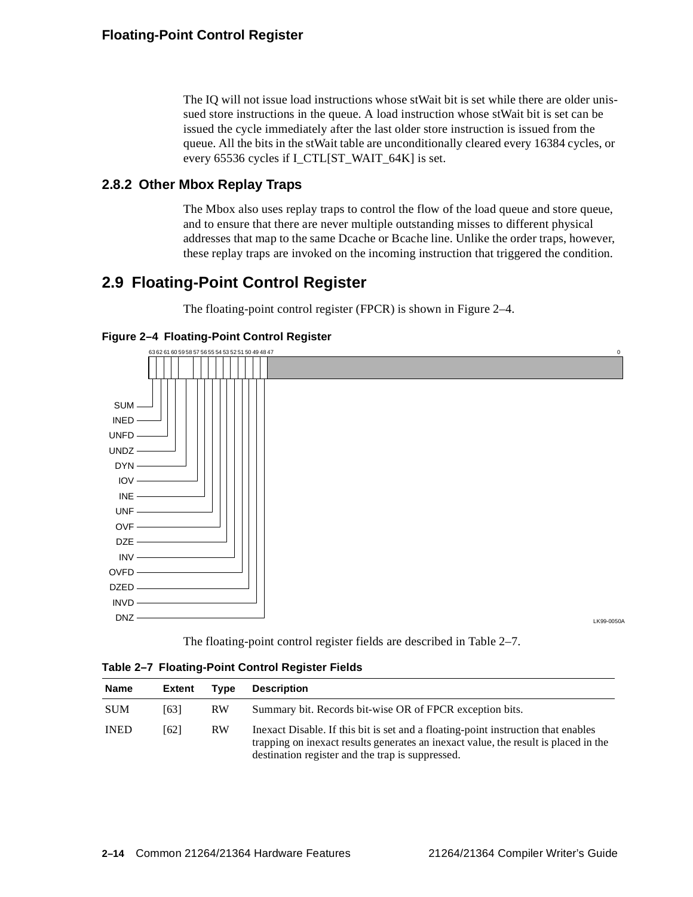The IQ will not issue load instructions whose stWait bit is set while there are older unissued store instructions in the queue. A load instruction whose stWait bit is set can be issued the cycle immediately after the last older store instruction is issued from the queue. All the bits in the stWait table are unconditionally cleared every 16384 cycles, or every 65536 cycles if I\_CTL[ST\_WAIT\_64K] is set.

#### <span id="page-31-0"></span>**2.8.2 Other Mbox Replay Traps**

The Mbox also uses replay traps to control the flow of the load queue and store queue, and to ensure that there are never multiple outstanding misses to different physical addresses that map to the same Dcache or Bcache line. Unlike the order traps, however, these replay traps are invoked on the incoming instruction that triggered the condition.

## <span id="page-31-1"></span>**2.9 Floating-Point Control Register**

The floating-point control register (FPCR) is shown in [Figure 2–4](#page-31-2).

<span id="page-31-2"></span>**Figure 2–4 Floating-Point Control Register**



The floating-point control register fields are described in [Table 2–7](#page-31-3).

<span id="page-31-3"></span>**Table 2–7 Floating-Point Control Register Fields**

| Name        | Extent | Tvpe      | <b>Description</b>                                                                                                                                                                                                           |
|-------------|--------|-----------|------------------------------------------------------------------------------------------------------------------------------------------------------------------------------------------------------------------------------|
| <b>SUM</b>  | [63]   | <b>RW</b> | Summary bit. Records bit-wise OR of FPCR exception bits.                                                                                                                                                                     |
| <b>INED</b> | [62]   | <b>RW</b> | Inexact Disable. If this bit is set and a floating-point instruction that enables<br>trapping on inexact results generates an inexact value, the result is placed in the<br>destination register and the trap is suppressed. |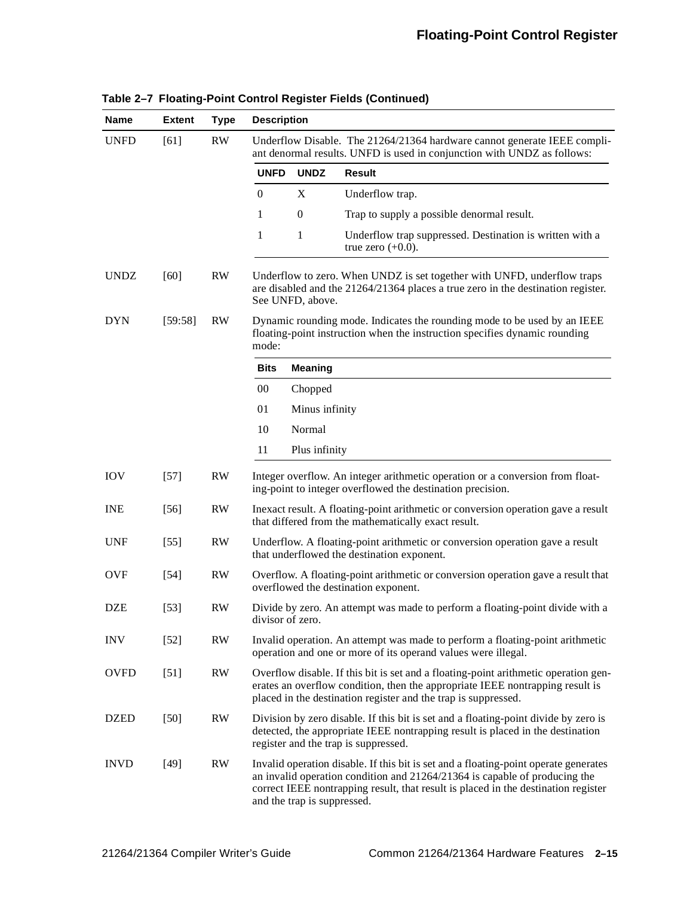| <b>Name</b> | <b>Extent</b> | <b>Type</b>   | <b>Description</b>                                                                                                                                                                                                                                                                        |                  |                                                                                                                                                             |
|-------------|---------------|---------------|-------------------------------------------------------------------------------------------------------------------------------------------------------------------------------------------------------------------------------------------------------------------------------------------|------------------|-------------------------------------------------------------------------------------------------------------------------------------------------------------|
| <b>UNFD</b> | [61]          | RW            | Underflow Disable. The 21264/21364 hardware cannot generate IEEE compli-<br>ant denormal results. UNFD is used in conjunction with UNDZ as follows:                                                                                                                                       |                  |                                                                                                                                                             |
|             |               |               | <b>UNFD</b>                                                                                                                                                                                                                                                                               | <b>UNDZ</b>      | <b>Result</b>                                                                                                                                               |
|             |               |               | $\theta$                                                                                                                                                                                                                                                                                  | X                | Underflow trap.                                                                                                                                             |
|             |               |               | 1                                                                                                                                                                                                                                                                                         | $\boldsymbol{0}$ | Trap to supply a possible denormal result.                                                                                                                  |
|             |               |               | 1                                                                                                                                                                                                                                                                                         | 1                | Underflow trap suppressed. Destination is written with a<br>true zero $(+0.0)$ .                                                                            |
| <b>UNDZ</b> | $[60]$        | RW            |                                                                                                                                                                                                                                                                                           | See UNFD, above. | Underflow to zero. When UNDZ is set together with UNFD, underflow traps<br>are disabled and the 21264/21364 places a true zero in the destination register. |
| <b>DYN</b>  | [59:58]       | <b>RW</b>     | Dynamic rounding mode. Indicates the rounding mode to be used by an IEEE<br>floating-point instruction when the instruction specifies dynamic rounding<br>mode:                                                                                                                           |                  |                                                                                                                                                             |
|             |               |               | Bits                                                                                                                                                                                                                                                                                      | <b>Meaning</b>   |                                                                                                                                                             |
|             |               |               | $00\,$                                                                                                                                                                                                                                                                                    | Chopped          |                                                                                                                                                             |
|             |               |               | 01                                                                                                                                                                                                                                                                                        | Minus infinity   |                                                                                                                                                             |
|             |               |               | 10                                                                                                                                                                                                                                                                                        | Normal           |                                                                                                                                                             |
|             |               |               | 11                                                                                                                                                                                                                                                                                        | Plus infinity    |                                                                                                                                                             |
| <b>IOV</b>  | $[57]$        | <b>RW</b>     | Integer overflow. An integer arithmetic operation or a conversion from float-<br>ing-point to integer overflowed the destination precision.                                                                                                                                               |                  |                                                                                                                                                             |
| <b>INE</b>  | $[56]$        | <b>RW</b>     | Inexact result. A floating-point arithmetic or conversion operation gave a result<br>that differed from the mathematically exact result.                                                                                                                                                  |                  |                                                                                                                                                             |
| <b>UNF</b>  | $[55]$        | RW            | Underflow. A floating-point arithmetic or conversion operation gave a result<br>that underflowed the destination exponent.                                                                                                                                                                |                  |                                                                                                                                                             |
| <b>OVF</b>  | $[54]$        | RW            | Overflow. A floating-point arithmetic or conversion operation gave a result that<br>overflowed the destination exponent.                                                                                                                                                                  |                  |                                                                                                                                                             |
| <b>DZE</b>  | $[53]$        | <b>RW</b>     | Divide by zero. An attempt was made to perform a floating-point divide with a<br>divisor of zero.                                                                                                                                                                                         |                  |                                                                                                                                                             |
| <b>INV</b>  | $[52]$        | $\mathbf{RW}$ | Invalid operation. An attempt was made to perform a floating-point arithmetic<br>operation and one or more of its operand values were illegal.                                                                                                                                            |                  |                                                                                                                                                             |
| <b>OVFD</b> | $[51]$        | RW            | Overflow disable. If this bit is set and a floating-point arithmetic operation gen-<br>erates an overflow condition, then the appropriate IEEE nontrapping result is<br>placed in the destination register and the trap is suppressed.                                                    |                  |                                                                                                                                                             |
| <b>DZED</b> | $[50]$        | RW            | Division by zero disable. If this bit is set and a floating-point divide by zero is<br>detected, the appropriate IEEE nontrapping result is placed in the destination<br>register and the trap is suppressed.                                                                             |                  |                                                                                                                                                             |
| <b>INVD</b> | $[49]$        | <b>RW</b>     | Invalid operation disable. If this bit is set and a floating-point operate generates<br>an invalid operation condition and $21264/21364$ is capable of producing the<br>correct IEEE nontrapping result, that result is placed in the destination register<br>and the trap is suppressed. |                  |                                                                                                                                                             |

|  |  | Table 2-7 Floating-Point Control Register Fields (Continued) |  |  |
|--|--|--------------------------------------------------------------|--|--|
|--|--|--------------------------------------------------------------|--|--|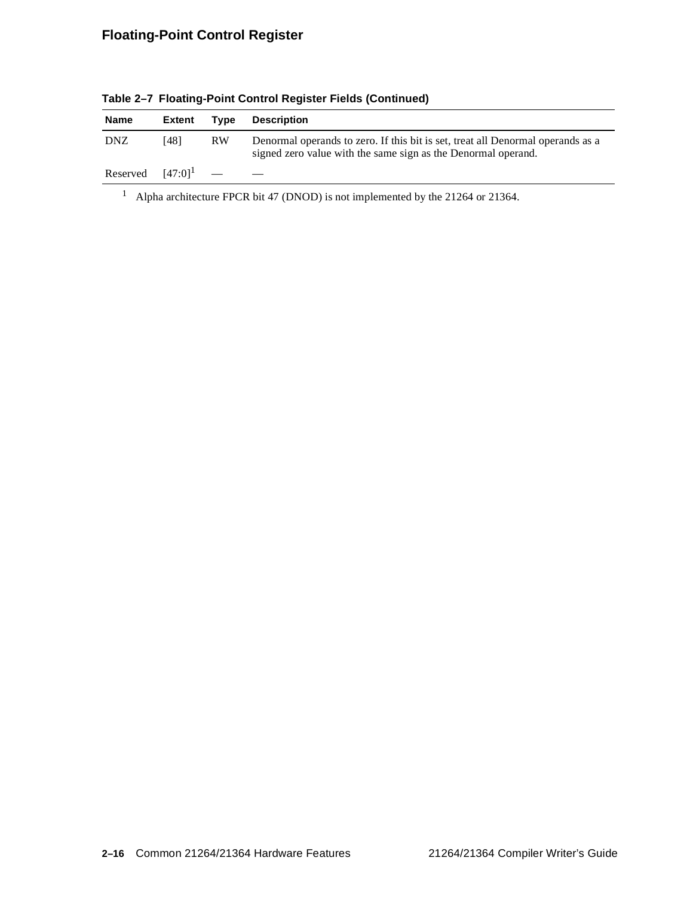| Name                           | Extent | Tvpe      | <b>Description</b>                                                                                                                               |
|--------------------------------|--------|-----------|--------------------------------------------------------------------------------------------------------------------------------------------------|
| <b>DNZ</b>                     | [48]   | <b>RW</b> | Denormal operands to zero. If this bit is set, treat all Denormal operands as a<br>signed zero value with the same sign as the Denormal operand. |
| Reserved $[47:0]$ <sup>1</sup> |        |           |                                                                                                                                                  |

**Table 2–7 Floating-Point Control Register Fields (Continued)**

<sup>1</sup> Alpha architecture FPCR bit 47 (DNOD) is not implemented by the 21264 or 21364.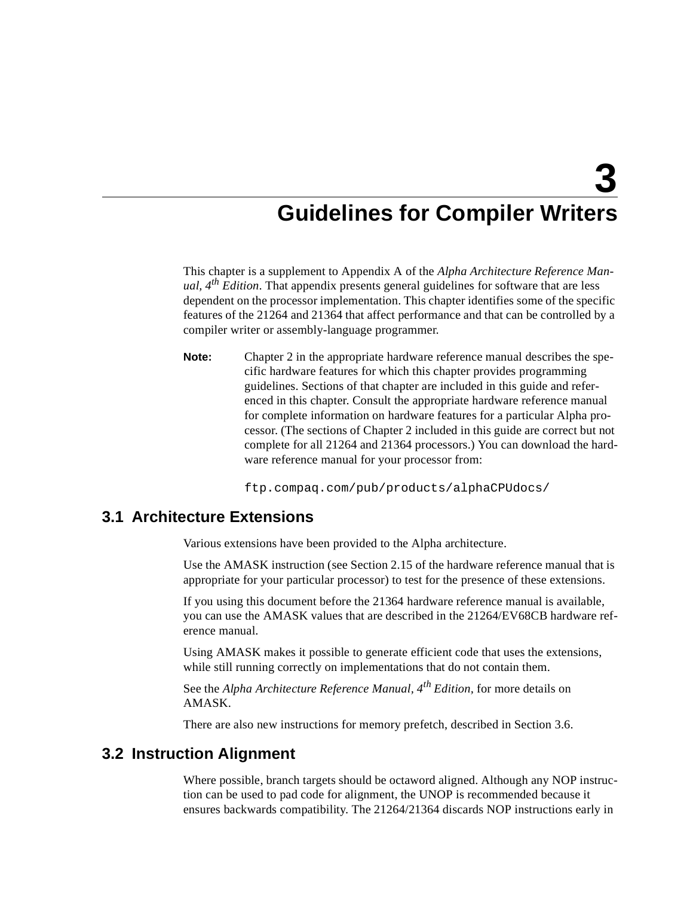## <span id="page-34-5"></span><span id="page-34-4"></span>**Guidelines for Compiler Writers**

<span id="page-34-1"></span><span id="page-34-0"></span>This chapter is a supplement to Appendix A of the *Alpha Architecture Reference Manual, 4th Edition*. That appendix presents general guidelines for software that are less dependent on the processor implementation. This chapter identifies some of the specific features of the 21264 and 21364 that affect performance and that can be controlled by a compiler writer or assembly-language programmer.

**Note:** Chapter 2 in the appropriate hardware reference manual describes the specific hardware features for which this chapter provides programming guidelines. Sections of that chapter are included in this guide and referenced in this chapter. Consult the appropriate hardware reference manual for complete information on hardware features for a particular Alpha processor. (The sections of Chapter 2 included in this guide are correct but not complete for all 21264 and 21364 processors.) You can download the hardware reference manual for your processor from:

ftp.compaq.com/pub/products/alphaCPUdocs/

#### <span id="page-34-2"></span>**3.1 Architecture Extensions**

Various extensions have been provided to the Alpha architecture.

Use the AMASK instruction (see Section 2.15 of the hardware reference manual that is appropriate for your particular processor) to test for the presence of these extensions.

If you using this document before the 21364 hardware reference manual is available, you can use the AMASK values that are described in the 21264/EV68CB hardware reference manual.

Using AMASK makes it possible to generate efficient code that uses the extensions, while still running correctly on implementations that do not contain them.

See the *Alpha Architecture Reference Manual, 4th Edition,* for more details on AMASK.

There are also new instructions for memory prefetch, described in [Section 3.6](#page-39-0).

## <span id="page-34-3"></span>**3.2 Instruction Alignment**

Where possible, branch targets should be octaword aligned. Although any NOP instruction can be used to pad code for alignment, the UNOP is recommended because it ensures backwards compatibility. The 21264/21364 discards NOP instructions early in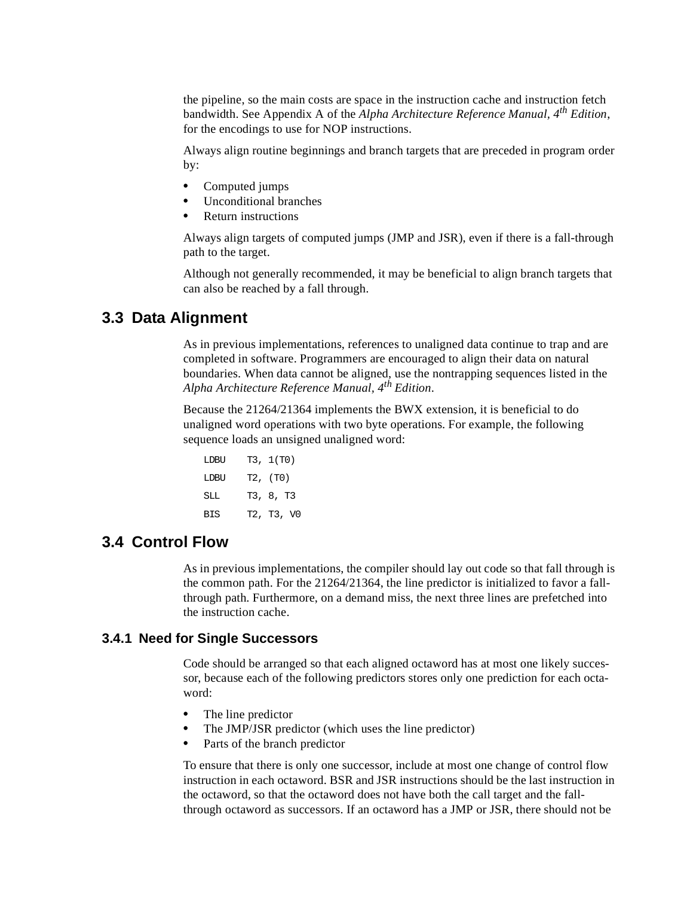the pipeline, so the main costs are space in the instruction cache and instruction fetch bandwidth. See Appendix A of the *Alpha Architecture Reference Manual, 4th Edition*, for the encodings to use for NOP instructions.

Always align routine beginnings and branch targets that are preceded in program order by:

- **•** Computed jumps
- **•** Unconditional branches
- **•** Return instructions

Always align targets of computed jumps (JMP and JSR), even if there is a fall-through path to the target.

Although not generally recommended, it may be beneficial to align branch targets that can also be reached by a fall through.

### <span id="page-35-0"></span>**3.3 Data Alignment**

As in previous implementations, references to unaligned data continue to trap and are completed in software. Programmers are encouraged to align their data on natural boundaries. When data cannot be aligned, use the nontrapping sequences listed in the *Alpha Architecture Reference Manual, 4th Edition*.

Because the 21264/21364 implements the BWX extension, it is beneficial to do unaligned word operations with two byte operations. For example, the following sequence loads an unsigned unaligned word:

| LDBU       | T3, 1(T0)  |
|------------|------------|
| LDBU       | T2, (T0)   |
| SLL        | T3, 8, T3  |
| <b>BIS</b> | T2, T3, V0 |

## <span id="page-35-1"></span>**3.4 Control Flow**

As in previous implementations, the compiler should lay out code so that fall through is the common path. For the 21264/21364, the line predictor is initialized to favor a fallthrough path. Furthermore, on a demand miss, the next three lines are prefetched into the instruction cache.

#### <span id="page-35-2"></span>**3.4.1 Need for Single Successors**

Code should be arranged so that each aligned octaword has at most one likely successor, because each of the following predictors stores only one prediction for each octaword:

- **•** The line predictor
- **•** The JMP/JSR predictor (which uses the line predictor)
- **•** Parts of the branch predictor

To ensure that there is only one successor, include at most one change of control flow instruction in each octaword. BSR and JSR instructions should be the last instruction in the octaword, so that the octaword does not have both the call target and the fallthrough octaword as successors. If an octaword has a JMP or JSR, there should not be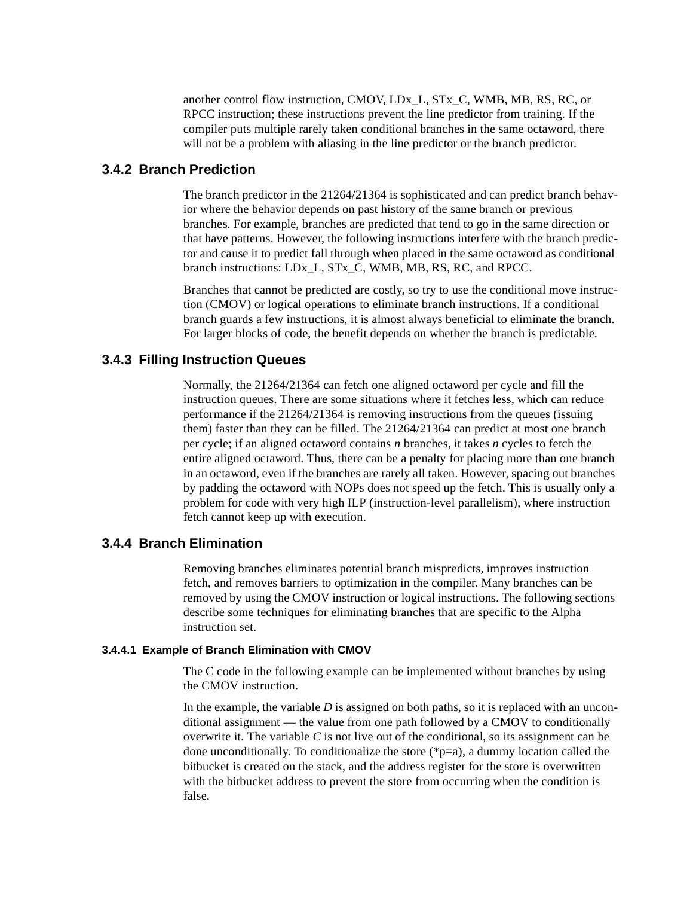another control flow instruction, CMOV, LDx\_L, STx\_C, WMB, MB, RS, RC, or RPCC instruction; these instructions prevent the line predictor from training. If the compiler puts multiple rarely taken conditional branches in the same octaword, there will not be a problem with aliasing in the line predictor or the branch predictor.

## **3.4.2 Branch Prediction**

The branch predictor in the 21264/21364 is sophisticated and can predict branch behavior where the behavior depends on past history of the same branch or previous branches. For example, branches are predicted that tend to go in the same direction or that have patterns. However, the following instructions interfere with the branch predictor and cause it to predict fall through when placed in the same octaword as conditional branch instructions: LDx\_L, STx\_C, WMB, MB, RS, RC, and RPCC.

Branches that cannot be predicted are costly, so try to use the conditional move instruction (CMOV) or logical operations to eliminate branch instructions. If a conditional branch guards a few instructions, it is almost always beneficial to eliminate the branch. For larger blocks of code, the benefit depends on whether the branch is predictable.

## **3.4.3 Filling Instruction Queues**

Normally, the 21264/21364 can fetch one aligned octaword per cycle and fill the instruction queues. There are some situations where it fetches less, which can reduce performance if the 21264/21364 is removing instructions from the queues (issuing them) faster than they can be filled. The 21264/21364 can predict at most one branch per cycle; if an aligned octaword contains *n* branches, it takes *n* cycles to fetch the entire aligned octaword. Thus, there can be a penalty for placing more than one branch in an octaword, even if the branches are rarely all taken. However, spacing out branches by padding the octaword with NOPs does not speed up the fetch. This is usually only a problem for code with very high ILP (instruction-level parallelism), where instruction fetch cannot keep up with execution.

## **3.4.4 Branch Elimination**

Removing branches eliminates potential branch mispredicts, improves instruction fetch, and removes barriers to optimization in the compiler. Many branches can be removed by using the CMOV instruction or logical instructions. The following sections describe some techniques for eliminating branches that are specific to the Alpha instruction set.

#### **3.4.4.1 Example of Branch Elimination with CMOV**

The C code in the following example can be implemented without branches by using the CMOV instruction.

In the example, the variable *D* is assigned on both paths, so it is replaced with an unconditional assignment — the value from one path followed by a CMOV to conditionally overwrite it. The variable *C* is not live out of the conditional, so its assignment can be done unconditionally. To conditionalize the store (\*p=a), a dummy location called the bitbucket is created on the stack, and the address register for the store is overwritten with the bitbucket address to prevent the store from occurring when the condition is false.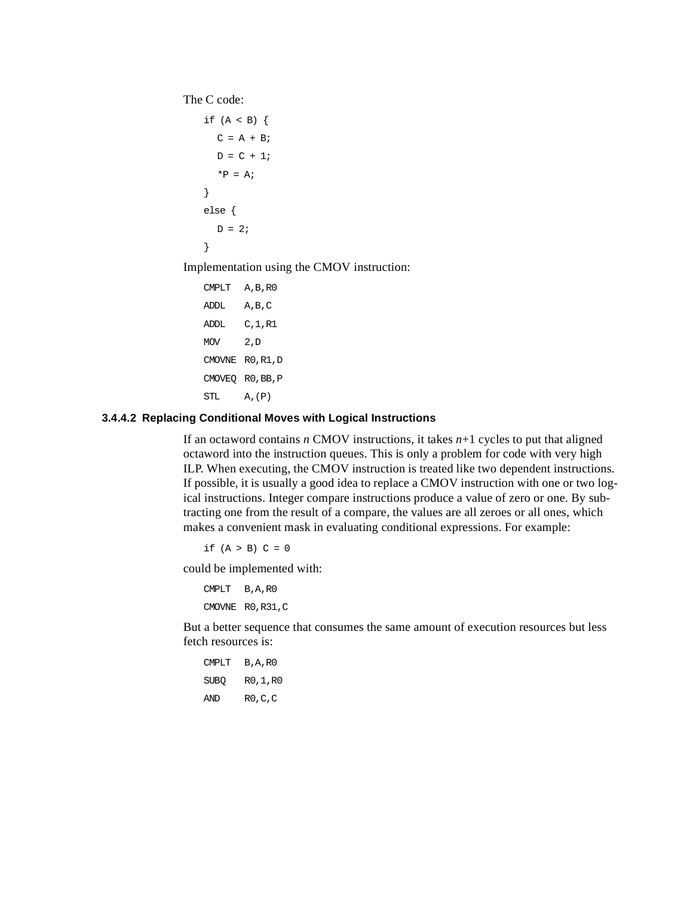The C code:

```
if (A < B) {
  C = A + B;
  D = C + 1;*P = A;}
else {
  D = 2i}
```
Implementation using the CMOV instruction:

```
CMPLT A,B,R0
ADDL A,B,C
ADDL C,1,R1
MOV 2, D
CMOVNE R0,R1,D
CMOVEQ R0,BB,P
STL A,(P)
```
#### **3.4.4.2 Replacing Conditional Moves with Logical Instructions**

If an octaword contains *n* CMOV instructions, it takes *n*+1 cycles to put that aligned octaword into the instruction queues. This is only a problem for code with very high ILP. When executing, the CMOV instruction is treated like two dependent instructions. If possible, it is usually a good idea to replace a CMOV instruction with one or two logical instructions. Integer compare instructions produce a value of zero or one. By subtracting one from the result of a compare, the values are all zeroes or all ones, which makes a convenient mask in evaluating conditional expressions. For example:

if  $(A > B) C = 0$ 

could be implemented with:

```
CMPLT B,A,R0
CMOVNE R0,R31,C
```
But a better sequence that consumes the same amount of execution resources but less fetch resources is:

```
CMPLT B,A,R0
SUBQ R0,1,R0
AND R0,C,C
```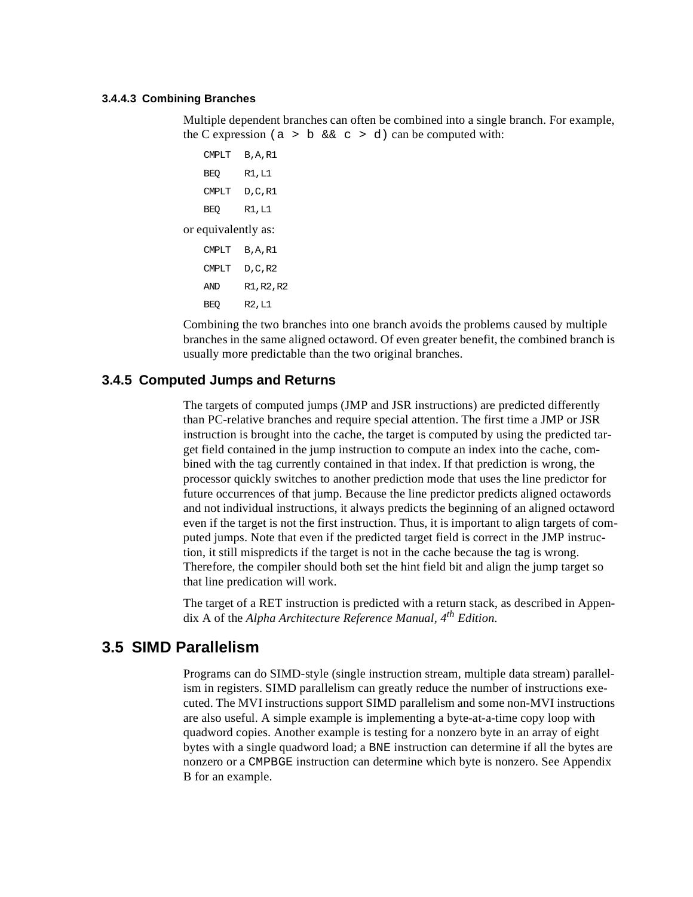#### **3.4.4.3 Combining Branches**

Multiple dependent branches can often be combined into a single branch. For example, the C expression (a > b  $&c > d$ ) can be computed with:

```
CMPLT B,A,R1
   BEQ R1,L1
   CMPLT D,C,R1
   BEQ R1,L1
or equivalently as:
   CMPLT B,A,R1
   CMPLT D,C,R2
   AND R1,R2,R2
   BEQ R2,L1
```
Combining the two branches into one branch avoids the problems caused by multiple branches in the same aligned octaword. Of even greater benefit, the combined branch is usually more predictable than the two original branches.

## **3.4.5 Computed Jumps and Returns**

The targets of computed jumps (JMP and JSR instructions) are predicted differently than PC-relative branches and require special attention. The first time a JMP or JSR instruction is brought into the cache, the target is computed by using the predicted target field contained in the jump instruction to compute an index into the cache, combined with the tag currently contained in that index. If that prediction is wrong, the processor quickly switches to another prediction mode that uses the line predictor for future occurrences of that jump. Because the line predictor predicts aligned octawords and not individual instructions, it always predicts the beginning of an aligned octaword even if the target is not the first instruction. Thus, it is important to align targets of computed jumps. Note that even if the predicted target field is correct in the JMP instruction, it still mispredicts if the target is not in the cache because the tag is wrong. Therefore, the compiler should both set the hint field bit and align the jump target so that line predication will work.

The target of a RET instruction is predicted with a return stack, as described in Appendix A of the *Alpha Architecture Reference Manual, 4th Edition*.

## **3.5 SIMD Parallelism**

Programs can do SIMD-style (single instruction stream, multiple data stream) parallelism in registers. SIMD parallelism can greatly reduce the number of instructions executed. The MVI instructions support SIMD parallelism and some non-MVI instructions are also useful. A simple example is implementing a byte-at-a-time copy loop with quadword copies. Another example is testing for a nonzero byte in an array of eight bytes with a single quadword load; a BNE instruction can determine if all the bytes are nonzero or a CMPBGE instruction can determine which byte is nonzero. See [Appendix](#page-50-0) [B](#page-50-0) for an example.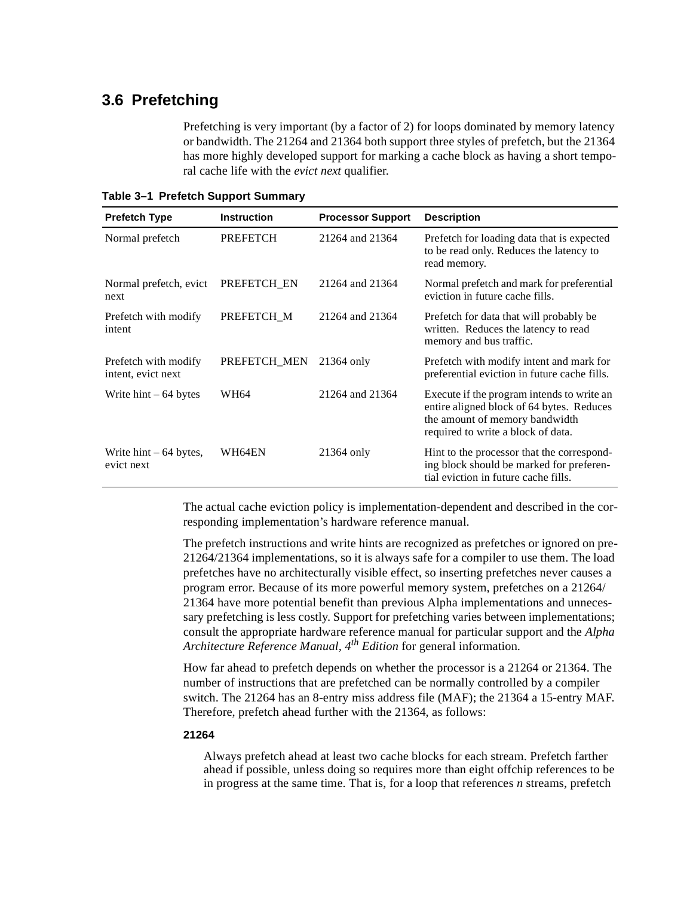## **3.6 Prefetching**

Prefetching is very important (by a factor of 2) for loops dominated by memory latency or bandwidth. The 21264 and 21364 both support three styles of prefetch, but the 21364 has more highly developed support for marking a cache block as having a short temporal cache life with the *evict next* qualifier.

**Table 3–1 Prefetch Support Summary**

| <b>Prefetch Type</b>                          | <b>Instruction</b> | <b>Processor Support</b> | <b>Description</b>                                                                                                                                              |
|-----------------------------------------------|--------------------|--------------------------|-----------------------------------------------------------------------------------------------------------------------------------------------------------------|
| Normal prefetch                               | <b>PREFETCH</b>    | 21264 and 21364          | Prefetch for loading data that is expected<br>to be read only. Reduces the latency to<br>read memory.                                                           |
| Normal prefetch, evict<br>next                | PREFETCH EN        | 21264 and 21364          | Normal prefetch and mark for preferential<br>eviction in future cache fills.                                                                                    |
| Prefetch with modify<br>intent                | PREFETCH M         | 21264 and 21364          | Prefetch for data that will probably be<br>written. Reduces the latency to read<br>memory and bus traffic.                                                      |
| Prefetch with modify<br>intent, evict next    | PREFETCH MEN       | 21364 only               | Prefetch with modify intent and mark for<br>preferential eviction in future cache fills.                                                                        |
| Write $hint - 64$ bytes                       | <b>WH64</b>        | 21264 and 21364          | Execute if the program intends to write an<br>entire aligned block of 64 bytes. Reduces<br>the amount of memory bandwidth<br>required to write a block of data. |
| Write $\text{hint} - 64$ bytes,<br>evict next | WH64EN             | 21364 only               | Hint to the processor that the correspond-<br>ing block should be marked for preferen-<br>tial eviction in future cache fills.                                  |

The actual cache eviction policy is implementation-dependent and described in the corresponding implementation's hardware reference manual.

The prefetch instructions and write hints are recognized as prefetches or ignored on pre-21264/21364 implementations, so it is always safe for a compiler to use them. The load prefetches have no architecturally visible effect, so inserting prefetches never causes a program error. Because of its more powerful memory system, prefetches on a 21264/ 21364 have more potential benefit than previous Alpha implementations and unnecessary prefetching is less costly. Support for prefetching varies between implementations; consult the appropriate hardware reference manual for particular support and the *Alpha Architecture Reference Manual, 4th Edition* for general information*.*

How far ahead to prefetch depends on whether the processor is a 21264 or 21364. The number of instructions that are prefetched can be normally controlled by a compiler switch. The 21264 has an 8-entry miss address file (MAF); the 21364 a 15-entry MAF. Therefore, prefetch ahead further with the 21364, as follows:

#### **21264**

Always prefetch ahead at least two cache blocks for each stream. Prefetch farther ahead if possible, unless doing so requires more than eight offchip references to be in progress at the same time. That is, for a loop that references *n* streams, prefetch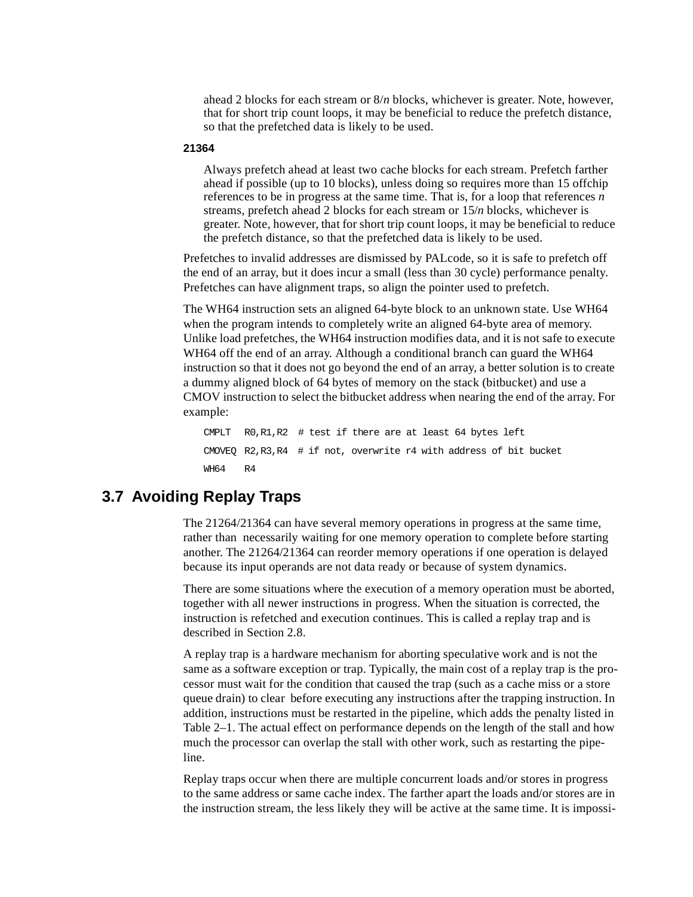ahead 2 blocks for each stream or 8/*n* blocks, whichever is greater. Note, however, that for short trip count loops, it may be beneficial to reduce the prefetch distance, so that the prefetched data is likely to be used.

#### **21364**

Always prefetch ahead at least two cache blocks for each stream. Prefetch farther ahead if possible (up to 10 blocks), unless doing so requires more than 15 offchip references to be in progress at the same time. That is, for a loop that references *n* streams, prefetch ahead 2 blocks for each stream or 15/*n* blocks, whichever is greater. Note, however, that for short trip count loops, it may be beneficial to reduce the prefetch distance, so that the prefetched data is likely to be used.

Prefetches to invalid addresses are dismissed by PALcode, so it is safe to prefetch off the end of an array, but it does incur a small (less than 30 cycle) performance penalty. Prefetches can have alignment traps, so align the pointer used to prefetch.

The WH64 instruction sets an aligned 64-byte block to an unknown state. Use WH64 when the program intends to completely write an aligned 64-byte area of memory. Unlike load prefetches, the WH64 instruction modifies data, and it is not safe to execute WH64 off the end of an array. Although a conditional branch can guard the WH64 instruction so that it does not go beyond the end of an array, a better solution is to create a dummy aligned block of 64 bytes of memory on the stack (bitbucket) and use a CMOV instruction to select the bitbucket address when nearing the end of the array. For example:

CMPLT R0,R1,R2 # test if there are at least 64 bytes left CMOVEQ R2,R3,R4 # if not, overwrite r4 with address of bit bucket WH64 R4

## **3.7 Avoiding Replay Traps**

The 21264/21364 can have several memory operations in progress at the same time, rather than necessarily waiting for one memory operation to complete before starting another. The 21264/21364 can reorder memory operations if one operation is delayed because its input operands are not data ready or because of system dynamics.

There are some situations where the execution of a memory operation must be aborted, together with all newer instructions in progress. When the situation is corrected, the instruction is refetched and execution continues. This is called a replay trap and is described in [Section 2.8.](#page-30-0)

A replay trap is a hardware mechanism for aborting speculative work and is not the same as a software exception or trap. Typically, the main cost of a replay trap is the processor must wait for the condition that caused the trap (such as a cache miss or a store queue drain) to clear before executing any instructions after the trapping instruction. In addition, instructions must be restarted in the pipeline, which adds the penalty listed in [Table 2–1](#page-23-0). The actual effect on performance depends on the length of the stall and how much the processor can overlap the stall with other work, such as restarting the pipeline.

Replay traps occur when there are multiple concurrent loads and/or stores in progress to the same address or same cache index. The farther apart the loads and/or stores are in the instruction stream, the less likely they will be active at the same time. It is impossi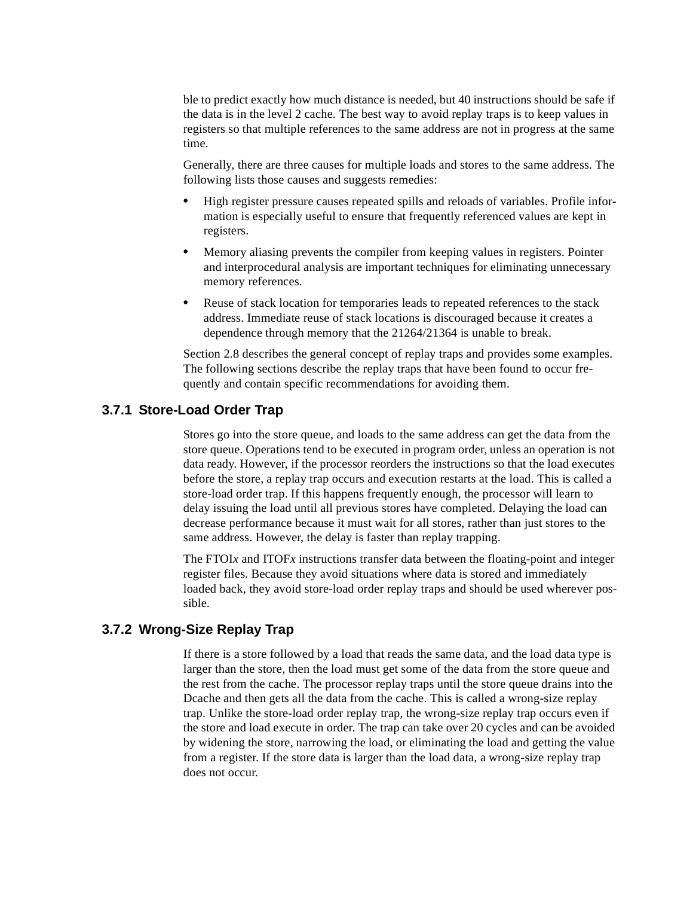ble to predict exactly how much distance is needed, but 40 instructions should be safe if the data is in the level 2 cache. The best way to avoid replay traps is to keep values in registers so that multiple references to the same address are not in progress at the same time.

Generally, there are three causes for multiple loads and stores to the same address. The following lists those causes and suggests remedies:

- **•** High register pressure causes repeated spills and reloads of variables. Profile information is especially useful to ensure that frequently referenced values are kept in registers.
- **•** Memory aliasing prevents the compiler from keeping values in registers. Pointer and interprocedural analysis are important techniques for eliminating unnecessary memory references.
- **•** Reuse of stack location for temporaries leads to repeated references to the stack address. Immediate reuse of stack locations is discouraged because it creates a dependence through memory that the 21264/21364 is unable to break.

[Section 2.8](#page-30-0) describes the general concept of replay traps and provides some examples. The following sections describe the replay traps that have been found to occur frequently and contain specific recommendations for avoiding them.

## **3.7.1 Store-Load Order Trap**

Stores go into the store queue, and loads to the same address can get the data from the store queue. Operations tend to be executed in program order, unless an operation is not data ready. However, if the processor reorders the instructions so that the load executes before the store, a replay trap occurs and execution restarts at the load. This is called a store-load order trap. If this happens frequently enough, the processor will learn to delay issuing the load until all previous stores have completed. Delaying the load can decrease performance because it must wait for all stores, rather than just stores to the same address. However, the delay is faster than replay trapping.

The FTOI*x* and ITOF*x* instructions transfer data between the floating-point and integer register files. Because they avoid situations where data is stored and immediately loaded back, they avoid store-load order replay traps and should be used wherever possible.

## **3.7.2 Wrong-Size Replay Trap**

If there is a store followed by a load that reads the same data, and the load data type is larger than the store, then the load must get some of the data from the store queue and the rest from the cache. The processor replay traps until the store queue drains into the Dcache and then gets all the data from the cache. This is called a wrong-size replay trap. Unlike the store-load order replay trap, the wrong-size replay trap occurs even if the store and load execute in order. The trap can take over 20 cycles and can be avoided by widening the store, narrowing the load, or eliminating the load and getting the value from a register. If the store data is larger than the load data, a wrong-size replay trap does not occur.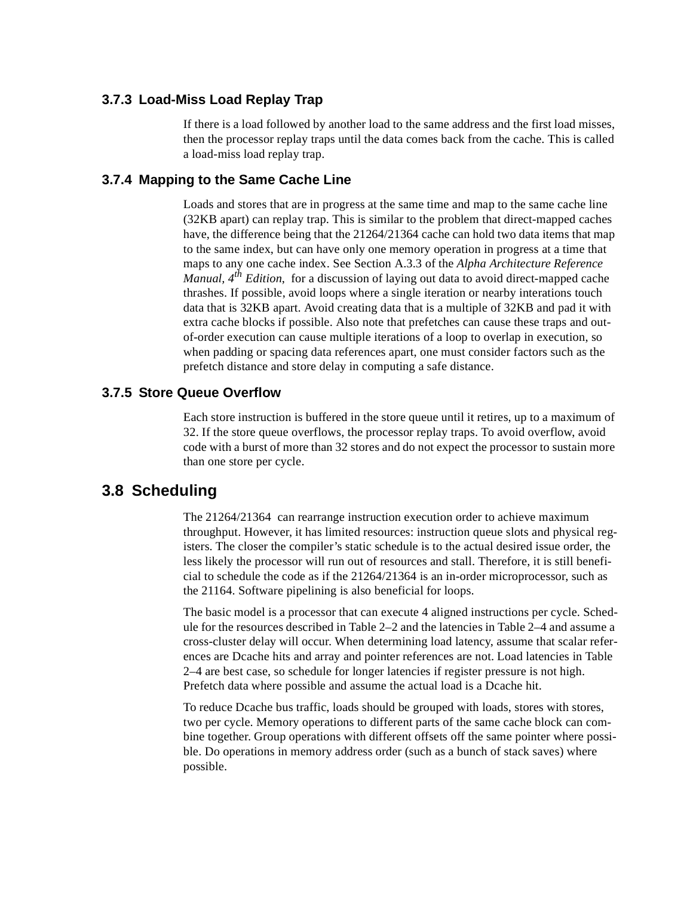## **3.7.3 Load-Miss Load Replay Trap**

If there is a load followed by another load to the same address and the first load misses, then the processor replay traps until the data comes back from the cache. This is called a load-miss load replay trap.

## **3.7.4 Mapping to the Same Cache Line**

Loads and stores that are in progress at the same time and map to the same cache line (32KB apart) can replay trap. This is similar to the problem that direct-mapped caches have, the difference being that the 21264/21364 cache can hold two data items that map to the same index, but can have only one memory operation in progress at a time that maps to any one cache index. See Section A.3.3 of the *Alpha Architecture Reference Manual, 4th Edition*, for a discussion of laying out data to avoid direct-mapped cache thrashes. If possible, avoid loops where a single iteration or nearby interations touch data that is 32KB apart. Avoid creating data that is a multiple of 32KB and pad it with extra cache blocks if possible. Also note that prefetches can cause these traps and outof-order execution can cause multiple iterations of a loop to overlap in execution, so when padding or spacing data references apart, one must consider factors such as the prefetch distance and store delay in computing a safe distance.

## **3.7.5 Store Queue Overflow**

Each store instruction is buffered in the store queue until it retires, up to a maximum of 32. If the store queue overflows, the processor replay traps. To avoid overflow, avoid code with a burst of more than 32 stores and do not expect the processor to sustain more than one store per cycle.

## <span id="page-42-0"></span>**3.8 Scheduling**

The 21264/21364 can rearrange instruction execution order to achieve maximum throughput. However, it has limited resources: instruction queue slots and physical registers. The closer the compiler's static schedule is to the actual desired issue order, the less likely the processor will run out of resources and stall. Therefore, it is still beneficial to schedule the code as if the 21264/21364 is an in-order microprocessor, such as the 21164. Software pipelining is also beneficial for loops.

The basic model is a processor that can execute 4 aligned instructions per cycle. Schedule for the resources described in [Table 2–2](#page-24-0) and the latencies in [Table 2–4](#page-27-0) and assume a cross-cluster delay will occur. When determining load latency, assume that scalar references are Dcache hits and array and pointer references are not. Load latencies in [Table](#page-27-0) [2–4](#page-27-0) are best case, so schedule for longer latencies if register pressure is not high. Prefetch data where possible and assume the actual load is a Dcache hit.

To reduce Dcache bus traffic, loads should be grouped with loads, stores with stores, two per cycle. Memory operations to different parts of the same cache block can combine together. Group operations with different offsets off the same pointer where possible. Do operations in memory address order (such as a bunch of stack saves) where possible.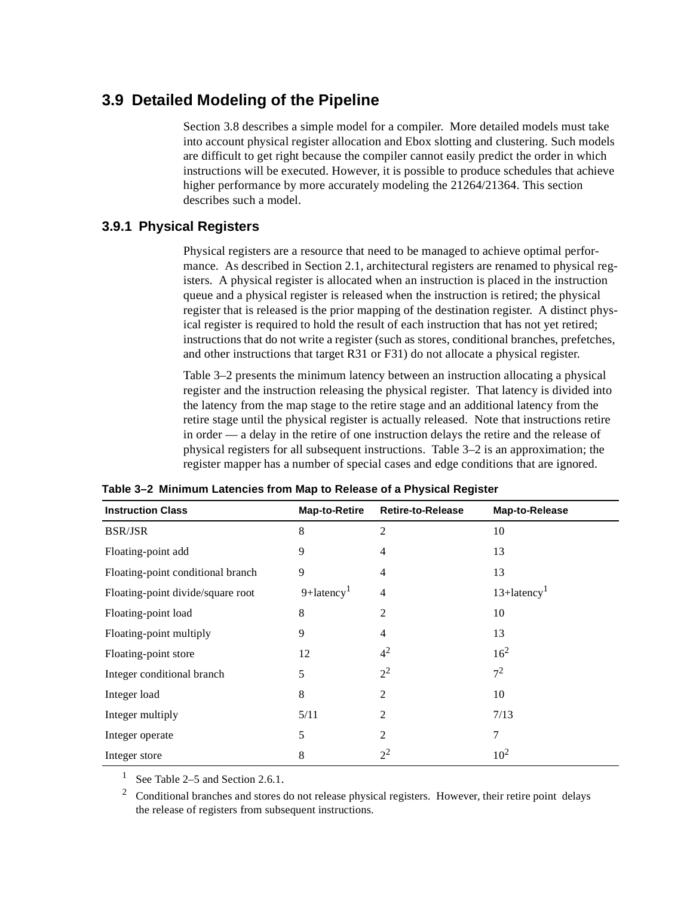## **3.9 Detailed Modeling of the Pipeline**

[Section 3.8](#page-42-0) describes a simple model for a compiler. More detailed models must take into account physical register allocation and Ebox slotting and clustering. Such models are difficult to get right because the compiler cannot easily predict the order in which instructions will be executed. However, it is possible to produce schedules that achieve higher performance by more accurately modeling the 21264/21364. This section describes such a model.

## **3.9.1 Physical Registers**

Physical registers are a resource that need to be managed to achieve optimal performance. As described in [Section 2.1,](#page-18-0) architectural registers are renamed to physical registers. A physical register is allocated when an instruction is placed in the instruction queue and a physical register is released when the instruction is retired; the physical register that is released is the prior mapping of the destination register. A distinct physical register is required to hold the result of each instruction that has not yet retired; instructions that do not write a register (such as stores, conditional branches, prefetches, and other instructions that target R31 or F31) do not allocate a physical register.

[Table 3–2](#page-43-2) presents the minimum latency between an instruction allocating a physical register and the instruction releasing the physical register. That latency is divided into the latency from the map stage to the retire stage and an additional latency from the retire stage until the physical register is actually released. Note that instructions retire in order — a delay in the retire of one instruction delays the retire and the release of physical registers for all subsequent instructions. [Table 3–2](#page-43-2) is an approximation; the register mapper has a number of special cases and edge conditions that are ignored.

| <b>Instruction Class</b>          | <b>Map-to-Retire</b>      | <b>Retire-to-Release</b> | Map-to-Release |
|-----------------------------------|---------------------------|--------------------------|----------------|
| <b>BSR/JSR</b>                    | 8                         | 2                        | 10             |
| Floating-point add                | 9                         | 4                        | 13             |
| Floating-point conditional branch | 9                         | 4                        | 13             |
| Floating-point divide/square root | $9+$ latency <sup>1</sup> | $\overline{4}$           | $13+latency1$  |
| Floating-point load               | 8                         | $\overline{2}$           | 10             |
| Floating-point multiply           | 9                         | $\overline{4}$           | 13             |
| Floating-point store              | 12                        | 4 <sup>2</sup>           | $16^{2}$       |
| Integer conditional branch        | 5                         | $2^2$                    | $7^2$          |
| Integer load                      | 8                         | $\overline{c}$           | 10             |
| Integer multiply                  | 5/11                      | $\overline{2}$           | 7/13           |
| Integer operate                   | 5                         | $\overline{2}$           | 7              |
| Integer store                     | 8                         | $2^2$                    | $10^{2}$       |

<span id="page-43-2"></span>**Table 3–2 Minimum Latencies from Map to Release of a Physical Register**

<span id="page-43-0"></span>See [Table 2–5](#page-28-0) and [Section 2.6.1](#page-29-0).

<span id="page-43-1"></span><sup>2</sup> Conditional branches and stores do not release physical registers. However, their retire point delays the release of registers from subsequent instructions.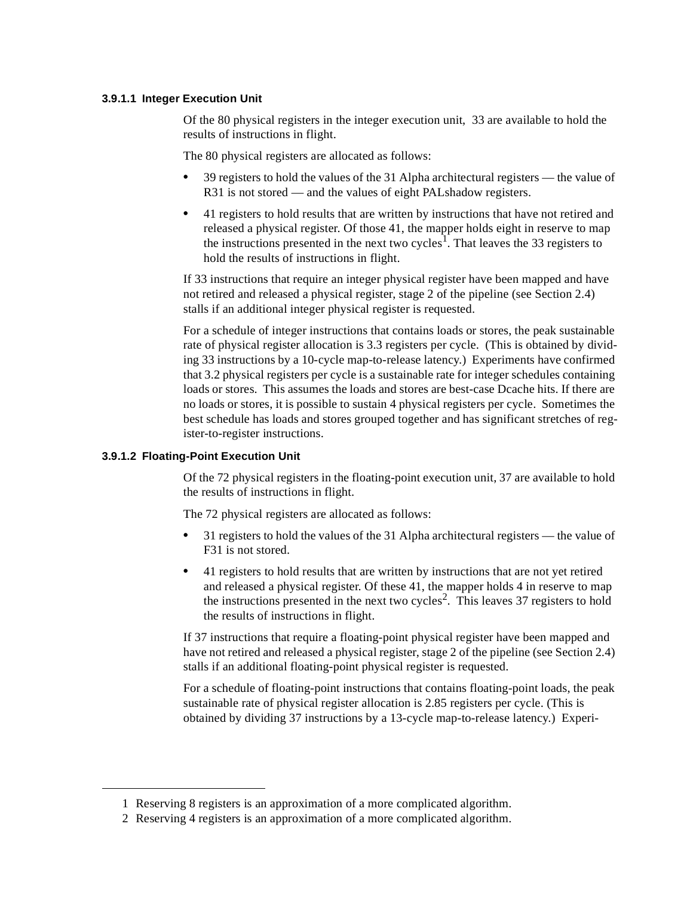#### **3.9.1.1 Integer Execution Unit**

Of the 80 physical registers in the integer execution unit, 33 are available to hold the results of instructions in flight.

The 80 physical registers are allocated as follows:

- **•** 39 registers to hold the values of the 31 Alpha architectural registers the value of R31 is not stored — and the values of eight PALshadow registers.
- **•** 41 registers to hold results that are written by instructions that have not retired and released a physical register. Of those 41, the mapper holds eight in reserve to map the instructions presented in the next two cycles<sup>1</sup>. That leaves the 33 registers to hold the results of instructions in flight.

If 33 instructions that require an integer physical register have been mapped and have not retired and released a physical register, stage 2 of the pipeline (see [Section 2.4](#page-21-0)) stalls if an additional integer physical register is requested.

For a schedule of integer instructions that contains loads or stores, the peak sustainable rate of physical register allocation is 3.3 registers per cycle. (This is obtained by dividing 33 instructions by a 10-cycle map-to-release latency.) Experiments have confirmed that 3.2 physical registers per cycle is a sustainable rate for integer schedules containing loads or stores. This assumes the loads and stores are best-case Dcache hits. If there are no loads or stores, it is possible to sustain 4 physical registers per cycle. Sometimes the best schedule has loads and stores grouped together and has significant stretches of register-to-register instructions.

#### **3.9.1.2 Floating-Point Execution Unit**

Of the 72 physical registers in the floating-point execution unit, 37 are available to hold the results of instructions in flight.

The 72 physical registers are allocated as follows:

- **•** 31 registers to hold the values of the 31 Alpha architectural registers the value of F31 is not stored.
- **•** 41 registers to hold results that are written by instructions that are not yet retired and released a physical register. Of these 41, the mapper holds 4 in reserve to map the instructions presented in the next two cycles<sup>2</sup>. This leaves 37 registers to hold the results of instructions in flight.

If 37 instructions that require a floating-point physical register have been mapped and have not retired and released a physical register, stage 2 of the pipeline (see [Section 2.4](#page-21-0)) stalls if an additional floating-point physical register is requested.

For a schedule of floating-point instructions that contains floating-point loads, the peak sustainable rate of physical register allocation is 2.85 registers per cycle. (This is obtained by dividing 37 instructions by a 13-cycle map-to-release latency.) Experi-

<sup>1</sup> Reserving 8 registers is an approximation of a more complicated algorithm.

<sup>2</sup> Reserving 4 registers is an approximation of a more complicated algorithm.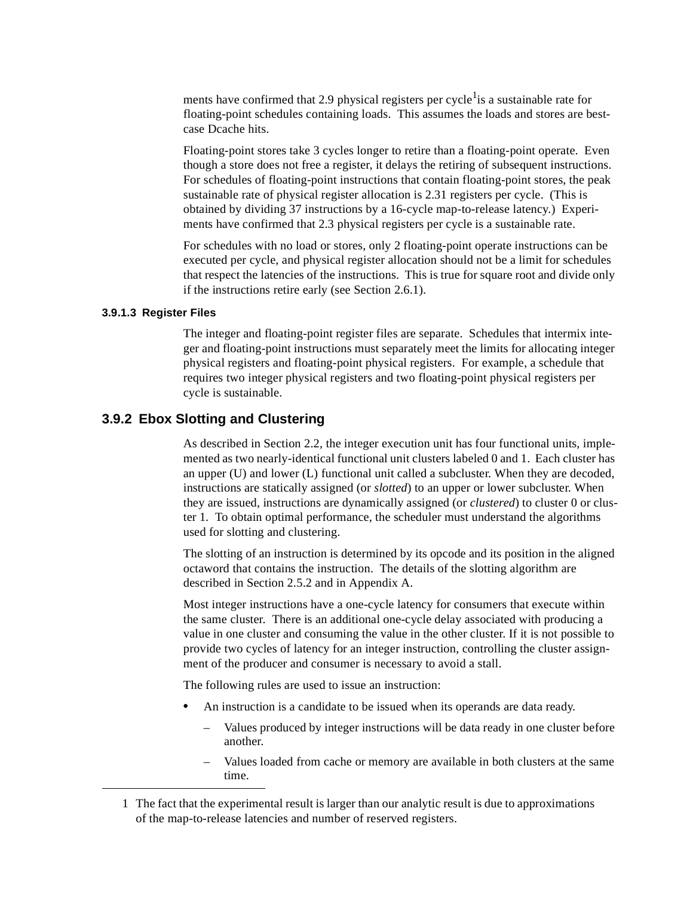ments have confirmed that 2.9 physical registers per cycle<sup>1</sup> is a sustainable rate for floating-point schedules containing loads. This assumes the loads and stores are bestcase Dcache hits.

Floating-point stores take 3 cycles longer to retire than a floating-point operate. Even though a store does not free a register, it delays the retiring of subsequent instructions. For schedules of floating-point instructions that contain floating-point stores, the peak sustainable rate of physical register allocation is 2.31 registers per cycle. (This is obtained by dividing 37 instructions by a 16-cycle map-to-release latency.) Experiments have confirmed that 2.3 physical registers per cycle is a sustainable rate.

For schedules with no load or stores, only 2 floating-point operate instructions can be executed per cycle, and physical register allocation should not be a limit for schedules that respect the latencies of the instructions. This is true for square root and divide only if the instructions retire early (see [Section 2.6.1](#page-29-0)).

#### **3.9.1.3 Register Files**

The integer and floating-point register files are separate. Schedules that intermix integer and floating-point instructions must separately meet the limits for allocating integer physical registers and floating-point physical registers. For example, a schedule that requires two integer physical registers and two floating-point physical registers per cycle is sustainable.

## **3.9.2 Ebox Slotting and Clustering**

As described in [Section 2.2,](#page-19-0) the integer execution unit has four functional units, implemented as two nearly-identical functional unit clusters labeled 0 and 1. Each cluster has an upper (U) and lower (L) functional unit called a subcluster. When they are decoded, instructions are statically assigned (or *slotted*) to an upper or lower subcluster. When they are issued, instructions are dynamically assigned (or *clustered*) to cluster 0 or cluster 1. To obtain optimal performance, the scheduler must understand the algorithms used for slotting and clustering.

The slotting of an instruction is determined by its opcode and its position in the aligned octaword that contains the instruction. The details of the slotting algorithm are described in [Section 2.5.2](#page-25-0) and in [Appendix A](#page-48-0).

Most integer instructions have a one-cycle latency for consumers that execute within the same cluster. There is an additional one-cycle delay associated with producing a value in one cluster and consuming the value in the other cluster. If it is not possible to provide two cycles of latency for an integer instruction, controlling the cluster assignment of the producer and consumer is necessary to avoid a stall.

The following rules are used to issue an instruction:

- **•** An instruction is a candidate to be issued when its operands are data ready.
	- Values produced by integer instructions will be data ready in one cluster before another.
	- Values loaded from cache or memory are available in both clusters at the same time.

<sup>1</sup> The fact that the experimental result is larger than our analytic result is due to approximations of the map-to-release latencies and number of reserved registers.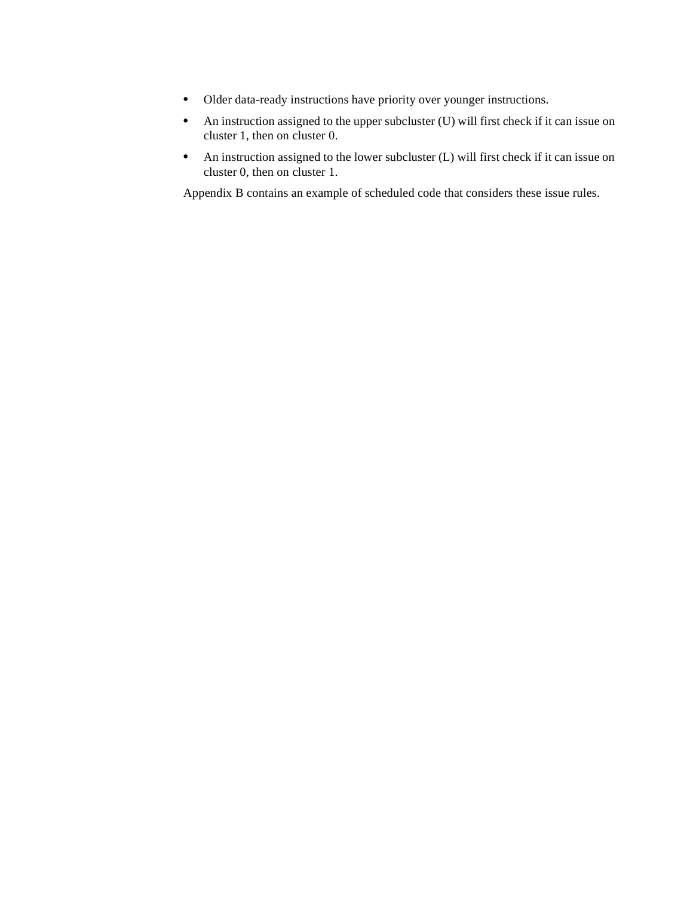- **•** Older data-ready instructions have priority over younger instructions.
- An instruction assigned to the upper subcluster (U) will first check if it can issue on cluster 1, then on cluster 0.
- **•** An instruction assigned to the lower subcluster (L) will first check if it can issue on cluster 0, then on cluster 1.

[Appendix B](#page-50-0) contains an example of scheduled code that considers these issue rules.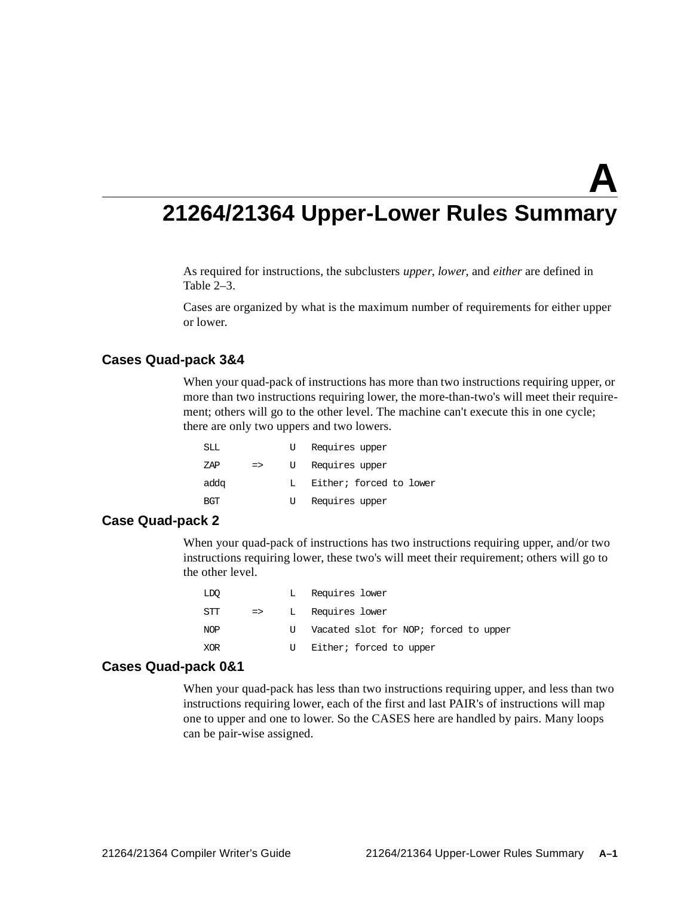# **21264/21364 Upper-Lower Rules Summary**

<span id="page-48-0"></span>As required for instructions, the subclusters *upper*, *lower*, and *either* are defined in [Table 2–3](#page-25-1).

Cases are organized by what is the maximum number of requirements for either upper or lower.

## **Cases Quad-pack 3&4**

When your quad-pack of instructions has more than two instructions requiring upper, or more than two instructions requiring lower, the more-than-two's will meet their requirement; others will go to the other level. The machine can't execute this in one cycle; there are only two uppers and two lowers.

| SLL  |               | U  | Requires upper          |
|------|---------------|----|-------------------------|
| ZAP  | $\Rightarrow$ |    | U Requires upper        |
| addq |               | т. | Either; forced to lower |
| BGT  |               | U  | Requires upper          |

## **Case Quad-pack 2**

When your quad-pack of instructions has two instructions requiring upper, and/or two instructions requiring lower, these two's will meet their requirement; others will go to the other level.

| LDO        |               |    | Requires lower                        |
|------------|---------------|----|---------------------------------------|
| STT        | $\Rightarrow$ |    | L Requires lower                      |
| <b>NOP</b> |               | τT | Vacated slot for NOP; forced to upper |
| XOR        |               | U  | Either; forced to upper               |

### **Cases Quad-pack 0&1**

When your quad-pack has less than two instructions requiring upper, and less than two instructions requiring lower, each of the first and last PAIR's of instructions will map one to upper and one to lower. So the CASES here are handled by pairs. Many loops can be pair-wise assigned.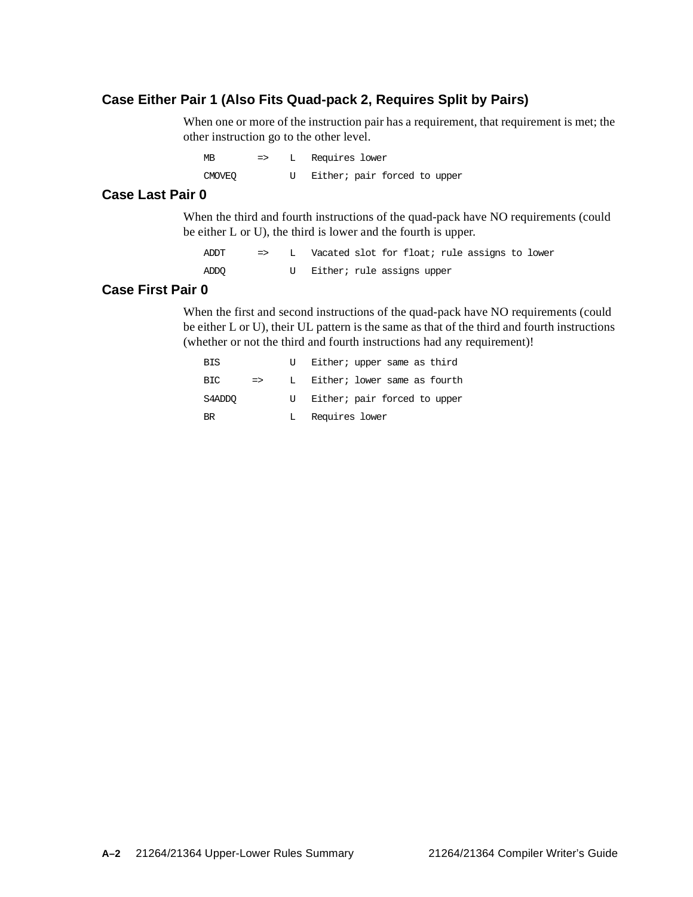## **Case Either Pair 1 (Also Fits Quad-pack 2, Requires Split by Pairs)**

When one or more of the instruction pair has a requirement, that requirement is met; the other instruction go to the other level.

MB => L Requires lower CMOVEQ U Either; pair forced to upper

## **Case Last Pair 0**

When the third and fourth instructions of the quad-pack have NO requirements (could be either L or U), the third is lower and the fourth is upper.

ADDT => L Vacated slot for float; rule assigns to lower ADDQ U Either; rule assigns upper

## **Case First Pair 0**

When the first and second instructions of the quad-pack have NO requirements (could be either L or U), their UL pattern is the same as that of the third and fourth instructions (whether or not the third and fourth instructions had any requirement)!

| <b>BIS</b> |               |    | Either; upper same as third  |
|------------|---------------|----|------------------------------|
| BIC.       | $\Rightarrow$ | T. | Either; lower same as fourth |
| S4ADDO     |               |    | Either; pair forced to upper |
| <b>BR</b>  |               |    | Requires lower               |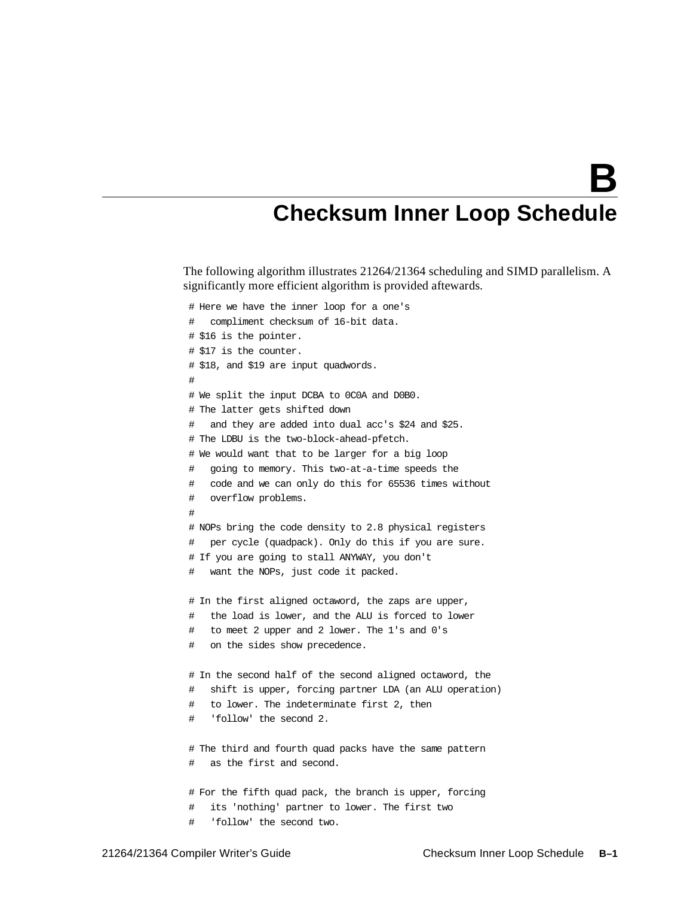# <span id="page-50-0"></span>**Checksum Inner Loop Schedule**

The following algorithm illustrates 21264/21364 scheduling and SIMD parallelism. A significantly more efficient algorithm is provided aftewards.

```
# Here we have the inner loop for a one's
# compliment checksum of 16-bit data.
# $16 is the pointer.
# $17 is the counter.
# $18, and $19 are input quadwords.
#
# We split the input DCBA to 0C0A and D0B0.
# The latter gets shifted down
# and they are added into dual acc's $24 and $25.
# The LDBU is the two-block-ahead-pfetch.
# We would want that to be larger for a big loop
   going to memory. This two-at-a-time speeds the
# code and we can only do this for 65536 times without
# overflow problems.
#
# NOPs bring the code density to 2.8 physical registers
# per cycle (quadpack). Only do this if you are sure.
# If you are going to stall ANYWAY, you don't
   want the NOPs, just code it packed.
# In the first aligned octaword, the zaps are upper,
# the load is lower, and the ALU is forced to lower
   to meet 2 upper and 2 lower. The 1's and 0's
# on the sides show precedence.
# In the second half of the second aligned octaword, the
# shift is upper, forcing partner LDA (an ALU operation)
# to lower. The indeterminate first 2, then
# 'follow' the second 2.
# The third and fourth quad packs have the same pattern
# as the first and second.
# For the fifth quad pack, the branch is upper, forcing
# its 'nothing' partner to lower. The first two
# 'follow' the second two.
```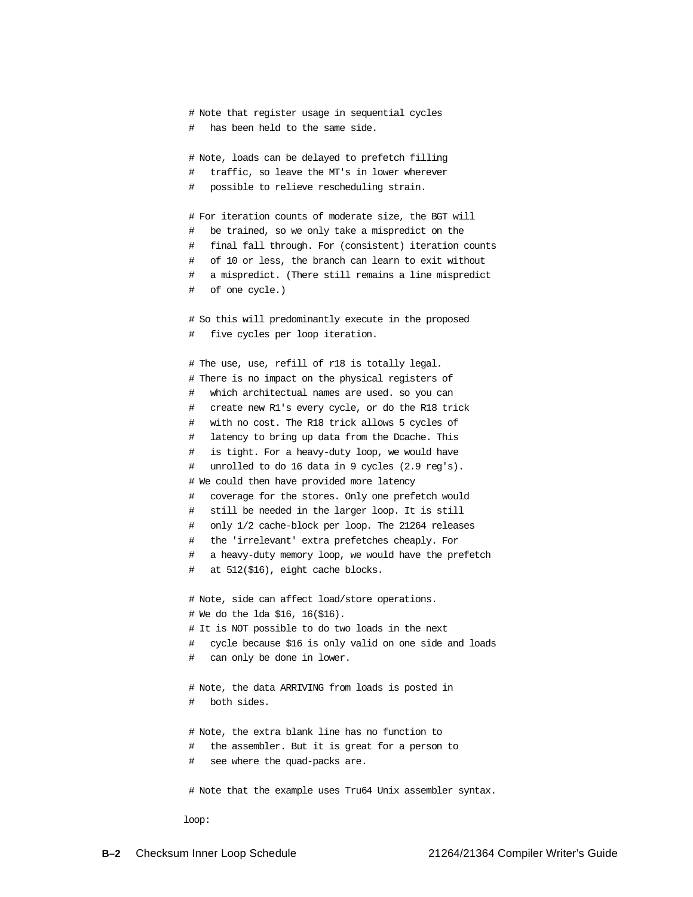```
# Note that register usage in sequential cycles
   has been held to the same side.
 # Note, loads can be delayed to prefetch filling
 # traffic, so leave the MT's in lower wherever
 # possible to relieve rescheduling strain.
 # For iteration counts of moderate size, the BGT will
   be trained, so we only take a mispredict on the
 # final fall through. For (consistent) iteration counts
 # of 10 or less, the branch can learn to exit without
 # a mispredict. (There still remains a line mispredict
 # of one cycle.)
 # So this will predominantly execute in the proposed
 # five cycles per loop iteration.
 # The use, use, refill of r18 is totally legal.
 # There is no impact on the physical registers of
 # which architectual names are used. so you can
 # create new R1's every cycle, or do the R18 trick
 # with no cost. The R18 trick allows 5 cycles of
 # latency to bring up data from the Dcache. This
 # is tight. For a heavy-duty loop, we would have
 # unrolled to do 16 data in 9 cycles (2.9 reg's).
 # We could then have provided more latency
 # coverage for the stores. Only one prefetch would
 # still be needed in the larger loop. It is still
 # only 1/2 cache-block per loop. The 21264 releases
 # the 'irrelevant' extra prefetches cheaply. For
 # a heavy-duty memory loop, we would have the prefetch
 # at 512($16), eight cache blocks.
 # Note, side can affect load/store operations.
 # We do the lda $16, 16($16).
 # It is NOT possible to do two loads in the next
 # cycle because $16 is only valid on one side and loads
    can only be done in lower.
 # Note, the data ARRIVING from loads is posted in
   both sides.
 # Note, the extra blank line has no function to
 # the assembler. But it is great for a person to
 # see where the quad-packs are.
 # Note that the example uses Tru64 Unix assembler syntax.
loop:
```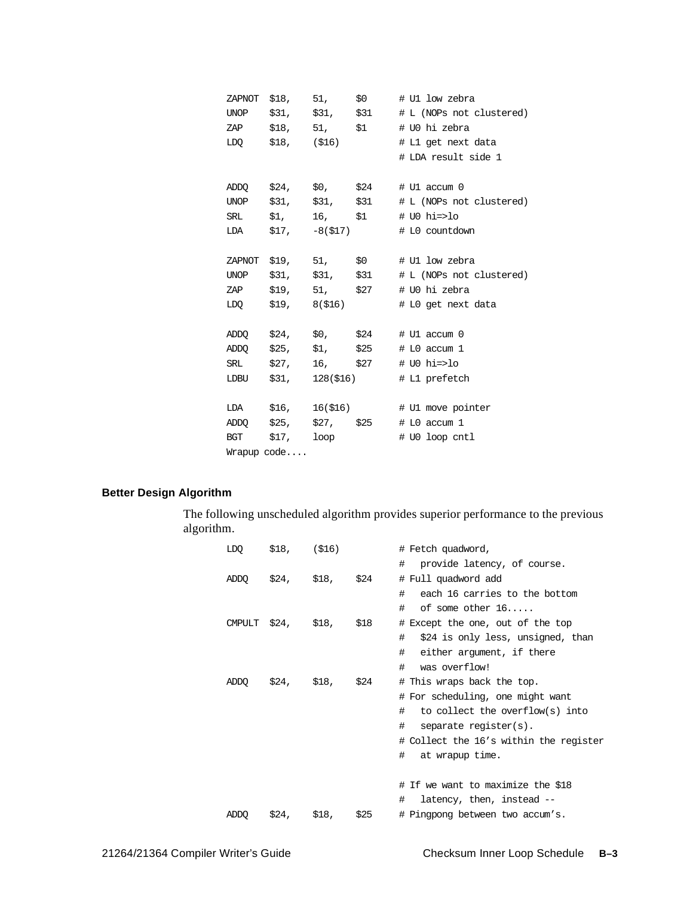|     |             | ZAPNOT \$18, 51, \$0  | # U1 low zebra                                          |
|-----|-------------|-----------------------|---------------------------------------------------------|
|     |             |                       | UNOP $$31,$ $$31,$ $$31$ $$1$ $$1$ (NOPs not clustered) |
|     |             | ZAP \$18, 51, \$1     | # U0 hi zebra                                           |
|     |             | LDQ \$18, (\$16)      | # L1 get next data                                      |
|     |             |                       | # LDA result side 1                                     |
|     |             |                       |                                                         |
|     |             | ADDQ \$24, \$0, \$24  | # U1 accum 0                                            |
|     |             |                       | UNOP $$31$ , $$31$ , $$31$ # L (NOPs not clustered)     |
|     |             |                       | SRL $$1,$ $16,$ $$1$ $\#$ UO hi=>lo                     |
|     |             | LDA $$17, -8 ($17)$   | # L0 countdown                                          |
|     |             |                       |                                                         |
|     |             | ZAPNOT \$19, 51, \$0  | # U1 low zebra                                          |
|     |             | UNOP \$31, \$31, \$31 | # L (NOPs not clustered)                                |
|     |             | ZAP \$19, 51, \$27    | # U0 hi zebra                                           |
| LDO |             | \$19, 8(\$16)         | # L0 get next data                                      |
|     |             |                       |                                                         |
|     |             |                       | ADDQ $$24$ , $$0$ , $$24$ # U1 accum 0                  |
|     |             | ADDQ \$25, \$1, \$25  | # L0 accum 1                                            |
|     |             | SRL \$27, 16, \$27    | # U0 hi=>lo                                             |
|     |             |                       | LDBU $$31, 128 ($16)$ # L1 prefetch                     |
|     |             |                       |                                                         |
|     |             |                       | LDA \$16, 16(\$16) # U1 move pointer                    |
|     |             |                       | ADDQ $$25,$ $$27,$ $$25$ $$10$ accum 1                  |
|     |             | BGT \$17, loop        | # U0 loop cntl                                          |
|     | Wrapup code |                       |                                                         |

## **Better Design Algorithm**

The following unscheduled algorithm provides superior performance to the previous algorithm.

| LDQ           | $$18,$ (\$16) |                  |      | # Fetch quadword,                      |
|---------------|---------------|------------------|------|----------------------------------------|
|               |               |                  |      | provide latency, of course.<br>#       |
| ADDQ          |               | \$24, \$18, \$24 |      | # Full quadword add                    |
|               |               |                  |      | each 16 carries to the bottom<br>#     |
|               |               |                  |      | of some other $16$ .<br>#              |
| <b>CMPULT</b> | \$24, \$18,   |                  | \$18 | # Except the one, out of the top       |
|               |               |                  |      | #<br>\$24 is only less, unsigned, than |
|               |               |                  |      | #<br>either argument, if there         |
|               |               |                  |      | #<br>was overflow!                     |
| ADDO          |               | \$24, \$18, \$24 |      | # This wraps back the top.             |
|               |               |                  |      | # For scheduling, one might want       |
|               |               |                  |      | to collect the overflow(s) into<br>#   |
|               |               |                  |      | $\#$<br>separate register(s).          |
|               |               |                  |      | # Collect the 16's within the register |
|               |               |                  |      | $\#$<br>at wrapup time.                |
|               |               |                  |      |                                        |
|               |               |                  |      | # If we want to maximize the \$18      |
|               |               |                  |      | latency, then, instead --<br>#         |
| ADDO          |               | \$24, \$18,      | \$25 | # Pingpong between two accum's.        |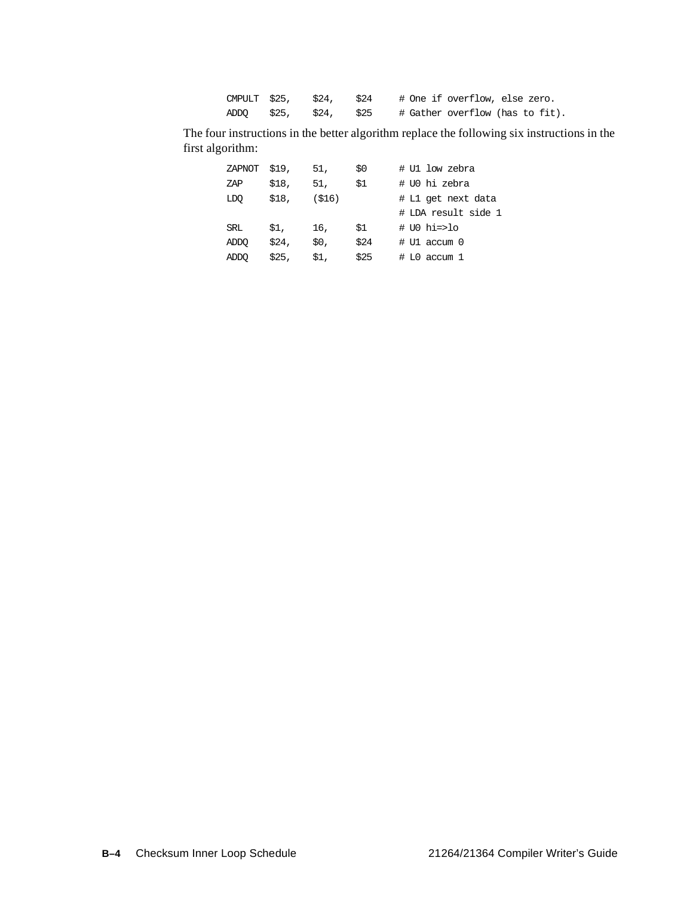| CMPULT \$25, \$24, \$24 |  |  | # One if overflow, else zero.   |  |  |
|-------------------------|--|--|---------------------------------|--|--|
| ADDO \$25, \$24, \$25   |  |  | # Gather overflow (has to fit). |  |  |

The four instructions in the better algorithm replace the following six instructions in the first algorithm:

| ZAPNOT | \$19, | 51,   | \$0  | # Ul low zebra      |
|--------|-------|-------|------|---------------------|
| ZAP    | \$18, | 51,   | \$1  | # U0 hi zebra       |
| LDO    | \$18, | (S16) |      | # L1 get next data  |
|        |       |       |      | # LDA result side 1 |
| SRL    | \$1.  | 16,   | \$1  | # UO hi=>lo         |
| ADDO   | \$24. | \$0,  | \$24 | # U1 accum 0        |
| ADDO   | \$25. | \$1,  | \$25 | # L0 accum 1        |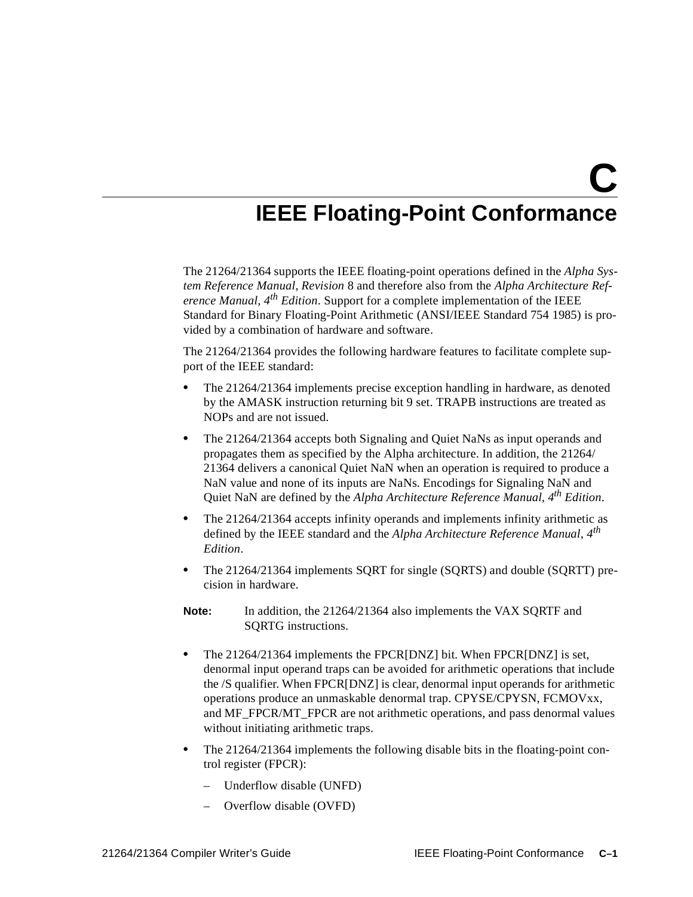**C**

# **IEEE Floating-Point Conformance**

The 21264/21364 supports the IEEE floating-point operations defined in the *Alpha System Reference Manual*, *Revision* 8 and therefore also from the *Alpha Architecture Reference Manual, 4th Edition*. Support for a complete implementation of the IEEE Standard for Binary Floating-Point Arithmetic (ANSI/IEEE Standard 754 1985) is provided by a combination of hardware and software.

The 21264/21364 provides the following hardware features to facilitate complete support of the IEEE standard:

- **•** The 21264/21364 implements precise exception handling in hardware, as denoted by the AMASK instruction returning bit 9 set. TRAPB instructions are treated as NOPs and are not issued.
- The 21264/21364 accepts both Signaling and Quiet NaNs as input operands and propagates them as specified by the Alpha architecture. In addition, the 21264/ 21364 delivers a canonical Quiet NaN when an operation is required to produce a NaN value and none of its inputs are NaNs. Encodings for Signaling NaN and Quiet NaN are defined by the *Alpha Architecture Reference Manual, 4th Edition*.
- **•** The 21264/21364 accepts infinity operands and implements infinity arithmetic as defined by the IEEE standard and the *Alpha Architecture Reference Manual, 4th Edition*.
- **•** The 21264/21364 implements SQRT for single (SQRTS) and double (SQRTT) precision in hardware.
- **Note:** In addition, the 21264/21364 also implements the VAX SQRTF and SQRTG instructions.
- **•** The 21264/21364 implements the FPCR[DNZ] bit. When FPCR[DNZ] is set, denormal input operand traps can be avoided for arithmetic operations that include the /S qualifier. When FPCR[DNZ] is clear, denormal input operands for arithmetic operations produce an unmaskable denormal trap. CPYSE/CPYSN, FCMOVxx, and MF\_FPCR/MT\_FPCR are not arithmetic operations, and pass denormal values without initiating arithmetic traps.
- **•** The 21264/21364 implements the following disable bits in the floating-point control register (FPCR):
	- Underflow disable (UNFD)
	- Overflow disable (OVFD)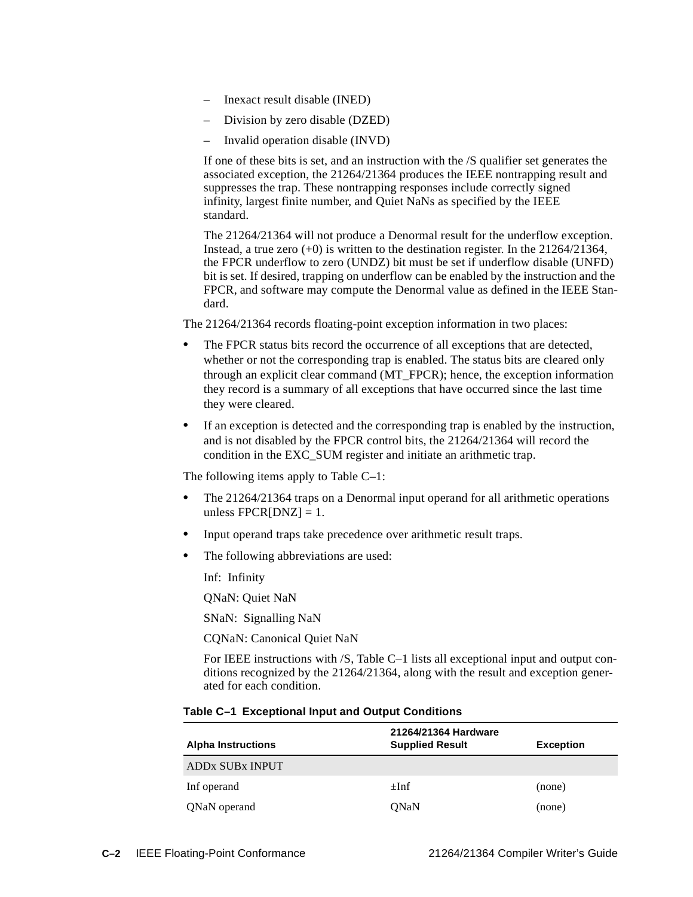- Inexact result disable (INED)
- Division by zero disable (DZED)
- Invalid operation disable (INVD)

If one of these bits is set, and an instruction with the /S qualifier set generates the associated exception, the 21264/21364 produces the IEEE nontrapping result and suppresses the trap. These nontrapping responses include correctly signed infinity, largest finite number, and Quiet NaNs as specified by the IEEE standard.

The 21264/21364 will not produce a Denormal result for the underflow exception. Instead, a true zero (+0) is written to the destination register. In the 21264/21364, the FPCR underflow to zero (UNDZ) bit must be set if underflow disable (UNFD) bit is set. If desired, trapping on underflow can be enabled by the instruction and the FPCR, and software may compute the Denormal value as defined in the IEEE Standard.

The 21264/21364 records floating-point exception information in two places:

- The FPCR status bits record the occurrence of all exceptions that are detected, whether or not the corresponding trap is enabled. The status bits are cleared only through an explicit clear command (MT\_FPCR); hence, the exception information they record is a summary of all exceptions that have occurred since the last time they were cleared.
- If an exception is detected and the corresponding trap is enabled by the instruction, and is not disabled by the FPCR control bits, the 21264/21364 will record the condition in the EXC\_SUM register and initiate an arithmetic trap.

The following items apply to [Table C–1:](#page-55-0)

- **•** The 21264/21364 traps on a Denormal input operand for all arithmetic operations unless  $FPCR[DNZ] = 1$ .
- Input operand traps take precedence over arithmetic result traps.
- **•** The following abbreviations are used:

Inf: Infinity

QNaN: Quiet NaN

SNaN: Signalling NaN

CQNaN: Canonical Quiet NaN

For IEEE instructions with /S, [Table C–1](#page-55-0) lists all exceptional input and output conditions recognized by the 21264/21364, along with the result and exception generated for each condition.

<span id="page-55-0"></span>

| <b>Alpha Instructions</b> | 21264/21364 Hardware<br><b>Supplied Result</b> | <b>Exception</b> |
|---------------------------|------------------------------------------------|------------------|
| <b>ADDx SUBx INPUT</b>    |                                                |                  |
| Inf operand               | $\pm$ Inf                                      | (none)           |
| QNaN operand              | ONaN                                           | (none)           |

## **Table C–1 Exceptional Input and Output Conditions**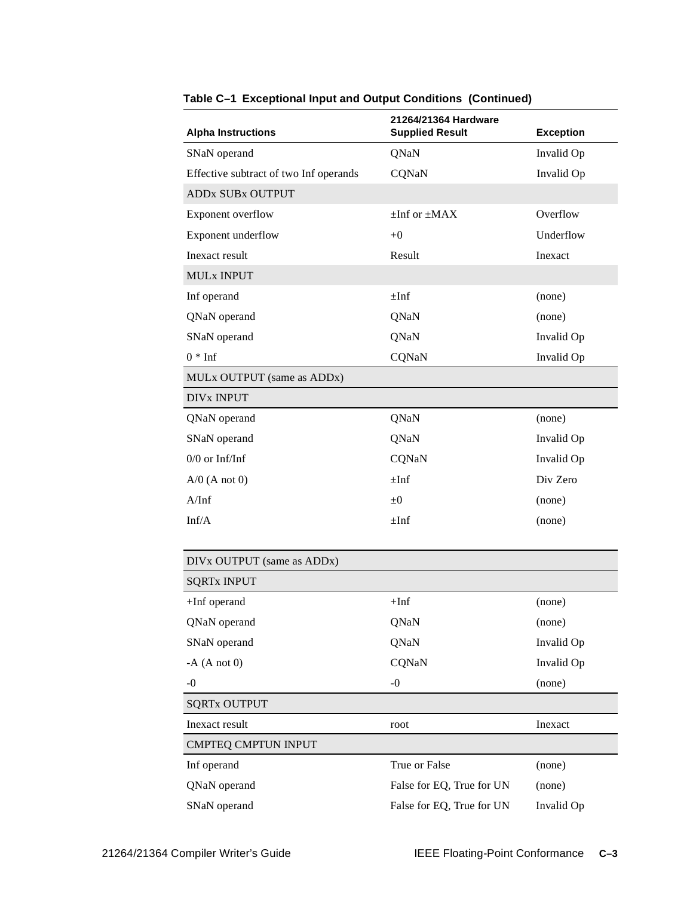| <b>Alpha Instructions</b>              | 21264/21364 Hardware<br><b>Supplied Result</b> | <b>Exception</b> |
|----------------------------------------|------------------------------------------------|------------------|
| SNaN operand                           | QNaN                                           | Invalid Op       |
| Effective subtract of two Inf operands | CQNaN                                          | Invalid Op       |
| <b>ADDx SUBx OUTPUT</b>                |                                                |                  |
| Exponent overflow                      | $\pm$ Inf or $\pm$ MAX                         | Overflow         |
| Exponent underflow                     | $+0$                                           | Underflow        |
| Inexact result                         | Result                                         | Inexact          |
| <b>MULx INPUT</b>                      |                                                |                  |
| Inf operand                            | $\pm$ Inf                                      | (none)           |
| QNaN operand                           | QNaN                                           | (none)           |
| SNaN operand                           | QNaN                                           | Invalid Op       |
| $0 * Inf$                              | CQNaN                                          | Invalid Op       |
| MULx OUTPUT (same as ADDx)             |                                                |                  |
| <b>DIV<sub>x</sub></b> INPUT           |                                                |                  |
| QNaN operand                           | QNaN                                           | (none)           |
| SNaN operand                           | QNaN                                           | Invalid Op       |
| $0/0$ or Inf/Inf                       | CQNaN                                          | Invalid Op       |
| $A/0$ (A not 0)                        | $\pm$ Inf                                      | Div Zero         |
| A/Inf                                  | $\pm 0$                                        | (none)           |
| Inf/A                                  | $\pm$ Inf                                      | (none)           |
|                                        |                                                |                  |
| DIVx OUTPUT (same as ADDx)             |                                                |                  |
| <b>SQRTx INPUT</b>                     |                                                |                  |
| $+Inf$ operand                         | $+Inf$                                         | (none)           |
| QNaN operand                           | QNaN                                           | (none)           |
| SNaN operand                           | QNaN                                           | Invalid Op       |
| $-A(Anot0)$                            | CQNaN                                          | Invalid Op       |
| $-0$                                   | $-0$                                           | (none)           |
| <b>SQRTx OUTPUT</b>                    |                                                |                  |
| Inexact result                         | root                                           | Inexact          |
| <b>CMPTEQ CMPTUN INPUT</b>             |                                                |                  |
| Inf operand                            | True or False                                  | (none)           |
| QNaN operand                           | False for EQ, True for UN                      | (none)           |
| SNaN operand                           | False for EQ, True for UN                      | Invalid Op       |

**Table C–1 Exceptional Input and Output Conditions (Continued)**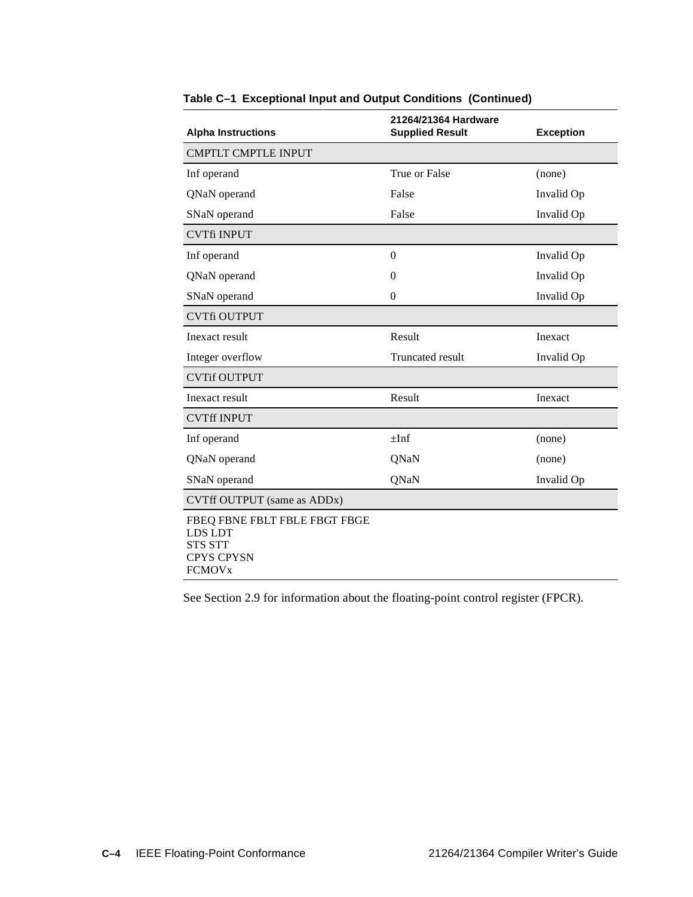| <b>Alpha Instructions</b>                                                                                   | 21264/21364 Hardware<br><b>Supplied Result</b> | <b>Exception</b> |
|-------------------------------------------------------------------------------------------------------------|------------------------------------------------|------------------|
| <b>CMPTLT CMPTLE INPUT</b>                                                                                  |                                                |                  |
| Inf operand                                                                                                 | True or False                                  | (none)           |
| QNaN operand                                                                                                | False                                          | Invalid Op       |
| SNaN operand                                                                                                | False                                          | Invalid Op       |
| <b>CVTfi INPUT</b>                                                                                          |                                                |                  |
| Inf operand                                                                                                 | $\overline{0}$                                 | Invalid Op       |
| QNaN operand                                                                                                | $\theta$                                       | Invalid Op       |
| SNaN operand                                                                                                | $\Omega$                                       | Invalid Op       |
| <b>CVTfi OUTPUT</b>                                                                                         |                                                |                  |
| Inexact result                                                                                              | Result                                         | Inexact          |
| Integer overflow                                                                                            | Truncated result                               | Invalid Op       |
| <b>CVTif OUTPUT</b>                                                                                         |                                                |                  |
| Inexact result                                                                                              | Result                                         | Inexact          |
| <b>CVTff INPUT</b>                                                                                          |                                                |                  |
| Inf operand                                                                                                 | $\pm$ Inf                                      | (none)           |
| QNaN operand                                                                                                | QNaN                                           | (none)           |
| SNaN operand                                                                                                | QNaN                                           | Invalid Op       |
| CVTff OUTPUT (same as ADDx)                                                                                 |                                                |                  |
| FBEQ FBNE FBLT FBLE FBGT FBGE<br>LDS LDT<br><b>STS STT</b><br><b>CPYS CPYSN</b><br><b>FCMOV<sub>x</sub></b> |                                                |                  |

**Table C–1 Exceptional Input and Output Conditions (Continued)**

See [Section 2.9](#page-31-0) for information about the floating-point control register (FPCR).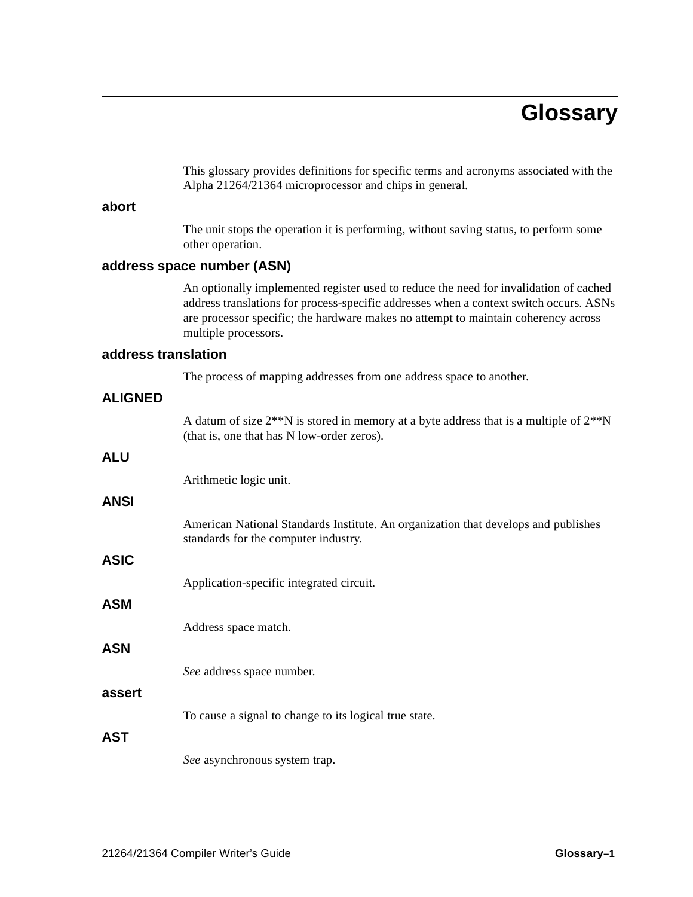# **Glossary**

This glossary provides definitions for specific terms and acronyms associated with the Alpha 21264/21364 microprocessor and chips in general.

## **abort**

The unit stops the operation it is performing, without saving status, to perform some other operation.

### **address space number (ASN)**

An optionally implemented register used to reduce the need for invalidation of cached address translations for process-specific addresses when a context switch occurs. ASNs are processor specific; the hardware makes no attempt to maintain coherency across multiple processors.

## **address translation**

The process of mapping addresses from one address space to another.

| <b>ALIGNED</b> |                                                                                                                                               |
|----------------|-----------------------------------------------------------------------------------------------------------------------------------------------|
|                | A datum of size $2^{**}N$ is stored in memory at a byte address that is a multiple of $2^{**}N$<br>(that is, one that has N low-order zeros). |
| <b>ALU</b>     |                                                                                                                                               |
|                | Arithmetic logic unit.                                                                                                                        |
| <b>ANSI</b>    |                                                                                                                                               |
|                | American National Standards Institute. An organization that develops and publishes<br>standards for the computer industry.                    |
| <b>ASIC</b>    |                                                                                                                                               |
|                | Application-specific integrated circuit.                                                                                                      |
| <b>ASM</b>     |                                                                                                                                               |
|                | Address space match.                                                                                                                          |
| <b>ASN</b>     |                                                                                                                                               |
|                | See address space number.                                                                                                                     |
| assert         |                                                                                                                                               |
|                | To cause a signal to change to its logical true state.                                                                                        |
| <b>AST</b>     |                                                                                                                                               |
|                | See asynchronous system trap.                                                                                                                 |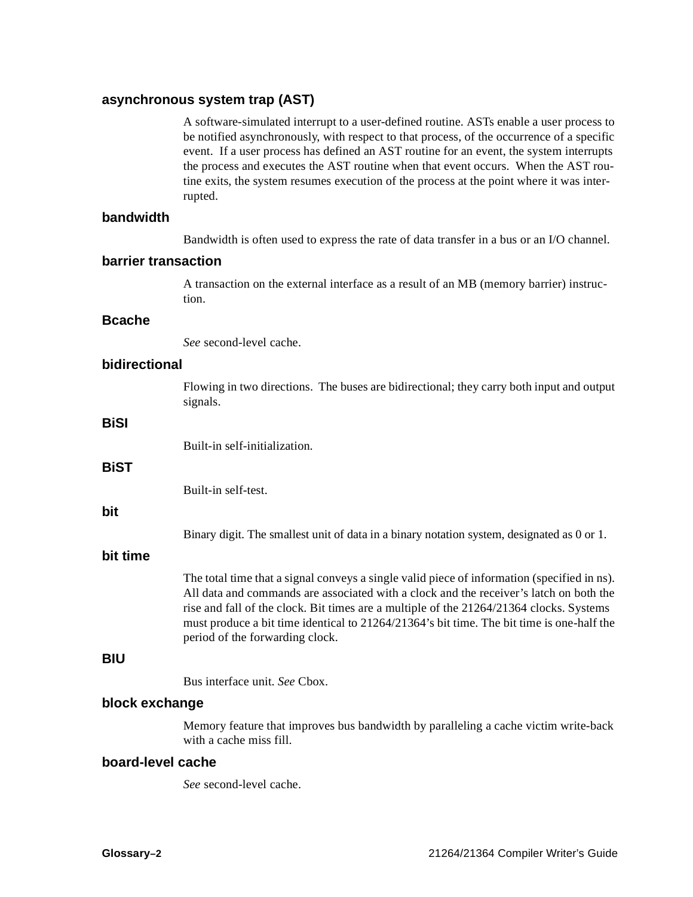## **asynchronous system trap (AST)**

A software-simulated interrupt to a user-defined routine. ASTs enable a user process to be notified asynchronously, with respect to that process, of the occurrence of a specific event. If a user process has defined an AST routine for an event, the system interrupts the process and executes the AST routine when that event occurs. When the AST routine exits, the system resumes execution of the process at the point where it was interrupted.

### **bandwidth**

Bandwidth is often used to express the rate of data transfer in a bus or an I/O channel.

#### **barrier transaction**

A transaction on the external interface as a result of an MB (memory barrier) instruction.

### **Bcache**

*See* second-level cache.

## **bidirectional**

Flowing in two directions. The buses are bidirectional; they carry both input and output signals.

## **BiSI**

Built-in self-initialization.

## **BiST**

Built-in self-test.

## **bit**

Binary digit. The smallest unit of data in a binary notation system, designated as 0 or 1.

## **bit time**

The total time that a signal conveys a single valid piece of information (specified in ns). All data and commands are associated with a clock and the receiver's latch on both the rise and fall of the clock. Bit times are a multiple of the 21264/21364 clocks. Systems must produce a bit time identical to 21264/21364's bit time. The bit time is one-half the period of the forwarding clock.

### **BIU**

Bus interface unit. *See* Cbox.

## **block exchange**

Memory feature that improves bus bandwidth by paralleling a cache victim write-back with a cache miss fill.

#### **board-level cache**

*See* second-level cache.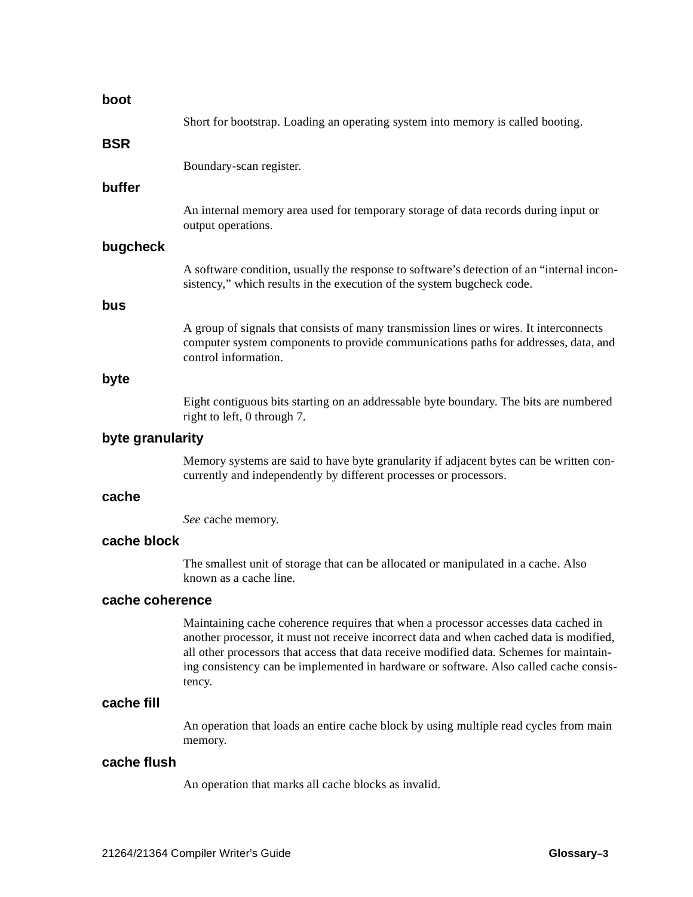| boot             |                                                                                                                                                                                                                                                                                                                                                                             |
|------------------|-----------------------------------------------------------------------------------------------------------------------------------------------------------------------------------------------------------------------------------------------------------------------------------------------------------------------------------------------------------------------------|
|                  | Short for bootstrap. Loading an operating system into memory is called booting.                                                                                                                                                                                                                                                                                             |
| BSR              |                                                                                                                                                                                                                                                                                                                                                                             |
|                  | Boundary-scan register.                                                                                                                                                                                                                                                                                                                                                     |
| buffer           |                                                                                                                                                                                                                                                                                                                                                                             |
|                  | An internal memory area used for temporary storage of data records during input or<br>output operations.                                                                                                                                                                                                                                                                    |
| bugcheck         |                                                                                                                                                                                                                                                                                                                                                                             |
|                  | A software condition, usually the response to software's detection of an "internal incon-<br>sistency," which results in the execution of the system bugcheck code.                                                                                                                                                                                                         |
| bus              |                                                                                                                                                                                                                                                                                                                                                                             |
|                  | A group of signals that consists of many transmission lines or wires. It interconnects<br>computer system components to provide communications paths for addresses, data, and<br>control information.                                                                                                                                                                       |
| byte             |                                                                                                                                                                                                                                                                                                                                                                             |
|                  | Eight contiguous bits starting on an addressable byte boundary. The bits are numbered<br>right to left, 0 through 7.                                                                                                                                                                                                                                                        |
| byte granularity |                                                                                                                                                                                                                                                                                                                                                                             |
|                  | Memory systems are said to have byte granularity if adjacent bytes can be written con-<br>currently and independently by different processes or processors.                                                                                                                                                                                                                 |
| cache            |                                                                                                                                                                                                                                                                                                                                                                             |
|                  | See cache memory.                                                                                                                                                                                                                                                                                                                                                           |
| cache block      |                                                                                                                                                                                                                                                                                                                                                                             |
|                  | The smallest unit of storage that can be allocated or manipulated in a cache. Also<br>known as a cache line.                                                                                                                                                                                                                                                                |
| cache coherence  |                                                                                                                                                                                                                                                                                                                                                                             |
|                  | Maintaining cache coherence requires that when a processor accesses data cached in<br>another processor, it must not receive incorrect data and when cached data is modified,<br>all other processors that access that data receive modified data. Schemes for maintain-<br>ing consistency can be implemented in hardware or software. Also called cache consis-<br>tency. |
| cache fill       |                                                                                                                                                                                                                                                                                                                                                                             |
|                  | An operation that loads an entire cache block by using multiple read cycles from main<br>memory.                                                                                                                                                                                                                                                                            |
| cache flush      |                                                                                                                                                                                                                                                                                                                                                                             |
|                  | An operation that marks all cache blocks as invalid.                                                                                                                                                                                                                                                                                                                        |
|                  |                                                                                                                                                                                                                                                                                                                                                                             |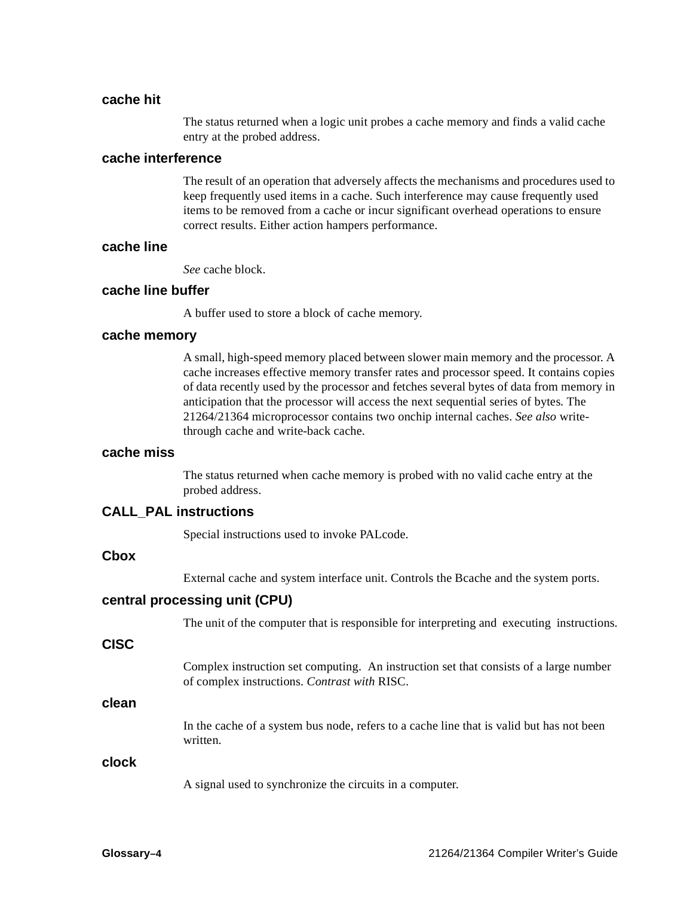## **cache hit**

The status returned when a logic unit probes a cache memory and finds a valid cache entry at the probed address.

#### **cache interference**

The result of an operation that adversely affects the mechanisms and procedures used to keep frequently used items in a cache. Such interference may cause frequently used items to be removed from a cache or incur significant overhead operations to ensure correct results. Either action hampers performance.

## **cache line**

*See* cache block.

#### **cache line buffer**

A buffer used to store a block of cache memory.

#### **cache memory**

A small, high-speed memory placed between slower main memory and the processor. A cache increases effective memory transfer rates and processor speed. It contains copies of data recently used by the processor and fetches several bytes of data from memory in anticipation that the processor will access the next sequential series of bytes. The 21264/21364 microprocessor contains two onchip internal caches. *See also* writethrough cache and write-back cache.

#### **cache miss**

The status returned when cache memory is probed with no valid cache entry at the probed address.

#### **CALL\_PAL instructions**

Special instructions used to invoke PALcode.

## **Cbox**

External cache and system interface unit. Controls the Bcache and the system ports.

#### **central processing unit (CPU)**

The unit of the computer that is responsible for interpreting and executing instructions.

#### **CISC**

Complex instruction set computing. An instruction set that consists of a large number of complex instructions. *Contrast with* RISC.

## **clean**

In the cache of a system bus node, refers to a cache line that is valid but has not been written.

#### **clock**

A signal used to synchronize the circuits in a computer.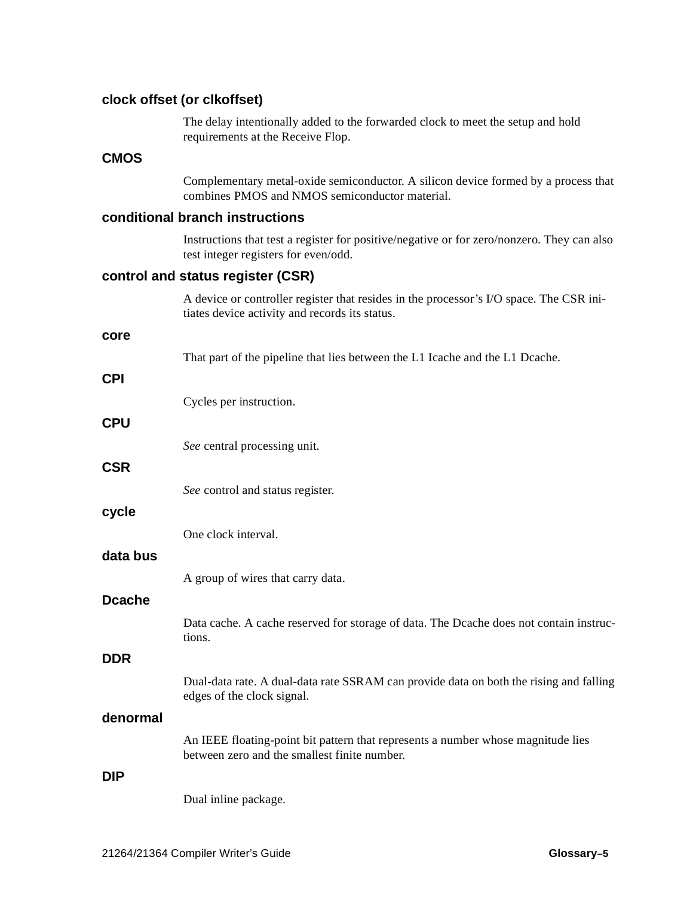## **clock offset (or clkoffset)**

The delay intentionally added to the forwarded clock to meet the setup and hold requirements at the Receive Flop.

## **CMOS**

Complementary metal-oxide semiconductor. A silicon device formed by a process that combines PMOS and NMOS semiconductor material.

## **conditional branch instructions**

Instructions that test a register for positive/negative or for zero/nonzero. They can also test integer registers for even/odd.

## **control and status register (CSR)**

|               | A device or controller register that resides in the processor's I/O space. The CSR ini-<br>tiates device activity and records its status. |
|---------------|-------------------------------------------------------------------------------------------------------------------------------------------|
| core          |                                                                                                                                           |
|               | That part of the pipeline that lies between the L1 Icache and the L1 Dcache.                                                              |
| <b>CPI</b>    |                                                                                                                                           |
|               | Cycles per instruction.                                                                                                                   |
| <b>CPU</b>    |                                                                                                                                           |
|               | See central processing unit.                                                                                                              |
| <b>CSR</b>    |                                                                                                                                           |
|               | See control and status register.                                                                                                          |
| cycle         |                                                                                                                                           |
|               | One clock interval.                                                                                                                       |
| data bus      |                                                                                                                                           |
|               | A group of wires that carry data.                                                                                                         |
| <b>Dcache</b> |                                                                                                                                           |
|               | Data cache. A cache reserved for storage of data. The Dcache does not contain instruc-<br>tions.                                          |
| <b>DDR</b>    |                                                                                                                                           |
|               | Dual-data rate. A dual-data rate SSRAM can provide data on both the rising and falling<br>edges of the clock signal.                      |
| denormal      |                                                                                                                                           |
|               | An IEEE floating-point bit pattern that represents a number whose magnitude lies<br>between zero and the smallest finite number.          |
| <b>DIP</b>    |                                                                                                                                           |
|               | Dual inline package.                                                                                                                      |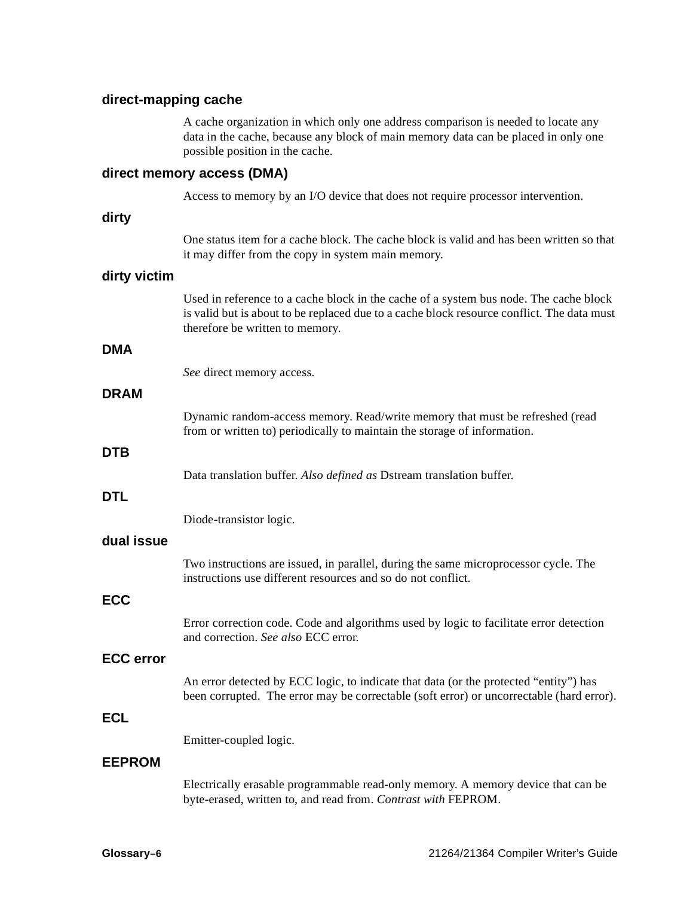## **direct-mapping cache**

A cache organization in which only one address comparison is needed to locate any data in the cache, because any block of main memory data can be placed in only one possible position in the cache.

### **direct memory access (DMA)**

Access to memory by an I/O device that does not require processor intervention.

#### **dirty**

One status item for a cache block. The cache block is valid and has been written so that it may differ from the copy in system main memory.

#### **dirty victim**

Used in reference to a cache block in the cache of a system bus node. The cache block is valid but is about to be replaced due to a cache block resource conflict. The data must therefore be written to memory.

#### **DMA**

*See* direct memory access.

## **DRAM**

Dynamic random-access memory. Read/write memory that must be refreshed (read from or written to) periodically to maintain the storage of information.

#### **DTB**

Data translation buffer. *Also defined as* Dstream translation buffer.

#### **DTL**

Diode-transistor logic.

#### **dual issue**

Two instructions are issued, in parallel, during the same microprocessor cycle. The instructions use different resources and so do not conflict.

## **ECC**

Error correction code. Code and algorithms used by logic to facilitate error detection and correction. *See also* ECC error.

#### **ECC error**

An error detected by ECC logic, to indicate that data (or the protected "entity") has been corrupted. The error may be correctable (soft error) or uncorrectable (hard error).

## **ECL**

Emitter-coupled logic.

## **EEPROM**

Electrically erasable programmable read-only memory. A memory device that can be byte-erased, written to, and read from. *Contrast with* FEPROM.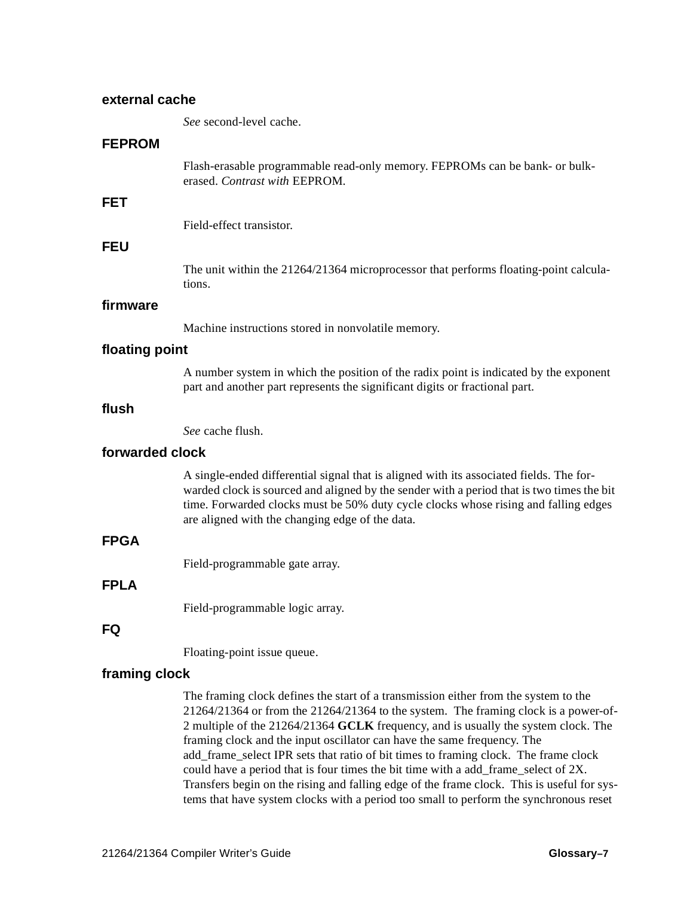| external cache  |                                                                                                                                                                                                                                                                                                                                                                                                                                        |  |
|-----------------|----------------------------------------------------------------------------------------------------------------------------------------------------------------------------------------------------------------------------------------------------------------------------------------------------------------------------------------------------------------------------------------------------------------------------------------|--|
|                 | See second-level cache.                                                                                                                                                                                                                                                                                                                                                                                                                |  |
| <b>FEPROM</b>   |                                                                                                                                                                                                                                                                                                                                                                                                                                        |  |
|                 | Flash-erasable programmable read-only memory. FEPROMs can be bank- or bulk-<br>erased. Contrast with EEPROM.                                                                                                                                                                                                                                                                                                                           |  |
| <b>FET</b>      |                                                                                                                                                                                                                                                                                                                                                                                                                                        |  |
|                 | Field-effect transistor.                                                                                                                                                                                                                                                                                                                                                                                                               |  |
| <b>FEU</b>      |                                                                                                                                                                                                                                                                                                                                                                                                                                        |  |
|                 | The unit within the 21264/21364 microprocessor that performs floating-point calcula-<br>tions.                                                                                                                                                                                                                                                                                                                                         |  |
| firmware        |                                                                                                                                                                                                                                                                                                                                                                                                                                        |  |
|                 | Machine instructions stored in nonvolatile memory.                                                                                                                                                                                                                                                                                                                                                                                     |  |
| floating point  |                                                                                                                                                                                                                                                                                                                                                                                                                                        |  |
|                 | A number system in which the position of the radix point is indicated by the exponent<br>part and another part represents the significant digits or fractional part.                                                                                                                                                                                                                                                                   |  |
| flush           |                                                                                                                                                                                                                                                                                                                                                                                                                                        |  |
|                 | See cache flush.                                                                                                                                                                                                                                                                                                                                                                                                                       |  |
| forwarded clock |                                                                                                                                                                                                                                                                                                                                                                                                                                        |  |
|                 | A single-ended differential signal that is aligned with its associated fields. The for-<br>warded clock is sourced and aligned by the sender with a period that is two times the bit<br>time. Forwarded clocks must be 50% duty cycle clocks whose rising and falling edges<br>are aligned with the changing edge of the data.                                                                                                         |  |
| <b>FPGA</b>     |                                                                                                                                                                                                                                                                                                                                                                                                                                        |  |
|                 | Field-programmable gate array.                                                                                                                                                                                                                                                                                                                                                                                                         |  |
| <b>FPLA</b>     |                                                                                                                                                                                                                                                                                                                                                                                                                                        |  |
|                 | Field-programmable logic array.                                                                                                                                                                                                                                                                                                                                                                                                        |  |
| FQ              |                                                                                                                                                                                                                                                                                                                                                                                                                                        |  |
|                 | Floating-point issue queue.                                                                                                                                                                                                                                                                                                                                                                                                            |  |
| framing clock   |                                                                                                                                                                                                                                                                                                                                                                                                                                        |  |
|                 | The framing clock defines the start of a transmission either from the system to the<br>$21264/21364$ or from the $21264/21364$ to the system. The framing clock is a power-of-<br>2 multiple of the 21264/21364 GCLK frequency, and is usually the system clock. The<br>framing clock and the input oscillator can have the same frequency. The<br>add_frame_select IPR sets that ratio of bit times to framing clock. The frame clock |  |

could have a period that is four times the bit time with a add\_frame\_select of 2X. Transfers begin on the rising and falling edge of the frame clock. This is useful for systems that have system clocks with a period too small to perform the synchronous reset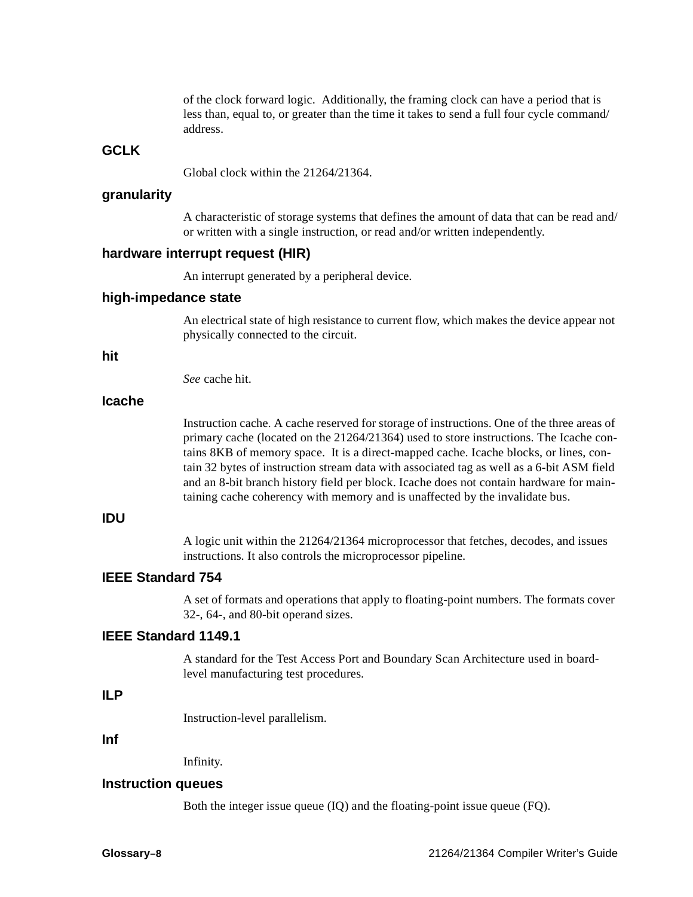of the clock forward logic. Additionally, the framing clock can have a period that is less than, equal to, or greater than the time it takes to send a full four cycle command/ address.

## **GCLK**

Global clock within the 21264/21364.

#### **granularity**

A characteristic of storage systems that defines the amount of data that can be read and/ or written with a single instruction, or read and/or written independently.

#### **hardware interrupt request (HIR)**

An interrupt generated by a peripheral device.

## **high-impedance state**

An electrical state of high resistance to current flow, which makes the device appear not physically connected to the circuit.

#### **hit**

*See* cache hit.

## **Icache**

Instruction cache. A cache reserved for storage of instructions. One of the three areas of primary cache (located on the 21264/21364) used to store instructions. The Icache contains 8KB of memory space. It is a direct-mapped cache. Icache blocks, or lines, contain 32 bytes of instruction stream data with associated tag as well as a 6-bit ASM field and an 8-bit branch history field per block. Icache does not contain hardware for maintaining cache coherency with memory and is unaffected by the invalidate bus.

## **IDU**

A logic unit within the 21264/21364 microprocessor that fetches, decodes, and issues instructions. It also controls the microprocessor pipeline.

## **IEEE Standard 754**

A set of formats and operations that apply to floating-point numbers. The formats cover 32-, 64-, and 80-bit operand sizes.

## **IEEE Standard 1149.1**

A standard for the Test Access Port and Boundary Scan Architecture used in boardlevel manufacturing test procedures.

## **ILP**

Instruction-level parallelism.

#### **Inf**

Infinity.

## **Instruction queues**

Both the integer issue queue (IQ) and the floating-point issue queue (FQ).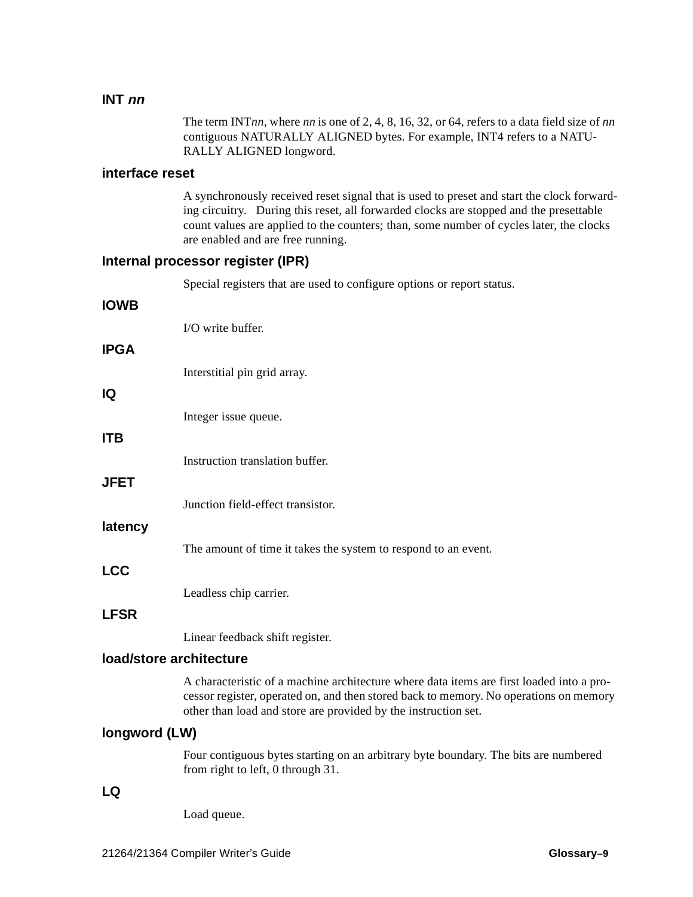## **INT nn**

The term INT*nn*, where *nn* is one of 2, 4, 8, 16, 32, or 64, refers to a data field size of *nn* contiguous NATURALLY ALIGNED bytes. For example, INT4 refers to a NATU-RALLY ALIGNED longword.

## **interface reset**

A synchronously received reset signal that is used to preset and start the clock forwarding circuitry. During this reset, all forwarded clocks are stopped and the presettable count values are applied to the counters; than, some number of cycles later, the clocks are enabled and are free running.

## **Internal processor register (IPR)**

Special registers that are used to configure options or report status.

| <b>IOWB</b>             |                                                                                                                                                                                                                                                     |
|-------------------------|-----------------------------------------------------------------------------------------------------------------------------------------------------------------------------------------------------------------------------------------------------|
|                         | I/O write buffer.                                                                                                                                                                                                                                   |
| <b>IPGA</b>             |                                                                                                                                                                                                                                                     |
|                         | Interstitial pin grid array.                                                                                                                                                                                                                        |
| IQ                      |                                                                                                                                                                                                                                                     |
|                         | Integer issue queue.                                                                                                                                                                                                                                |
| <b>ITB</b>              |                                                                                                                                                                                                                                                     |
|                         | Instruction translation buffer.                                                                                                                                                                                                                     |
| <b>JFET</b>             |                                                                                                                                                                                                                                                     |
| latency                 | Junction field-effect transistor.                                                                                                                                                                                                                   |
|                         | The amount of time it takes the system to respond to an event.                                                                                                                                                                                      |
| <b>LCC</b>              |                                                                                                                                                                                                                                                     |
|                         | Leadless chip carrier.                                                                                                                                                                                                                              |
| <b>LFSR</b>             |                                                                                                                                                                                                                                                     |
|                         | Linear feedback shift register.                                                                                                                                                                                                                     |
| load/store architecture |                                                                                                                                                                                                                                                     |
|                         | A characteristic of a machine architecture where data items are first loaded into a pro-<br>cessor register, operated on, and then stored back to memory. No operations on memory<br>other than load and store are provided by the instruction set. |
| longword (LW)           |                                                                                                                                                                                                                                                     |
|                         | Four contiguous bytes starting on an arbitrary byte boundary. The bits are numbered<br>from right to left, 0 through 31.                                                                                                                            |
| LQ                      |                                                                                                                                                                                                                                                     |
|                         | Load queue.                                                                                                                                                                                                                                         |
|                         |                                                                                                                                                                                                                                                     |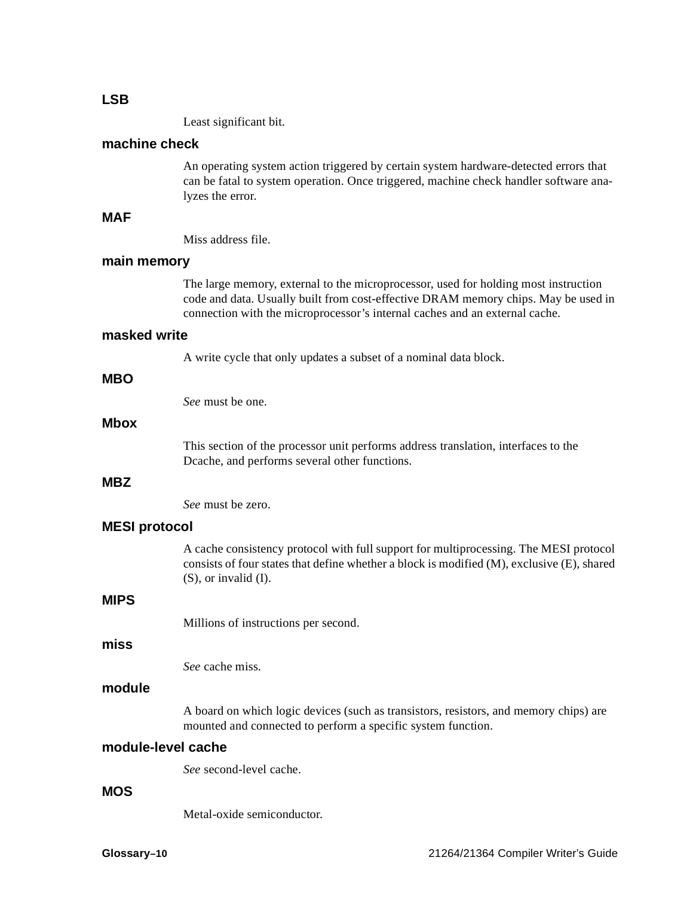#### **LSB**

Least significant bit.

## **machine check**

An operating system action triggered by certain system hardware-detected errors that can be fatal to system operation. Once triggered, machine check handler software analyzes the error.

## **MAF**

Miss address file.

## **main memory**

The large memory, external to the microprocessor, used for holding most instruction code and data. Usually built from cost-effective DRAM memory chips. May be used in connection with the microprocessor's internal caches and an external cache.

#### **masked write**

A write cycle that only updates a subset of a nominal data block.

## **MBO**

*See* must be one.

#### **Mbox**

This section of the processor unit performs address translation, interfaces to the Dcache, and performs several other functions.

## **MBZ**

*See* must be zero.

#### **MESI protocol**

A cache consistency protocol with full support for multiprocessing. The MESI protocol consists of four states that define whether a block is modified (M), exclusive (E), shared (S), or invalid (I).

## **MIPS**

Millions of instructions per second.

#### **miss**

*See* cache miss.

## **module**

A board on which logic devices (such as transistors, resistors, and memory chips) are mounted and connected to perform a specific system function.

## **module-level cache**

*See* second-level cache.

#### **MOS**

Metal-oxide semiconductor.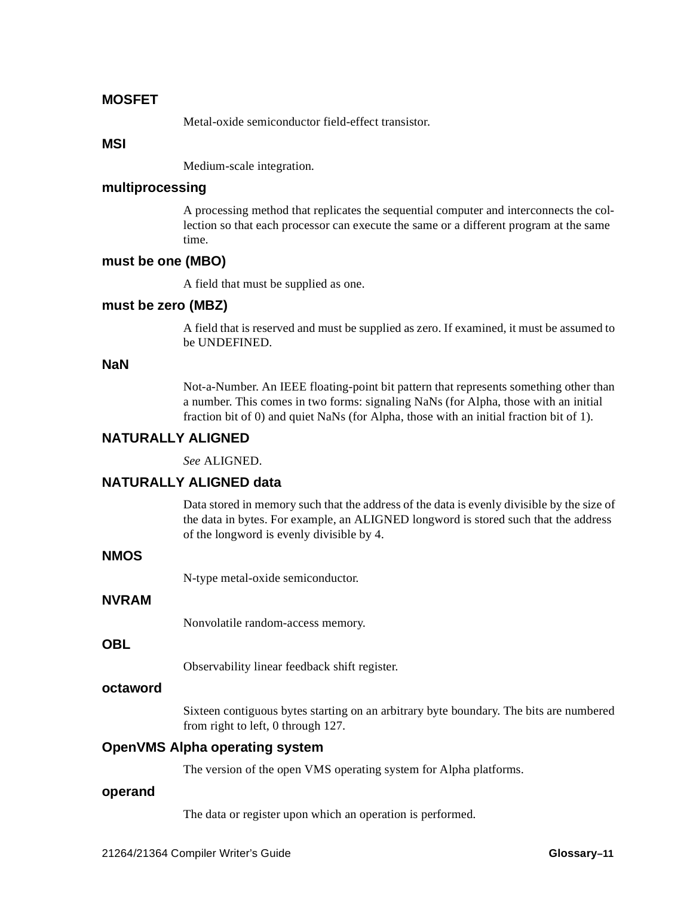## **MOSFET**

Metal-oxide semiconductor field-effect transistor.

### **MSI**

Medium-scale integration.

## **multiprocessing**

A processing method that replicates the sequential computer and interconnects the collection so that each processor can execute the same or a different program at the same time.

## **must be one (MBO)**

A field that must be supplied as one.

## **must be zero (MBZ)**

A field that is reserved and must be supplied as zero. If examined, it must be assumed to be UNDEFINED.

## **NaN**

Not-a-Number. An IEEE floating-point bit pattern that represents something other than a number. This comes in two forms: signaling NaNs (for Alpha, those with an initial fraction bit of 0) and quiet NaNs (for Alpha, those with an initial fraction bit of 1).

## **NATURALLY ALIGNED**

*See* ALIGNED.

## **NATURALLY ALIGNED data**

Data stored in memory such that the address of the data is evenly divisible by the size of the data in bytes. For example, an ALIGNED longword is stored such that the address of the longword is evenly divisible by 4.

## **NMOS**

N-type metal-oxide semiconductor.

## **NVRAM**

Nonvolatile random-access memory.

## **OBL**

Observability linear feedback shift register.

## **octaword**

Sixteen contiguous bytes starting on an arbitrary byte boundary. The bits are numbered from right to left, 0 through 127.

## **OpenVMS Alpha operating system**

The version of the open VMS operating system for Alpha platforms.

#### **operand**

The data or register upon which an operation is performed.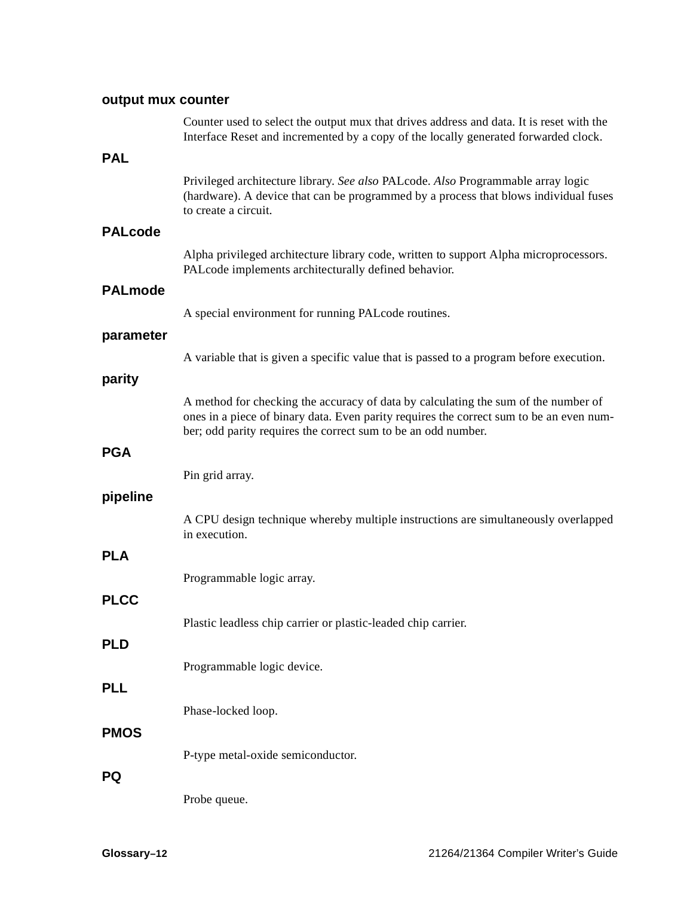## **output mux counter**

|                | Counter used to select the output mux that drives address and data. It is reset with the<br>Interface Reset and incremented by a copy of the locally generated forwarded clock.                                                                |
|----------------|------------------------------------------------------------------------------------------------------------------------------------------------------------------------------------------------------------------------------------------------|
| <b>PAL</b>     |                                                                                                                                                                                                                                                |
|                | Privileged architecture library. See also PALcode. Also Programmable array logic<br>(hardware). A device that can be programmed by a process that blows individual fuses<br>to create a circuit.                                               |
| <b>PALcode</b> |                                                                                                                                                                                                                                                |
|                | Alpha privileged architecture library code, written to support Alpha microprocessors.<br>PALcode implements architecturally defined behavior.                                                                                                  |
| <b>PALmode</b> |                                                                                                                                                                                                                                                |
|                | A special environment for running PALcode routines.                                                                                                                                                                                            |
| parameter      |                                                                                                                                                                                                                                                |
|                | A variable that is given a specific value that is passed to a program before execution.                                                                                                                                                        |
| parity         |                                                                                                                                                                                                                                                |
|                | A method for checking the accuracy of data by calculating the sum of the number of<br>ones in a piece of binary data. Even parity requires the correct sum to be an even num-<br>ber; odd parity requires the correct sum to be an odd number. |
| <b>PGA</b>     |                                                                                                                                                                                                                                                |
|                | Pin grid array.                                                                                                                                                                                                                                |
| pipeline       |                                                                                                                                                                                                                                                |
|                | A CPU design technique whereby multiple instructions are simultaneously overlapped<br>in execution.                                                                                                                                            |
| <b>PLA</b>     |                                                                                                                                                                                                                                                |
|                | Programmable logic array.                                                                                                                                                                                                                      |
| <b>PLCC</b>    |                                                                                                                                                                                                                                                |
|                | Plastic leadless chip carrier or plastic-leaded chip carrier.                                                                                                                                                                                  |
| <b>PLD</b>     |                                                                                                                                                                                                                                                |
|                | Programmable logic device.                                                                                                                                                                                                                     |
| <b>PLL</b>     |                                                                                                                                                                                                                                                |
|                | Phase-locked loop.                                                                                                                                                                                                                             |
| <b>PMOS</b>    |                                                                                                                                                                                                                                                |
|                | P-type metal-oxide semiconductor.                                                                                                                                                                                                              |
| PQ             |                                                                                                                                                                                                                                                |
|                | Probe queue.                                                                                                                                                                                                                                   |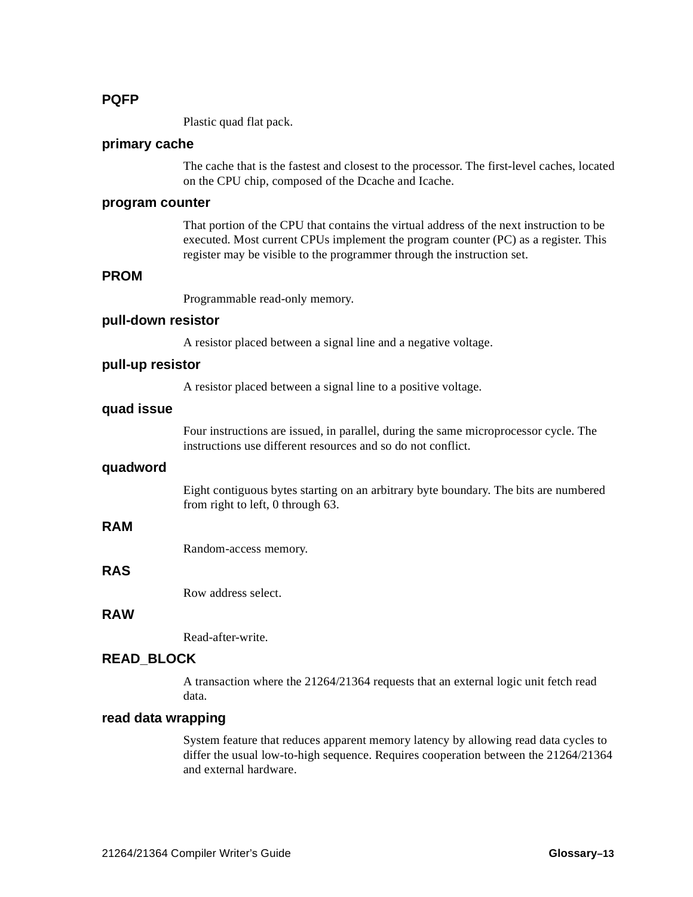## **PQFP**

Plastic quad flat pack.

## **primary cache**

The cache that is the fastest and closest to the processor. The first-level caches, located on the CPU chip, composed of the Dcache and Icache.

### **program counter**

That portion of the CPU that contains the virtual address of the next instruction to be executed. Most current CPUs implement the program counter (PC) as a register. This register may be visible to the programmer through the instruction set.

## **PROM**

Programmable read-only memory.

#### **pull-down resistor**

A resistor placed between a signal line and a negative voltage.

#### **pull-up resistor**

A resistor placed between a signal line to a positive voltage.

## **quad issue**

Four instructions are issued, in parallel, during the same microprocessor cycle. The instructions use different resources and so do not conflict.

#### **quadword**

Eight contiguous bytes starting on an arbitrary byte boundary. The bits are numbered from right to left, 0 through 63.

## **RAM**

Random-access memory.

## **RAS**

Row address select.

## **RAW**

Read-after-write.

## **READ\_BLOCK**

A transaction where the 21264/21364 requests that an external logic unit fetch read data.

## **read data wrapping**

System feature that reduces apparent memory latency by allowing read data cycles to differ the usual low-to-high sequence. Requires cooperation between the 21264/21364 and external hardware.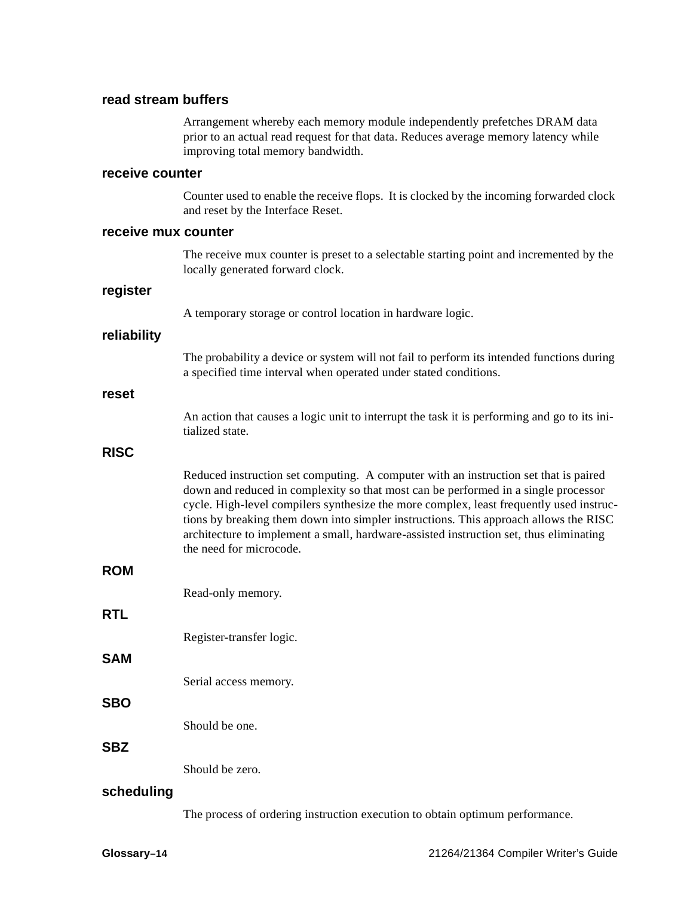## **read stream buffers**

Arrangement whereby each memory module independently prefetches DRAM data prior to an actual read request for that data. Reduces average memory latency while improving total memory bandwidth.

#### **receive counter**

Counter used to enable the receive flops. It is clocked by the incoming forwarded clock and reset by the Interface Reset.

#### **receive mux counter**

The receive mux counter is preset to a selectable starting point and incremented by the locally generated forward clock.

#### **register**

A temporary storage or control location in hardware logic.

#### **reliability**

The probability a device or system will not fail to perform its intended functions during a specified time interval when operated under stated conditions.

#### **reset**

An action that causes a logic unit to interrupt the task it is performing and go to its initialized state.

#### **RISC**

Reduced instruction set computing. A computer with an instruction set that is paired down and reduced in complexity so that most can be performed in a single processor cycle. High-level compilers synthesize the more complex, least frequently used instructions by breaking them down into simpler instructions. This approach allows the RISC architecture to implement a small, hardware-assisted instruction set, thus eliminating the need for microcode.

## **ROM**

**RTL**

Read-only memory.

- Register-transfer logic.
- **SAM**

Serial access memory.

Should be one.

#### **SBZ**

**SBO**

Should be zero.

#### **scheduling**

The process of ordering instruction execution to obtain optimum performance.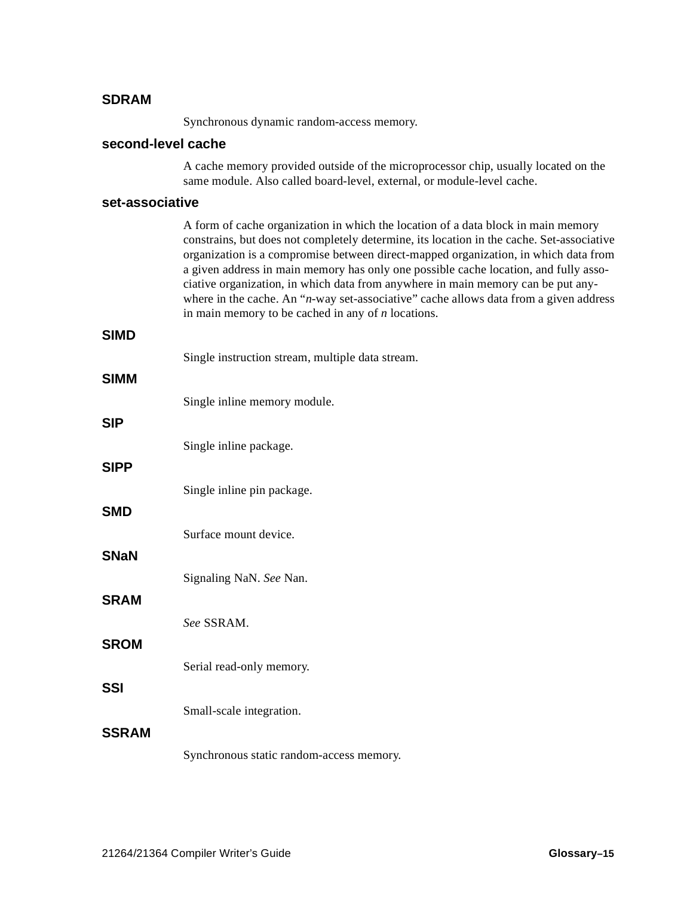#### **SDRAM**

Synchronous dynamic random-access memory.

#### **second-level cache**

A cache memory provided outside of the microprocessor chip, usually located on the same module. Also called board-level, external, or module-level cache.

#### **set-associative**

A form of cache organization in which the location of a data block in main memory constrains, but does not completely determine, its location in the cache. Set-associative organization is a compromise between direct-mapped organization, in which data from a given address in main memory has only one possible cache location, and fully associative organization, in which data from anywhere in main memory can be put anywhere in the cache. An "*n*-way set-associative" cache allows data from a given address in main memory to be cached in any of *n* locations.

#### **SIMD**

| Single instruction stream, multiple data stream. |  |  |
|--------------------------------------------------|--|--|
|                                                  |  |  |

| <b>SIMM</b>  |                                          |
|--------------|------------------------------------------|
|              | Single inline memory module.             |
| <b>SIP</b>   |                                          |
|              | Single inline package.                   |
| <b>SIPP</b>  |                                          |
| <b>SMD</b>   | Single inline pin package.               |
|              | Surface mount device.                    |
| <b>SNaN</b>  |                                          |
|              | Signaling NaN. See Nan.                  |
| <b>SRAM</b>  |                                          |
|              | See SSRAM.                               |
| <b>SROM</b>  |                                          |
| <b>SSI</b>   | Serial read-only memory.                 |
|              | Small-scale integration.                 |
| <b>SSRAM</b> |                                          |
|              | Synchronous static random-access memory. |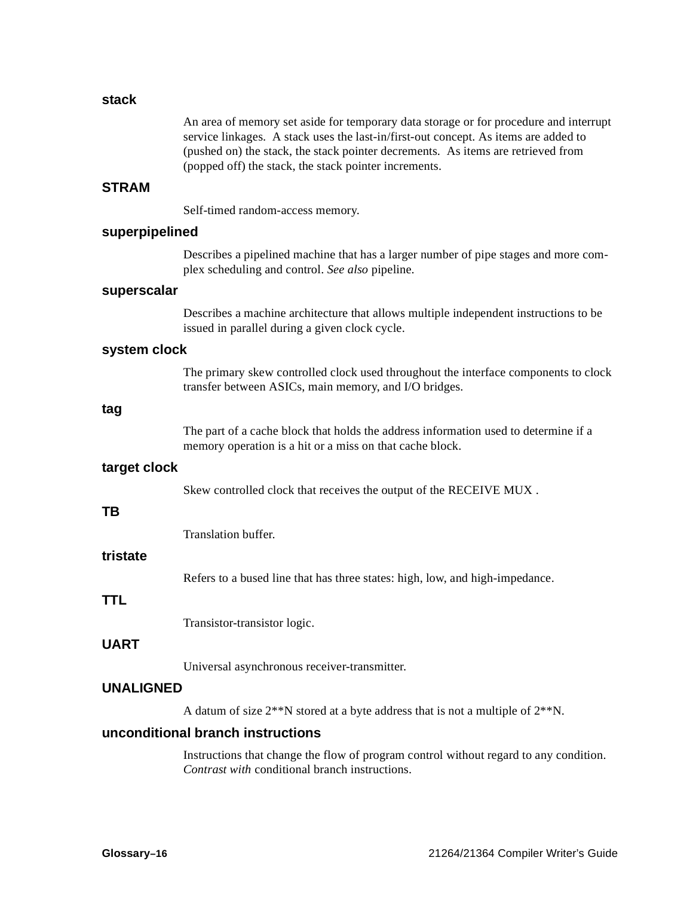#### **stack**

An area of memory set aside for temporary data storage or for procedure and interrupt service linkages. A stack uses the last-in/first-out concept. As items are added to (pushed on) the stack, the stack pointer decrements. As items are retrieved from (popped off) the stack, the stack pointer increments.

### **STRAM**

Self-timed random-access memory.

#### **superpipelined**

Describes a pipelined machine that has a larger number of pipe stages and more complex scheduling and control. *See also* pipeline.

#### **superscalar**

Describes a machine architecture that allows multiple independent instructions to be issued in parallel during a given clock cycle.

#### **system clock**

The primary skew controlled clock used throughout the interface components to clock transfer between ASICs, main memory, and I/O bridges.

#### **tag**

The part of a cache block that holds the address information used to determine if a memory operation is a hit or a miss on that cache block.

#### **target clock**

Skew controlled clock that receives the output of the RECEIVE MUX .

#### **TB**

Translation buffer.

#### **tristate**

Refers to a bused line that has three states: high, low, and high-impedance.

### **TTL**

Transistor-transistor logic.

#### **UART**

Universal asynchronous receiver-transmitter.

### **UNALIGNED**

A datum of size 2\*\*N stored at a byte address that is not a multiple of 2\*\*N.

#### **unconditional branch instructions**

Instructions that change the flow of program control without regard to any condition. *Contrast with* conditional branch instructions.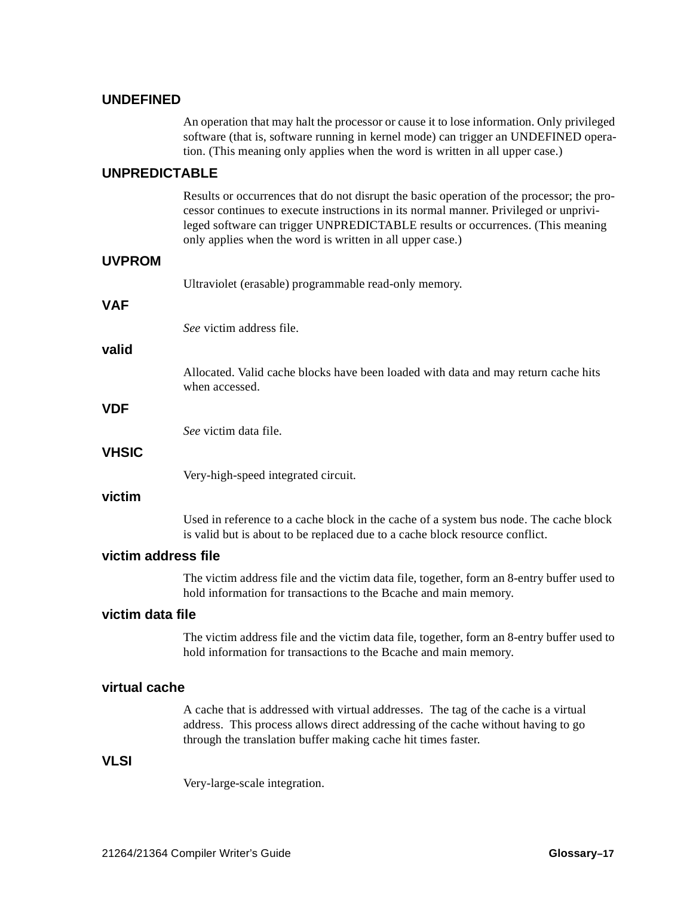#### **UNDEFINED**

An operation that may halt the processor or cause it to lose information. Only privileged software (that is, software running in kernel mode) can trigger an UNDEFINED operation. (This meaning only applies when the word is written in all upper case.)

#### **UNPREDICTABLE**

Results or occurrences that do not disrupt the basic operation of the processor; the processor continues to execute instructions in its normal manner. Privileged or unprivileged software can trigger UNPREDICTABLE results or occurrences. (This meaning only applies when the word is written in all upper case.)

|              | Ultraviolet (erasable) programmable read-only memory.                                                |
|--------------|------------------------------------------------------------------------------------------------------|
| <b>VAF</b>   |                                                                                                      |
|              | See victim address file.                                                                             |
| valid        |                                                                                                      |
|              | Allocated. Valid cache blocks have been loaded with data and may return cache hits<br>when accessed. |
| <b>VDF</b>   |                                                                                                      |
|              | See victim data file.                                                                                |
| <b>VHSIC</b> |                                                                                                      |
|              | Very-high-speed integrated circuit.                                                                  |
|              |                                                                                                      |

#### **victim**

Used in reference to a cache block in the cache of a system bus node. The cache block is valid but is about to be replaced due to a cache block resource conflict.

#### **victim address file**

The victim address file and the victim data file, together, form an 8-entry buffer used to hold information for transactions to the Bcache and main memory.

### **victim data file**

The victim address file and the victim data file, together, form an 8-entry buffer used to hold information for transactions to the Bcache and main memory.

#### **virtual cache**

A cache that is addressed with virtual addresses. The tag of the cache is a virtual address. This process allows direct addressing of the cache without having to go through the translation buffer making cache hit times faster.

#### **VLSI**

Very-large-scale integration.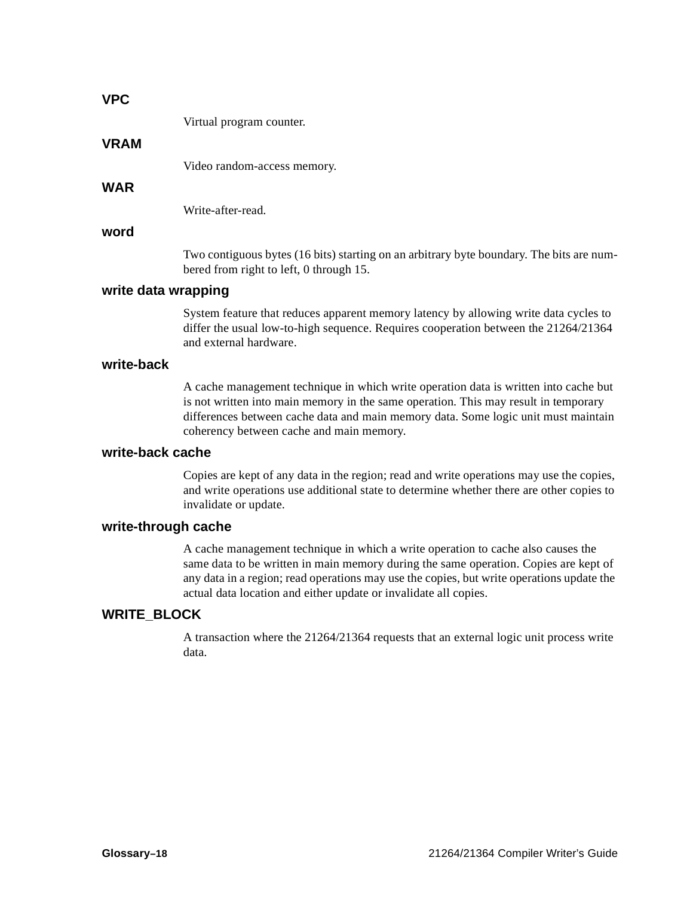#### **VPC**

Virtual program counter.

#### **VRAM**

Video random-access memory.

### **WAR**

Write-after-read.

#### **word**

Two contiguous bytes (16 bits) starting on an arbitrary byte boundary. The bits are numbered from right to left, 0 through 15.

#### **write data wrapping**

System feature that reduces apparent memory latency by allowing write data cycles to differ the usual low-to-high sequence. Requires cooperation between the 21264/21364 and external hardware.

#### **write-back**

A cache management technique in which write operation data is written into cache but is not written into main memory in the same operation. This may result in temporary differences between cache data and main memory data. Some logic unit must maintain coherency between cache and main memory.

#### **write-back cache**

Copies are kept of any data in the region; read and write operations may use the copies, and write operations use additional state to determine whether there are other copies to invalidate or update.

#### **write-through cache**

A cache management technique in which a write operation to cache also causes the same data to be written in main memory during the same operation. Copies are kept of any data in a region; read operations may use the copies, but write operations update the actual data location and either update or invalidate all copies.

#### **WRITE\_BLOCK**

A transaction where the 21264/21364 requests that an external logic unit process write data.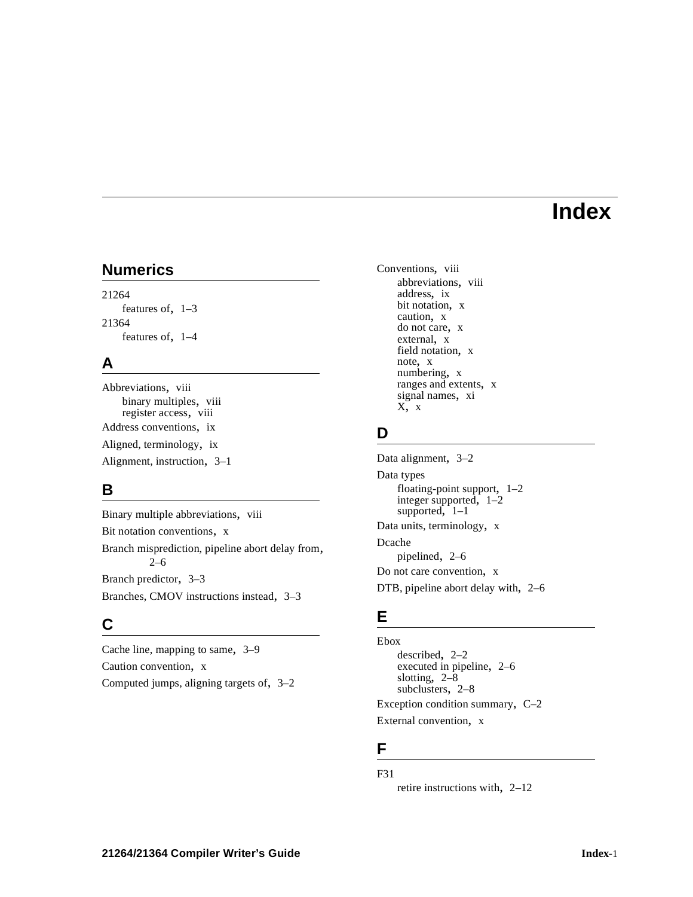# **Index**

# **Numerics**

21264 features of, [1–3](#page-14-0) 21364 features of, [1–4](#page-15-0)

### **A**

Abbreviations, [viii](#page-7-0) binary multiples, [viii](#page-7-1) register access, [viii](#page-7-2) Address conventions, [ix](#page-8-0) Aligned, terminology, [ix](#page-8-1)

Alignment, instruction, [3–1](#page-34-0)

# **B**

Binary multiple abbreviations, [viii](#page-7-1) Bit notation conventions, [x](#page-9-0) Branch misprediction, pipeline abort delay from, [2–6](#page-23-0) Branch predictor, [3–3](#page-36-0) Branches, CMOV instructions instead, [3–3](#page-36-1)

# **C**

Cache line, mapping to same, [3–9](#page-42-0) Caution convention, [x](#page-9-1) Computed jumps, aligning targets of, [3–2](#page-35-0) Conventions, [viii](#page-7-3) abbreviations, [viii](#page-7-0) address, [ix](#page-8-0) bit notation, [x](#page-9-0) caution, [x](#page-9-1) do not care, [x](#page-9-2) external, x field nota[tion,](#page-9-3) [x](#page-9-4) note, x numb[ering,](#page-9-5) x ranges and e[xtents,](#page-9-6) [x](#page-9-7) sig[nal names,](#page-9-2) [xi](#page-10-0)  $X$ ,  $X$ 

# **D**

Data alignment, [3–2](#page-35-1) Data types floating-point support, [1–2](#page-13-0) integer supported, [1–2](#page-13-1) supported,  $1-1$ Data units, terminology, [x](#page-9-8) Dcache pipelined, [2–6](#page-23-1) Do not care convention, [x](#page-9-2) DTB, pipeline abort delay with, [2–6](#page-23-2)

# **E**

Ebox described, [2–2](#page-19-0) executed in pipeline, [2–6](#page-23-3) slotting, [2–8](#page-25-0) subclusters, [2–8](#page-25-0) Exception condition summary, [C–2](#page-55-0) External convention, [x](#page-9-3)

# **F**

F31

retire instructions with, [2–12](#page-29-0)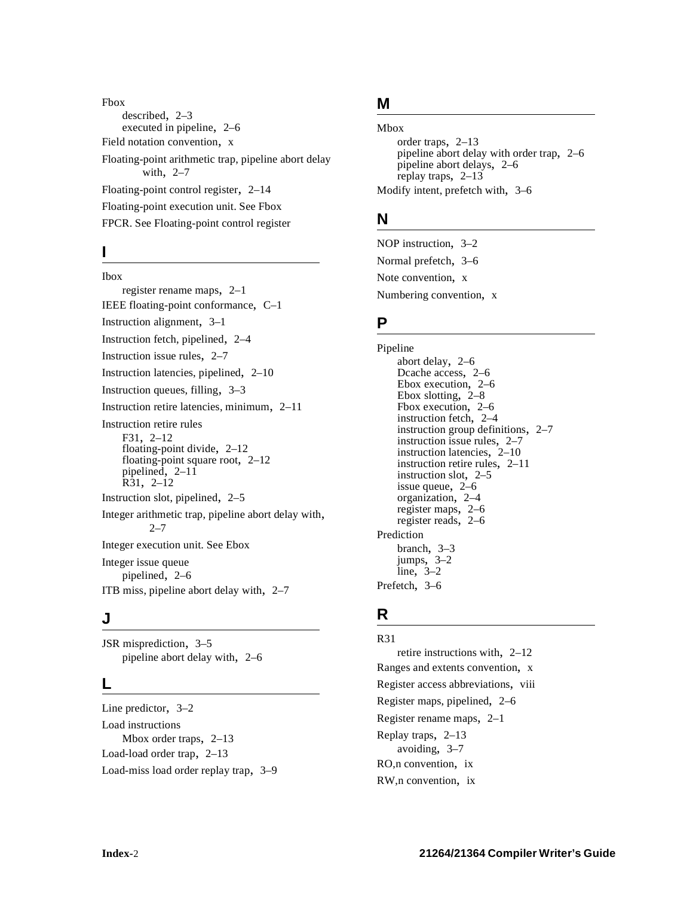Fbox described, [2–3](#page-20-0) executed in pipeline, [2–6](#page-23-3) Field notation convention, [x](#page-9-4) Floating-point arithmetic trap, pipeline abort delay with, [2–7](#page-24-0) Floating-point control register, [2–14](#page-31-0) [Floating-point execution unit. See Fbox](#page-20-0) [FPCR. See Floating-point control register](#page-31-0)

# **I**

Ibox register rename maps, [2–1](#page-18-0) IEEE floating-point conformance, [C–1](#page-54-0) Instruction alignment, [3–1](#page-34-0) Instruction fetch, pipelined, [2–4](#page-21-0) Instruction issue rules, [2–7](#page-24-1) Instruction latencies, pipelined, [2–10](#page-27-0) Instruction queues, filling, [3–3](#page-36-2) Instruction retire latencies, minimum, [2–11](#page-28-0) Instruction retire rules F31, 2–12 floati[ng-point](#page-29-0) [divide,](#page-29-0) [2–12](#page-29-1) floating-point square root, [2–12](#page-29-1) pipelined, [2–11](#page-28-1) R31, [2–12](#page-29-0) Instruction slot, pipelined, [2–5](#page-22-0) Integer arithmetic trap, pipeline abort delay with,  $2 - 7$ [Integer execution unit. See Ebox](#page-19-0) Integer issue queue pipelined, [2–6](#page-23-4) ITB miss, pipeline abort delay with, [2–7](#page-24-3)

### **J**

JSR misprediction, [3–5](#page-38-0) pipeline abort delay with, [2–6](#page-23-5)

### **L**

Line predictor, [3–2](#page-35-2) Load instructions Mbox order traps, [2–13](#page-30-0) Load-load order trap, [2–13](#page-30-1) Load-miss load order replay trap, [3–9](#page-42-1)

# **M**

Mbox order traps, 2–13 pipeline abo[rt](#page-30-0) [delay](#page-30-0) [with](#page-30-0) [order](#page-30-0) [trap,](#page-30-0) [2–6](#page-23-6) pipeline abort delays, [2–6](#page-23-7) replay traps, [2–13](#page-30-2) Modify intent, prefetch with, [3–6](#page-39-0)

# **N**

NOP instruction, [3–2](#page-35-3) Normal prefetch, [3–6](#page-39-1) Note convention, [x](#page-9-5) Numbering convention, [x](#page-9-6)

### **P**

Pipeline abort delay, [2–6](#page-23-8) Dcache access, [2–6](#page-23-1) Ebox execution, [2–6](#page-23-3) Ebox slotting, [2–8](#page-25-0) Fbox execution, [2–6](#page-23-3) instruction fetch, 2–4 instruction group [definitions,](#page-21-0) [2–7](#page-24-4) instruction issue rules, [2–7](#page-24-1) instruction latencies, [2–10](#page-27-0) instruction retire rules, [2–11](#page-28-1) instruction slot, [2–5](#page-22-0) issue queue, [2–6](#page-23-4) organization, [2–4](#page-21-1) register maps, [2–6](#page-23-9) register reads, [2–6](#page-23-10) Prediction branch, [3–3](#page-36-0) jumps, [3–2](#page-35-4) line, [3–2](#page-35-2) Prefetch, [3–6](#page-39-2)

### **R**

R31 retire instructions with, [2–12](#page-29-0) Ranges and extents convention, [x](#page-9-7) Register access abbreviations, [viii](#page-7-2) Register maps, pipelined, [2–6](#page-23-9) Register rename maps, [2–1](#page-18-0) Replay traps, [2–13](#page-30-2) avoiding, [3–7](#page-40-0) RO,n convention, [ix](#page-8-2) RW,n convention, [ix](#page-8-3)